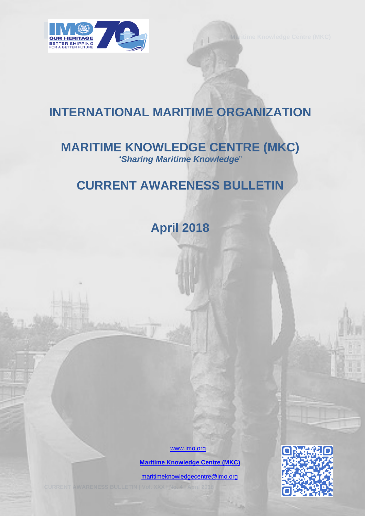

# **INTERNATIONAL MARITIME ORGANIZATION**

# **MARITIME KNOWLEDGE CENTRE (MKC)** "*Sharing Maritime Knowledge*"

# **CURRENT AWARENESS BULLETIN**

**April 2018** 

[www.imo.org](http://www.imo.org/)

 **[Maritime Knowledge Centre \(MKC\)](http://www.imo.org/en/KnowledgeCentre/Pages/Default.aspx)**

[maritimeknowledgecentre@imo.org](mailto:maritimeknowledgecentre@imo.org)

**CURRENT AWARENESS BULLETIN | Vol. XXX | No. 4 | April 2018** 0

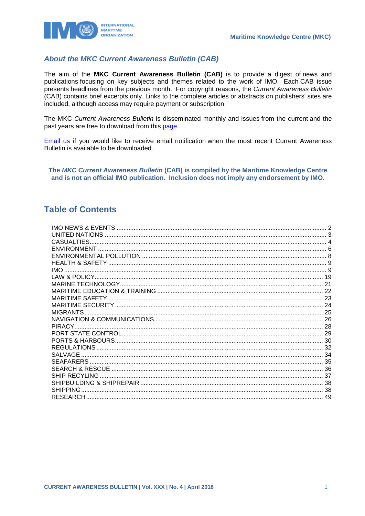

## **About the MKC Current Awareness Bulletin (CAB)**

The aim of the MKC Current Awareness Bulletin (CAB) is to provide a digest of news and publications focusing on key subjects and themes related to the work of IMO. Each CAB issue presents headlines from the previous month. For copyright reasons, the Current Awareness Bulletin (CAB) contains brief excerpts only. Links to the complete articles or abstracts on publishers' sites are included, although access may require payment or subscription.

The MKC Current Awareness Bulletin is disseminated monthly and issues from the current and the past vears are free to download from this page.

Email us if you would like to receive email notification when the most recent Current Awareness Bulletin is available to be downloaded.

The MKC Current Awareness Bulletin (CAB) is compiled by the Maritime Knowledge Centre and is not an official IMO publication. Inclusion does not imply any endorsement by IMO.

## **Table of Contents**

| CASUALTIES.     |    |
|-----------------|----|
|                 |    |
|                 |    |
|                 |    |
| <b>IMO</b>      |    |
|                 |    |
|                 |    |
|                 |    |
|                 |    |
|                 |    |
|                 |    |
|                 |    |
|                 |    |
|                 |    |
|                 |    |
|                 | 32 |
| SALVAGE         |    |
|                 |    |
|                 |    |
|                 |    |
|                 |    |
| <b>SHIPPING</b> |    |
|                 |    |
|                 |    |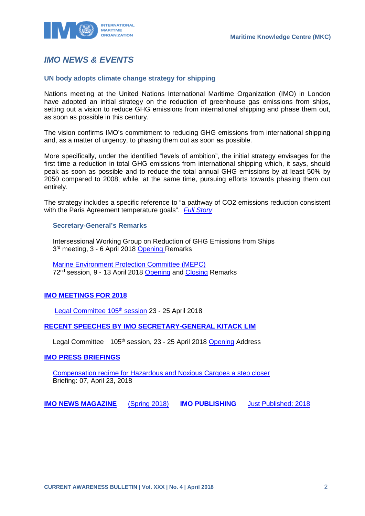

## <span id="page-2-0"></span>*IMO NEWS & EVENTS*

## **UN body adopts climate change strategy for shipping**

Nations meeting at the United Nations International Maritime Organization (IMO) in London have adopted an initial strategy on the reduction of greenhouse gas emissions from ships, setting out a vision to reduce GHG emissions from international shipping and phase them out, as soon as possible in this century.

The vision confirms IMO's commitment to reducing GHG emissions from international shipping and, as a matter of urgency, to phasing them out as soon as possible.

More specifically, under the identified "levels of ambition", the initial strategy envisages for the first time a reduction in total GHG emissions from international shipping which, it says, should peak as soon as possible and to reduce the total annual GHG emissions by at least 50% by 2050 compared to 2008, while, at the same time, pursuing efforts towards phasing them out entirely.

The strategy includes a specific reference to "a pathway of CO2 emissions reduction consistent with the Paris Agreement temperature goals". *[Full Story](http://www.imo.org/en/MediaCentre/PressBriefings/Pages/06GHGinitialstrategy.aspx)*

### **Secretary-General's Remarks**

Intersessional Working Group on Reduction of GHG Emissions from Ships 3<sup>rd</sup> meeting, 3 - 6 April 2018 [Opening R](http://www.imo.org/en/MediaCentre/SecretaryGeneral/Secretary-GeneralsSpeechesToMeetings/Pages/ISWG-GHG3opening.aspx)emarks

[Marine Environment Protection Committee \(MEPC\)](http://www.imo.org/en/MediaCentre/MeetingSummaries/MEPC/Pages/MEPC-72nd-session.aspx) 72<sup>nd</sup> session, 9 - 13 April 2018 [Opening](http://www.imo.org/en/MediaCentre/SecretaryGeneral/Secretary-GeneralsSpeechesToMeetings/Pages/MEPC-72-opening.aspx) and [Closing](http://www.imo.org/en/MediaCentre/SecretaryGeneral/Secretary-GeneralsSpeechesToMeetings/Pages/MEPC72closing.aspx) Remarks

## **[IMO MEETINGS FOR 2018](http://www.imo.org/en/MediaCentre/MeetingSummaries/Pages/Default.aspx)**

Legal Committee 105<sup>th</sup> session 23 - 25 April 2018

## **[RECENT SPEECHES BY IMO SECRETARY-GENERAL KITACK LIM](http://www.imo.org/en/MediaCentre/SecretaryGeneral/SpeechesByTheSecretaryGeneral/Pages/Default.aspx)**

Legal Committee 105<sup>th</sup> session, 23 - 25 April 2018 [Opening](http://www.imo.org/en/MediaCentre/SecretaryGeneral/Secretary-GeneralsSpeechesToMeetings/Pages/LEG-105-opening.aspx) Address

## **[IMO PRESS BRIEFINGS](http://www.imo.org/MediaCentre/PressBriefings/Pages/Home.aspx)**

[Compensation regime for Hazardous and Noxious Cargoes a step closer](http://www.imo.org/en/MediaCentre/PressBriefings/Pages/07-HNSratifications.aspx) Briefing: 07, April 23, 2018

**[IMO NEWS MAGAZINE](http://www.imo.org/MediaCentre/MaritimeNewsMagazine/Pages/Home.aspx)** [\(Spring 2018\)](https://issuu.com/imo-news/docs/imo_news_-_spring_-_2018) **IMO PUBLISHING** [Just Published: 2018](http://www.imo.org/Publications/Pages/JustPublished.aspx)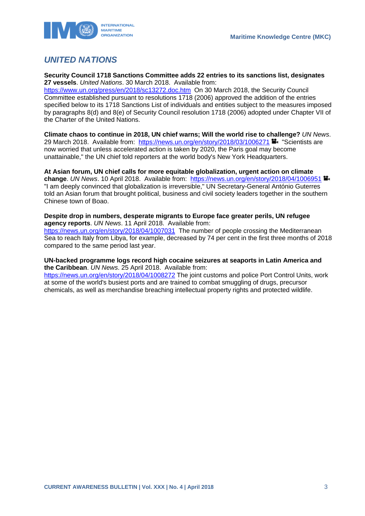

## <span id="page-3-0"></span>*UNITED NATIONS*

**Security Council 1718 Sanctions Committee adds 22 entries to its sanctions list, designates 27 vessels**. *United Nations*. 30 March 2018. Available from:

<https://www.un.org/press/en/2018/sc13272.doc.htm>On 30 March 2018, the Security Council Committee established pursuant to resolutions 1718 (2006) approved the addition of the entries specified below to its 1718 Sanctions List of individuals and entities subject to the measures imposed by paragraphs 8(d) and 8(e) of Security Council resolution 1718 (2006) adopted under Chapter VII of the Charter of the United Nations.

**Climate chaos to continue in 2018, UN chief warns; Will the world rise to challenge?** *UN News*. 29 March 2018. Available from: <https://news.un.org/en/story/2018/03/1006271> <sup>1</sup> "Scientists are now worried that unless accelerated action is taken by 2020, the Paris goal may become unattainable," the UN chief told reporters at the world body's New York Headquarters.

**At Asian forum, UN chief calls for more equitable globalization, urgent action on climate change**. *UN News*. 10 April 2018. Available from: <https://news.un.org/en/story/2018/04/1006951> "I am deeply convinced that globalization is irreversible," UN Secretary-General António Guterres told an Asian forum that brought political, business and civil society leaders together in the southern Chinese town of Boao.

#### **Despite drop in numbers, desperate migrants to Europe face greater perils, UN refugee agency reports**. *UN News*. 11 April 2018. Available from:

<https://news.un.org/en/story/2018/04/1007031>The number of people crossing the Mediterranean Sea to reach Italy from Libya, for example, decreased by 74 per cent in the first three months of 2018 compared to the same period last year.

## **UN-backed programme logs record high cocaine seizures at seaports in Latin America and the Caribbean**. *UN News*. 25 April 2018. Available from:

<https://news.un.org/en/story/2018/04/1008272> The joint customs and police Port Control Units, work at some of the world's busiest ports and are trained to combat smuggling of drugs, precursor chemicals, as well as merchandise breaching intellectual property rights and protected wildlife.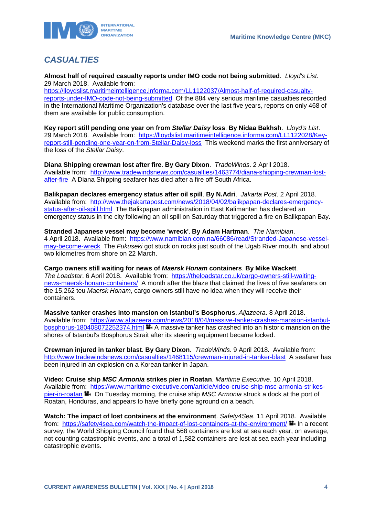

## <span id="page-4-0"></span>*CASUALTIES*

**Almost half of required casualty reports under IMO code not being submitted**. *Lloyd's List*. 29 March 2018. Available from:

[https://lloydslist.maritimeintelligence.informa.com/LL1122037/Almost-half-of-required-casualty](https://lloydslist.maritimeintelligence.informa.com/LL1122037/Almost-half-of-required-casualty-reports-under-IMO-code-not-being-submitted)[reports-under-IMO-code-not-being-submitted](https://lloydslist.maritimeintelligence.informa.com/LL1122037/Almost-half-of-required-casualty-reports-under-IMO-code-not-being-submitted) Of the 884 very serious maritime casualties recorded in the International Maritime Organization's database over the last five years, reports on only 468 of them are available for public consumption.

**Key report still pending one year on from** *Stellar Daisy* **loss**. **By Nidaa Bakhsh**. *Lloyd's List*. 29 March 2018. Available from: [https://lloydslist.maritimeintelligence.informa.com/LL1122028/Key](https://lloydslist.maritimeintelligence.informa.com/LL1122028/Key-report-still-pending-one-year-on-from-Stellar-Daisy-loss)[report-still-pending-one-year-on-from-Stellar-Daisy-loss](https://lloydslist.maritimeintelligence.informa.com/LL1122028/Key-report-still-pending-one-year-on-from-Stellar-Daisy-loss) This weekend marks the first anniversary of the loss of the *Stellar Daisy*.

**Diana Shipping crewman lost after fire**. **By Gary Dixon**. *TradeWinds*. 2 April 2018. Available from: [http://www.tradewindsnews.com/casualties/1463774/diana-shipping-crewman-lost](http://www.tradewindsnews.com/casualties/1463774/diana-shipping-crewman-lost-after-fire)[after-fire](http://www.tradewindsnews.com/casualties/1463774/diana-shipping-crewman-lost-after-fire) A Diana Shipping seafarer has died after a fire off South Africa.

**Balikpapan declares emergency status after oil spill**. **By N.Adri**. *Jakarta Post*. 2 April 2018. Available from: [http://www.thejakartapost.com/news/2018/04/02/balikpapan-declares-emergency](http://www.thejakartapost.com/news/2018/04/02/balikpapan-declares-emergency-status-after-oil-spill.html)[status-after-oil-spill.html](http://www.thejakartapost.com/news/2018/04/02/balikpapan-declares-emergency-status-after-oil-spill.html) The Balikpapan administration in East Kalimantan has declared an emergency status in the city following an oil spill on Saturday that triggered a fire on Balikpapan Bay.

**Stranded Japanese vessel may become 'wreck'**. **By Adam Hartman**. *The Namibian*. 4 April 2018. Available from: [https://www.namibian.com.na/66086/read/Stranded-Japanese-vessel](https://www.namibian.com.na/66086/read/Stranded-Japanese-vessel-may-become-wreck)[may-become-wreck](https://www.namibian.com.na/66086/read/Stranded-Japanese-vessel-may-become-wreck) The *Fukuseki* got stuck on rocks just south of the Ugab River mouth, and about two kilometres from shore on 22 March.

**Cargo owners still waiting for news of** *Maersk Honam* **containers**. **By Mike Wackett**. *The Loadstar*. 6 April 2018. Available from: [https://theloadstar.co.uk/cargo-owners-still-waiting](https://theloadstar.co.uk/cargo-owners-still-waiting-news-maersk-honam-containers/)[news-maersk-honam-containers/](https://theloadstar.co.uk/cargo-owners-still-waiting-news-maersk-honam-containers/) A month after the blaze that claimed the lives of five seafarers on the 15,262 teu *Maersk Honam*, cargo owners still have no idea when they will receive their containers.

**Massive tanker crashes into mansion on Istanbul's Bosphorus**. *Aljazeera*. 8 April 2018. Available from: [https://www.aljazeera.com/news/2018/04/massive-tanker-crashes-mansion-istanbul](https://www.aljazeera.com/news/2018/04/massive-tanker-crashes-mansion-istanbul-bosphorus-180408072252374.html)[bosphorus-180408072252374.html](https://www.aljazeera.com/news/2018/04/massive-tanker-crashes-mansion-istanbul-bosphorus-180408072252374.html)  $\blacksquare$  A massive tanker has crashed into an historic mansion on the shores of Istanbul's Bosphorus Strait after its steering equipment became locked.

**Crewman injured in tanker blast**. **By Gary Dixon**. *TradeWinds*. 9 April 2018. Available from: <http://www.tradewindsnews.com/casualties/1468115/crewman-injured-in-tanker-blast>A seafarer has been injured in an explosion on a Korean tanker in Japan.

**Video: Cruise ship** *MSC Armonia* **strikes pier in Roatan**. *Maritime Executive*. 10 April 2018. Available from: [https://www.maritime-executive.com/article/video-cruise-ship-msc-armonia-strikes](https://www.maritime-executive.com/article/video-cruise-ship-msc-armonia-strikes-pier-in-roatan)[pier-in-roatan](https://www.maritime-executive.com/article/video-cruise-ship-msc-armonia-strikes-pier-in-roatan) **C**. On Tuesday morning, the cruise ship *MSC Armonia* struck a dock at the port of Roatan, Honduras, and appears to have briefly gone aground on a beach.

**Watch: The impact of lost containers at the environment**. *Safety4Sea*. 11 April 2018. Available from: <https://safety4sea.com/watch-the-impact-of-lost-containers-at-the-environment/> **I**I In a recent survey, the World Shipping Council found that 568 containers are lost at sea each year, on average, not counting catastrophic events, and a total of 1,582 containers are lost at sea each year including catastrophic events.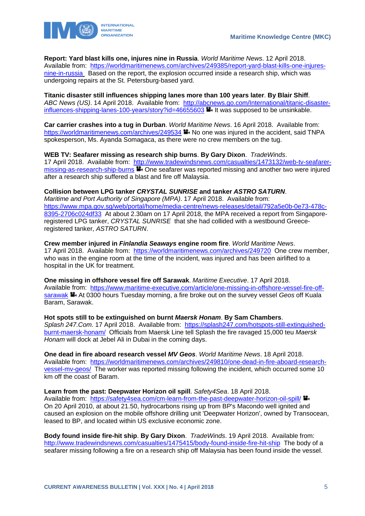

**Report: Yard blast kills one, injures nine in Russia**. *World Maritime News*. 12 April 2018. Available from: [https://worldmaritimenews.com/archives/249385/report-yard-blast-kills-one-injures](https://worldmaritimenews.com/archives/249385/report-yard-blast-kills-one-injures-nine-in-russia/)[nine-in-russia](https://worldmaritimenews.com/archives/249385/report-yard-blast-kills-one-injures-nine-in-russia/) Based on the report, the explosion occurred inside a research ship, which was undergoing repairs at the St. Petersburg-based yard.

**Titanic disaster still influences shipping lanes more than 100 years later**. **By Blair Shiff**. *ABC News (US)*. 14 April 2018. Available from: [http://abcnews.go.com/International/titanic-disaster](http://abcnews.go.com/International/titanic-disaster-influences-shipping-lanes-100-years/story?id=46655603)[influences-shipping-lanes-100-years/story?id=46655603](http://abcnews.go.com/International/titanic-disaster-influences-shipping-lanes-100-years/story?id=46655603) **I**I It was supposed to be unsinkable.

**Car carrier crashes into a tug in Durban**. *World Maritime News*. 16 April 2018. Available from: <https://worldmaritimenews.com/archives/249534> No one was injured in the accident, said TNPA spokesperson, Ms. Ayanda Somagaca, as there were no crew members on the tug.

**WEB TV: Seafarer missing as research ship burns**. **By Gary Dixon**. *TradeWinds*. 17 April 2018. Available from: [http://www.tradewindsnews.com/casualties/1473132/web-tv-seafarer](http://www.tradewindsnews.com/casualties/1473132/web-tv-seafarer-missing-as-research-ship-burns)[missing-as-research-ship-burns](http://www.tradewindsnews.com/casualties/1473132/web-tv-seafarer-missing-as-research-ship-burns) **T**. One seafarer was reported missing and another two were injured after a research ship suffered a blast and fire off Malaysia.

## **Collision between LPG tanker** *CRYSTAL SUNRISE* **and tanker** *ASTRO SATURN*.

*Maritime and Port Authority of Singapore (MPA)*. 17 April 2018. Available from: [https://www.mpa.gov.sg/web/portal/home/media-centre/news-releases/detail/792a5e0b-0e73-478c-](https://www.mpa.gov.sg/web/portal/home/media-centre/news-releases/detail/792a5e0b-0e73-478c-8395-2706c024df33)[8395-2706c024df33](https://www.mpa.gov.sg/web/portal/home/media-centre/news-releases/detail/792a5e0b-0e73-478c-8395-2706c024df33) At about 2.30am on 17 April 2018, the MPA received a report from Singaporeregistered LPG tanker, *CRYSTAL SUNRISE* that she had collided with a westbound Greeceregistered tanker, *ASTRO SATURN*.

**Crew member injured in** *Finlandia Seaways* **engine room fire**. *World Maritime News*. 17 April 2018. Available from: <https://worldmaritimenews.com/archives/249720>One crew member, who was in the engine room at the time of the incident, was injured and has been airlifted to a hospital in the UK for treatment.

**One missing in offshore vessel fire off Sarawak**. *Maritime Executive*. 17 April 2018. Available from: [https://www.maritime-executive.com/article/one-missing-in-offshore-vessel-fire-off](https://www.maritime-executive.com/article/one-missing-in-offshore-vessel-fire-off-sarawak)[sarawak](https://www.maritime-executive.com/article/one-missing-in-offshore-vessel-fire-off-sarawak) <sup>1</sup>. At 0300 hours Tuesday morning, a fire broke out on the survey vessel *Geos* off Kuala Baram, Sarawak.

**Hot spots still to be extinguished on burnt** *Maersk Honam*. **By Sam Chambers**. *Splash 247.Com*. 17 April 2018. Available from: [https://splash247.com/hotspots-still-extinguished](https://splash247.com/hotspots-still-extinguished-burnt-maersk-honam/)[burnt-maersk-honam/](https://splash247.com/hotspots-still-extinguished-burnt-maersk-honam/) Officials from Maersk Line tell Splash the fire ravaged 15,000 teu *Maersk Honam* will dock at Jebel Ali in Dubai in the coming days.

**One dead in fire aboard research vessel** *MV Geos*. *World Maritime News*. 18 April 2018. Available from: [https://worldmaritimenews.com/archives/249810/one-dead-in-fire-aboard-research](https://worldmaritimenews.com/archives/249810/one-dead-in-fire-aboard-research-vessel-mv-geos/)[vessel-mv-geos/](https://worldmaritimenews.com/archives/249810/one-dead-in-fire-aboard-research-vessel-mv-geos/) The worker was reported missing following the incident, which occurred some 10 km off the coast of Baram.

**Learn from the past: Deepwater Horizon oil spill**. *Safety4Sea*. 18 April 2018.

Available from: <https://safety4sea.com/cm-learn-from-the-past-deepwater-horizon-oil-spill/> On 20 April 2010, at about 21.50, hydrocarbons rising up from BP's Macondo well ignited and caused an explosion on the mobile offshore drilling unit 'Deepwater Horizon', owned by Transocean, leased to BP, and located within US exclusive economic zone.

**Body found inside fire-hit ship**. **By Gary Dixon**. *TradeWinds*. 19 April 2018. Available from: <http://www.tradewindsnews.com/casualties/1475415/body-found-inside-fire-hit-ship>The body of a seafarer missing following a fire on a research ship off Malaysia has been found inside the vessel.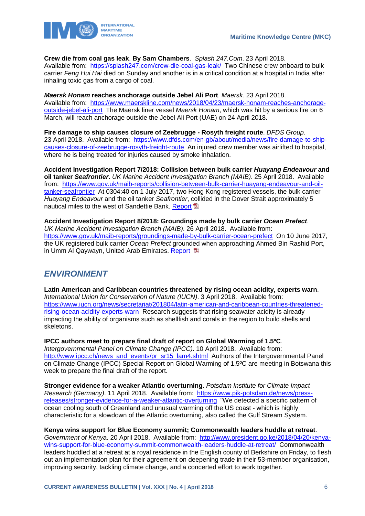

**Crew die from coal gas leak**. **By Sam Chambers**. *Splash 247.Com*. 23 April 2018.

Available from: <https://splash247.com/crew-die-coal-gas-leak/>Two Chinese crew onboard to bulk carrier *Feng Hui Hai* died on Sunday and another is in a critical condition at a hospital in India after inhaling toxic gas from a cargo of coal.

*Maersk Honam* **reaches anchorage outside Jebel Ali Port**. *Maersk*. 23 April 2018.

Available from: [https://www.maerskline.com/news/2018/04/23/maersk-honam-reaches-anchorage](https://www.maerskline.com/news/2018/04/23/maersk-honam-reaches-anchorage-outside-jebel-ali-port)[outside-jebel-ali-port](https://www.maerskline.com/news/2018/04/23/maersk-honam-reaches-anchorage-outside-jebel-ali-port) The Maersk liner vessel *Maersk Honam*, which was hit by a serious fire on 6 March, will reach anchorage outside the Jebel Ali Port (UAE) on 24 April 2018.

**Fire damage to ship causes closure of Zeebrugge - Rosyth freight route**. *DFDS Group*. 23 April 2018. Available from: [https://www.dfds.com/en-gb/about/media/news/fire-damage-to-ship](https://www.dfds.com/en-gb/about/media/news/fire-damage-to-ship-causes-closure-of-zeebrugge-rosyth-freight-route)[causes-closure-of-zeebrugge-rosyth-freight-route](https://www.dfds.com/en-gb/about/media/news/fire-damage-to-ship-causes-closure-of-zeebrugge-rosyth-freight-route) An injured crew member was airlifted to hospital, where he is being treated for injuries caused by smoke inhalation.

**Accident Investigation Report 7/2018: Collision between bulk carrier** *Huayang Endeavour* **and oil tanker** *Seafrontier*. *UK Marine Accident Investigation Branch (MAIB)*. 25 April 2018. Available from: [https://www.gov.uk/maib-reports/collision-between-bulk-carrier-huayang-endeavour-and-oil](https://www.gov.uk/maib-reports/collision-between-bulk-carrier-huayang-endeavour-and-oil-tanker-seafrontier)[tanker-seafrontier](https://www.gov.uk/maib-reports/collision-between-bulk-carrier-huayang-endeavour-and-oil-tanker-seafrontier) At 0304:40 on 1 July 2017, two Hong Kong registered vessels, the bulk carrier *Huayang Endeavour* and the oil tanker *Seafrontier*, collided in the Dover Strait approximately 5 nautical miles to the west of Sandettie Bank. [Report](https://assets.publishing.service.gov.uk/media/5ad86d01e5274a76c13dfdc1/MAIBInvReport07_2018.pdf)

**Accident Investigation Report 8/2018: Groundings made by bulk carrier** *Ocean Prefect*. *UK Marine Accident Investigation Branch (MAIB)*. 26 April 2018. Available from: <https://www.gov.uk/maib-reports/groundings-made-by-bulk-carrier-ocean-prefect>On 10 June 2017, the UK registered bulk carrier *Ocean Prefect* grounded when approaching Ahmed Bin Rashid Port, in Umm Al Qaywayn, United Arab Emirates. Report

## <span id="page-6-0"></span>*ENVIRONMENT*

**Latin American and Caribbean countries threatened by rising ocean acidity, experts warn**. *International Union for Conservation of Nature (IUCN)*. 3 April 2018. Available from: [https://www.iucn.org/news/secretariat/201804/latin-american-and-caribbean-countries-threatened](https://www.iucn.org/news/secretariat/201804/latin-american-and-caribbean-countries-threatened-rising-ocean-acidity-experts-warn)[rising-ocean-acidity-experts-warn](https://www.iucn.org/news/secretariat/201804/latin-american-and-caribbean-countries-threatened-rising-ocean-acidity-experts-warn) Research suggests that rising seawater acidity is already impacting the ability of organisms such as shellfish and corals in the region to build shells and skeletons.

**IPCC authors meet to prepare final draft of report on Global Warming of 1.5ºC**. *Intergovernmental Panel on Climate Change (IPCC)*. 10 April 2018. Available from: [http://www.ipcc.ch/news\\_and\\_events/pr\\_sr15\\_lam4.shtml](http://www.ipcc.ch/news_and_events/pr_sr15_lam4.shtml) Authors of the Intergovernmental Panel on Climate Change (IPCC) Special Report on Global Warming of 1.5ºC are meeting in Botswana this week to prepare the final draft of the report.

**Stronger evidence for a weaker Atlantic overturning**. *Potsdam Institute for Climate Impact Research (Germany)*. 11 April 2018. Available from: [https://www.pik-potsdam.de/news/press](https://www.pik-potsdam.de/news/press-releases/stronger-evidence-for-a-weaker-atlantic-overturning)[releases/stronger-evidence-for-a-weaker-atlantic-overturning](https://www.pik-potsdam.de/news/press-releases/stronger-evidence-for-a-weaker-atlantic-overturning) "We detected a specific pattern of ocean cooling south of Greenland and unusual warming off the US coast - which is highly characteristic for a slowdown of the Atlantic overturning, also called the Gulf Stream System.

**Kenya wins support for Blue Economy summit; Commonwealth leaders huddle at retreat**. *Government of Kenya*. 20 April 2018. Available from: [http://www.president.go.ke/2018/04/20/kenya](http://www.president.go.ke/2018/04/20/kenya-wins-support-for-blue-economy-summit-commonwealth-leaders-huddle-at-retreat/)[wins-support-for-blue-economy-summit-commonwealth-leaders-huddle-at-retreat/](http://www.president.go.ke/2018/04/20/kenya-wins-support-for-blue-economy-summit-commonwealth-leaders-huddle-at-retreat/) Commonwealth leaders huddled at a retreat at a royal residence in the English county of Berkshire on Friday, to flesh out an implementation plan for their agreement on deepening trade in their 53-member organisation, improving security, tackling climate change, and a concerted effort to work together.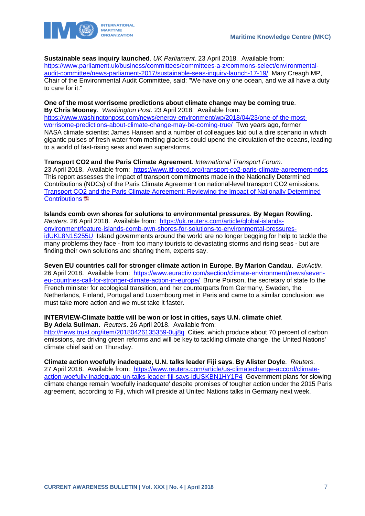**Sustainable seas inquiry launched**. *UK Parliament*. 23 April 2018. Available from:

[https://www.parliament.uk/business/committees/committees-a-z/commons-select/environmental](https://www.parliament.uk/business/committees/committees-a-z/commons-select/environmental-audit-committee/news-parliament-2017/sustainable-seas-inquiry-launch-17-19/)[audit-committee/news-parliament-2017/sustainable-seas-inquiry-launch-17-19/](https://www.parliament.uk/business/committees/committees-a-z/commons-select/environmental-audit-committee/news-parliament-2017/sustainable-seas-inquiry-launch-17-19/) Mary Creagh MP, Chair of the Environmental Audit Committee, said: "We have only one ocean, and we all have a duty to care for it."

#### **One of the most worrisome predictions about climate change may be coming true**. **By Chris Mooney**. *Washington Post*. 23 April 2018. Available from:

[https://www.washingtonpost.com/news/energy-environment/wp/2018/04/23/one-of-the-most](https://www.washingtonpost.com/news/energy-environment/wp/2018/04/23/one-of-the-most-worrisome-predictions-about-climate-change-may-be-coming-true/)[worrisome-predictions-about-climate-change-may-be-coming-true/](https://www.washingtonpost.com/news/energy-environment/wp/2018/04/23/one-of-the-most-worrisome-predictions-about-climate-change-may-be-coming-true/) Two years ago, former NASA climate scientist James Hansen and a number of colleagues laid out a dire scenario in which gigantic pulses of fresh water from melting glaciers could upend the circulation of the oceans, leading to a world of fast-rising seas and even superstorms.

**Transport CO2 and the Paris Climate Agreement**. *International Transport Forum*. 23 April 2018. Available from: <https://www.itf-oecd.org/transport-co2-paris-climate-agreement-ndcs> This report assesses the impact of transport commitments made in the Nationally Determined Contributions (NDCs) of the Paris Climate Agreement on national-level transport CO2 emissions. [Transport CO2 and the Paris Climate Agreement:](https://www.itf-oecd.org/sites/default/files/docs/transport-co2-paris-climate-agreement-ndcs.pdf) Reviewing the Impact of Nationally Determined [Contributions](https://www.itf-oecd.org/sites/default/files/docs/transport-co2-paris-climate-agreement-ndcs.pdf)<sup>1</sup>

**Islands comb own shores for solutions to environmental pressures**. **By Megan Rowling**. *Reuters*. 26 April 2018. Available from: [https://uk.reuters.com/article/global-islands](https://uk.reuters.com/article/global-islands-environment/feature-islands-comb-own-shores-for-solutions-to-environmental-pressures-idUKL8N1S255U)[environment/feature-islands-comb-own-shores-for-solutions-to-environmental-pressures](https://uk.reuters.com/article/global-islands-environment/feature-islands-comb-own-shores-for-solutions-to-environmental-pressures-idUKL8N1S255U)[idUKL8N1S255U](https://uk.reuters.com/article/global-islands-environment/feature-islands-comb-own-shores-for-solutions-to-environmental-pressures-idUKL8N1S255U) Island governments around the world are no longer begging for help to tackle the many problems they face - from too many tourists to devastating storms and rising seas - but are finding their own solutions and sharing them, experts say.

**Seven EU countries call for stronger climate action in Europe**. **By Marion Candau**. *EurActiv*. 26 April 2018. Available from: [https://www.euractiv.com/section/climate-environment/news/seven](https://www.euractiv.com/section/climate-environment/news/seven-eu-countries-call-for-stronger-climate-action-in-europe/)[eu-countries-call-for-stronger-climate-action-in-europe/](https://www.euractiv.com/section/climate-environment/news/seven-eu-countries-call-for-stronger-climate-action-in-europe/) Brune Poirson, the secretary of state to the French minister for ecological transition, and her counterparts from Germany, Sweden, the Netherlands, Finland, Portugal and Luxembourg met in Paris and came to a similar conclusion: we must take more action and we must take it faster.

## **INTERVIEW-Climate battle will be won or lost in cities, says U.N. climate chief**.

**By Adela Suliman**. *Reuters*. 26 April 2018. Available from:

<http://news.trust.org/item/20180426135359-0uj8q>Cities, which produce about 70 percent of carbon emissions, are driving green reforms and will be key to tackling climate change, the United Nations' climate chief said on Thursday.

**Climate action woefully inadequate, U.N. talks leader Fiji says**. **By Alister Doyle**. *Reuters*.

27 April 2018. Available from: [https://www.reuters.com/article/us-climatechange-accord/climate](https://www.reuters.com/article/us-climatechange-accord/climate-action-woefully-inadequate-un-talks-leader-fiji-says-idUSKBN1HY1P4)[action-woefully-inadequate-un-talks-leader-fiji-says-idUSKBN1HY1P4](https://www.reuters.com/article/us-climatechange-accord/climate-action-woefully-inadequate-un-talks-leader-fiji-says-idUSKBN1HY1P4) Government plans for slowing climate change remain 'woefully inadequate' despite promises of tougher action under the 2015 Paris agreement, according to Fiji, which will preside at United Nations talks in Germany next week.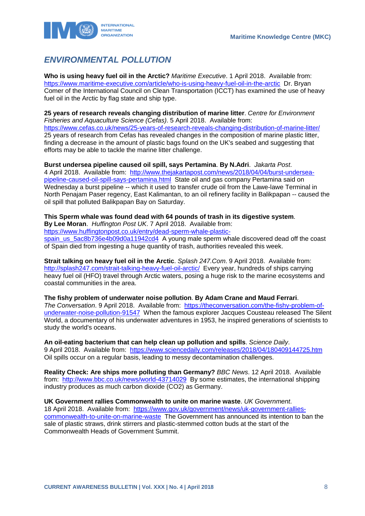

## <span id="page-8-0"></span>*ENVIRONMENTAL POLLUTION*

**Who is using heavy fuel oil in the Arctic?** *Maritime Executive*. 1 April 2018. Available from: <https://www.maritime-executive.com/article/who-is-using-heavy-fuel-oil-in-the-arctic>Dr. Bryan Comer of the International Council on Clean Transportation (ICCT) has examined the use of heavy fuel oil in the Arctic by flag state and ship type.

**25 years of research reveals changing distribution of marine litter**. *Centre for Environment Fisheries and Aquaculture Science (Cefas)*. 5 April 2018. Available from: <https://www.cefas.co.uk/news/25-years-of-research-reveals-changing-distribution-of-marine-litter/> 25 years of research from Cefas has revealed changes in the composition of marine plastic litter, finding a decrease in the amount of plastic bags found on the UK's seabed and suggesting that efforts may be able to tackle the marine litter challenge.

**Burst undersea pipeline caused oil spill, says Pertamina**. **By N.Adri**. *Jakarta Post*. 4 April 2018. Available from: [http://www.thejakartapost.com/news/2018/04/04/burst-undersea](http://www.thejakartapost.com/news/2018/04/04/burst-undersea-pipeline-caused-oil-spill-says-pertamina.html)[pipeline-caused-oil-spill-says-pertamina.html](http://www.thejakartapost.com/news/2018/04/04/burst-undersea-pipeline-caused-oil-spill-says-pertamina.html) State oil and gas company Pertamina said on Wednesday a burst pipeline -- which it used to transfer crude oil from the Lawe-lawe Terminal in North Penajam Paser regency, East Kalimantan, to an oil refinery facility in Balikpapan -- caused the oil spill that polluted Balikpapan Bay on Saturday.

#### **This Sperm whale was found dead with 64 pounds of trash in its digestive system**.

**By Lee Moran**. *Huffington Post UK*. 7 April 2018. Available from:

[https://www.huffingtonpost.co.uk/entry/dead-sperm-whale-plastic-](https://www.huffingtonpost.co.uk/entry/dead-sperm-whale-plastic-spain_us_5ac8b736e4b09d0a11942cd4)

[spain\\_us\\_5ac8b736e4b09d0a11942cd4](https://www.huffingtonpost.co.uk/entry/dead-sperm-whale-plastic-spain_us_5ac8b736e4b09d0a11942cd4) A young male sperm whale discovered dead off the coast of Spain died from ingesting a huge quantity of trash, authorities revealed this week.

**Strait talking on heavy fuel oil in the Arctic**. *Splash 247.Com*. 9 April 2018. Available from: <http://splash247.com/strait-talking-heavy-fuel-oil-arctic/>Every year, hundreds of ships carrying heavy fuel oil (HFO) travel through Arctic waters, posing a huge risk to the marine ecosystems and coastal communities in the area.

**The fishy problem of underwater noise pollution**. **By Adam Crane and Maud Ferrari**. *The Conversation*. 9 April 2018. Available from: [https://theconversation.com/the-fishy-problem-of](https://theconversation.com/the-fishy-problem-of-underwater-noise-pollution-91547)[underwater-noise-pollution-91547](https://theconversation.com/the-fishy-problem-of-underwater-noise-pollution-91547) When the famous explorer Jacques Cousteau released The Silent World, a documentary of his underwater adventures in 1953, he inspired generations of scientists to study the world's oceans.

**An oil-eating bacterium that can help clean up pollution and spills**. *Science Daily*. 9 April 2018. Available from: <https://www.sciencedaily.com/releases/2018/04/180409144725.htm> Oil spills occur on a regular basis, leading to messy decontamination challenges.

**Reality Check: Are ships more polluting than Germany?** *BBC News*. 12 April 2018. Available from: <http://www.bbc.co.uk/news/world-43714029>By some estimates, the international shipping industry produces as much carbon dioxide (CO2) as Germany.

**UK Government rallies Commonwealth to unite on marine waste**. *UK Government*. 18 April 2018. Available from: [https://www.gov.uk/government/news/uk-government-rallies](https://www.gov.uk/government/news/uk-government-rallies-commonwealth-to-unite-on-marine-waste)[commonwealth-to-unite-on-marine-waste](https://www.gov.uk/government/news/uk-government-rallies-commonwealth-to-unite-on-marine-waste) The Government has announced its intention to ban the sale of plastic straws, drink stirrers and plastic-stemmed cotton buds at the start of the Commonwealth Heads of Government Summit.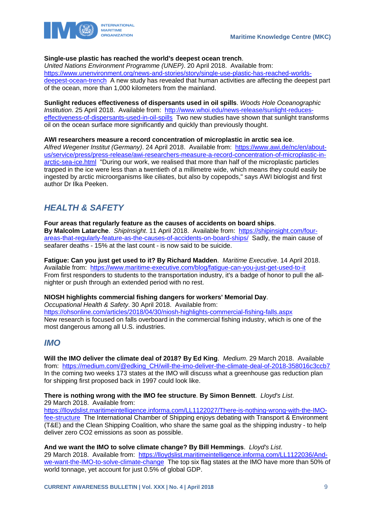

## **Single-use plastic has reached the world's deepest ocean trench**.

*United Nations Environment Programme (UNEP)*. 20 April 2018. Available from: [https://www.unenvironment.org/news-and-stories/story/single-use-plastic-has-reached-worlds](https://www.unenvironment.org/news-and-stories/story/single-use-plastic-has-reached-worlds-deepest-ocean-trench)[deepest-ocean-trench](https://www.unenvironment.org/news-and-stories/story/single-use-plastic-has-reached-worlds-deepest-ocean-trench) A new study has revealed that human activities are affecting the deepest part of the ocean, more than 1,000 kilometers from the mainland.

**Sunlight reduces effectiveness of dispersants used in oil spills**. *Woods Hole Oceanographic Institution*. 25 April 2018. Available from: [http://www.whoi.edu/news-release/sunlight-reduces](http://www.whoi.edu/news-release/sunlight-reduces-effectiveness-of-dispersants-used-in-oil-spills)[effectiveness-of-dispersants-used-in-oil-spills](http://www.whoi.edu/news-release/sunlight-reduces-effectiveness-of-dispersants-used-in-oil-spills) Two new studies have shown that sunlight transforms oil on the ocean surface more significantly and quickly than previously thought.

**AWI researchers measure a record concentration of microplastic in arctic sea ice**. *Alfred Wegener Institut (Germany)*. 24 April 2018. Available from: [https://www.awi.de/nc/en/about](https://www.awi.de/nc/en/about-us/service/press/press-release/awi-researchers-measure-a-record-concentration-of-microplastic-in-arctic-sea-ice.html)[us/service/press/press-release/awi-researchers-measure-a-record-concentration-of-microplastic-in](https://www.awi.de/nc/en/about-us/service/press/press-release/awi-researchers-measure-a-record-concentration-of-microplastic-in-arctic-sea-ice.html)[arctic-sea-ice.html](https://www.awi.de/nc/en/about-us/service/press/press-release/awi-researchers-measure-a-record-concentration-of-microplastic-in-arctic-sea-ice.html) "During our work, we realised that more than half of the microplastic particles trapped in the ice were less than a twentieth of a millimetre wide, which means they could easily be ingested by arctic microorganisms like ciliates, but also by copepods," says AWI biologist and first author Dr Ilka Peeken.

## <span id="page-9-0"></span>*HEALTH & SAFETY*

**Four areas that regularly feature as the causes of accidents on board ships**. **By Malcolm Latarche**. *ShipInsight*. 11 April 2018. Available from: [https://shipinsight.com/four](https://shipinsight.com/four-areas-that-regularly-feature-as-the-causes-of-accidents-on-board-ships/)[areas-that-regularly-feature-as-the-causes-of-accidents-on-board-ships/](https://shipinsight.com/four-areas-that-regularly-feature-as-the-causes-of-accidents-on-board-ships/) Sadly, the main cause of seafarer deaths - 15% at the last count - is now said to be suicide.

**Fatigue: Can you just get used to it? By Richard Madden**. *Maritime Executive*. 14 April 2018. Available from: <https://www.maritime-executive.com/blog/fatigue-can-you-just-get-used-to-it> From first responders to students to the transportation industry, it's a badge of honor to pull the allnighter or push through an extended period with no rest.

**NIOSH highlights commercial fishing dangers for workers' Memorial Day**.

*Occupational Health & Safety*. 30 April 2018. Available from:

<https://ohsonline.com/articles/2018/04/30/niosh-highlights-commercial-fishing-falls.aspx> New research is focused on falls overboard in the commercial fishing industry, which is one of the most dangerous among all U.S. industries.

## <span id="page-9-1"></span>*IMO*

**Will the IMO deliver the climate deal of 2018? By Ed King**. *Medium*. 29 March 2018. Available from: https://medium.com/@edking\_CH/will-the-imo-deliver-the-climate-deal-of-2018-358016c3ccb7 In the coming two weeks 173 states at the IMO will discuss what a greenhouse gas reduction plan for shipping first proposed back in 1997 could look like.

**There is nothing wrong with the IMO fee structure**. **By Simon Bennett**. *Lloyd's List*. 29 March 2018. Available from:

[https://lloydslist.maritimeintelligence.informa.com/LL1122027/There-is-nothing-wrong-with-the-IMO](https://lloydslist.maritimeintelligence.informa.com/LL1122027/There-is-nothing-wrong-with-the-IMO-fee-structure)[fee-structure](https://lloydslist.maritimeintelligence.informa.com/LL1122027/There-is-nothing-wrong-with-the-IMO-fee-structure) The International Chamber of Shipping enjoys debating with Transport & Environment (T&E) and the Clean Shipping Coalition, who share the same goal as the shipping industry - to help deliver zero CO2 emissions as soon as possible.

**And we want the IMO to solve climate change? By Bill Hemmings**. *Lloyd's List*.

29 March 2018. Available from: [https://lloydslist.maritimeintelligence.informa.com/LL1122036/And](https://lloydslist.maritimeintelligence.informa.com/LL1122036/And-we-want-the-IMO-to-solve-climate-change)[we-want-the-IMO-to-solve-climate-change](https://lloydslist.maritimeintelligence.informa.com/LL1122036/And-we-want-the-IMO-to-solve-climate-change) The top six flag states at the IMO have more than 50% of world tonnage, yet account for just 0.5% of global GDP.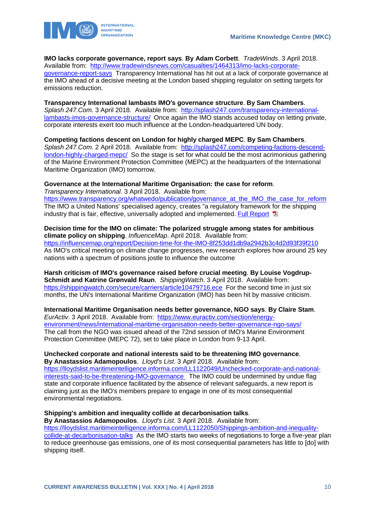

**IMO lacks corporate governance, report says**. **By Adam Corbett**. *TradeWinds*. 3 April 2018. Available from: [http://www.tradewindsnews.com/casualties/1464313/imo-lacks-corporate](http://www.tradewindsnews.com/casualties/1464313/imo-lacks-corporate-governance-report-says)[governance-report-says](http://www.tradewindsnews.com/casualties/1464313/imo-lacks-corporate-governance-report-says) Transparency International has hit out at a lack of corporate governance at the IMO ahead of a decisive meeting at the London based shipping regulator on setting targets for emissions reduction.

### **Transparency International lambasts IMO's governance structure**. **By Sam Chambers**.

*Splash 247.Com*. 3 April 2018. Available from: [http://splash247.com/transparency-international](http://splash247.com/transparency-international-lambasts-imos-governance-structure/)[lambasts-imos-governance-structure/](http://splash247.com/transparency-international-lambasts-imos-governance-structure/) Once again the IMO stands accused today on letting private, corporate interests exert too much influence at the London-headquartered UN body.

**Competing factions descent on London for highly charged MEPC**. **By Sam Chambers**. *Splash 247.Com*. 2 April 2018. Available from: [http://splash247.com/competing-factions-descend](http://splash247.com/competing-factions-descend-london-highly-charged-mepc/)[london-highly-charged-mepc/](http://splash247.com/competing-factions-descend-london-highly-charged-mepc/) So the stage is set for what could be the most acrimonious gathering of the Marine Environment Protection Committee (MEPC) at the headquarters of the International Maritime Organization (IMO) tomorrow.

## **Governance at the International Maritime Organisation: the case for reform**.

*Transparency International*. 3 April 2018. Available from: https://www.transparency.org/whatwedo/publication/governance\_at\_the\_IMO\_the\_case\_for\_reform The IMO a United Nations' specialised agency, creates "a regulatory framework for the shipping industry that is fair, effective, universally adopted and implemented[. Full Report](https://files.transparency.org/content/download/2228/13929/file/2018_IMO_Governance_Report_EN.pdf) [3]

## **Decision time for the IMO on climate: The polarized struggle among states for ambitious climate policy on shipping**. *InfluenceMap*. April 2018. Available from: <https://influencemap.org/report/Decision-time-for-the-IMO-8f253dd1db9a2942b3c4d2d93f39f210>

As IMO's critical meeting on climate change progresses, new research explores how around 25 key nations with a spectrum of positions jostle to influence the outcome

**Harsh criticism of IMO's governance raised before crucial meeting**. **By Louise Vogdrup-Schmidt and Katrine Grønvald Raun**. *ShippingWatch*. 3 April 2018. Available from: <https://shippingwatch.com/secure/carriers/article10479716.ece>For the second time in just six months, the UN's International Maritime Organization (IMO) has been hit by massive criticism.

**International Maritime Organisation needs better governance, NGO says**. **By Claire Stam**. *EurActiv*. 3 April 2018. Available from: [https://www.euractiv.com/section/energy](https://www.euractiv.com/section/energy-environment/news/international-maritime-organisation-needs-better-governance-ngo-says/)[environment/news/international-maritime-organisation-needs-better-governance-ngo-says/](https://www.euractiv.com/section/energy-environment/news/international-maritime-organisation-needs-better-governance-ngo-says/) The call from the NGO was issued ahead of the 72nd session of IMO's Marine Environment Protection Committee (MEPC 72), set to take place in London from 9-13 April.

### **Unchecked corporate and national interests said to be threatening IMO governance**. **By Anastassios Adamopoulos**. *Lloyd's List*. 3 April 2018. Available from:

[https://lloydslist.maritimeintelligence.informa.com/LL1122049/Unchecked-corporate-and-national](https://lloydslist.maritimeintelligence.informa.com/LL1122049/Unchecked-corporate-and-national-interests-said-to-be-threatening-IMO-governance)[interests-said-to-be-threatening-IMO-governance](https://lloydslist.maritimeintelligence.informa.com/LL1122049/Unchecked-corporate-and-national-interests-said-to-be-threatening-IMO-governance) The IMO could be undermined by undue flag state and corporate influence facilitated by the absence of relevant safeguards, a new report is claiming just as the IMO's members prepare to engage in one of its most consequential environmental negotiations.

## **Shipping's ambition and inequality collide at decarbonisation talks**.

**By Anastassios Adamopoulos**. *Lloyd's List*. 3 April 2018. Available from: [https://lloydslist.maritimeintelligence.informa.com/LL1122050/Shippings-ambition-and-inequality](https://lloydslist.maritimeintelligence.informa.com/LL1122050/Shippings-ambition-and-inequality-collide-at-decarbonisation-talks)[collide-at-decarbonisation-talks](https://lloydslist.maritimeintelligence.informa.com/LL1122050/Shippings-ambition-and-inequality-collide-at-decarbonisation-talks) As the IMO starts two weeks of negotiations to forge a five-year plan to reduce greenhouse gas emissions, one of its most consequential parameters has little to [do] with shipping itself.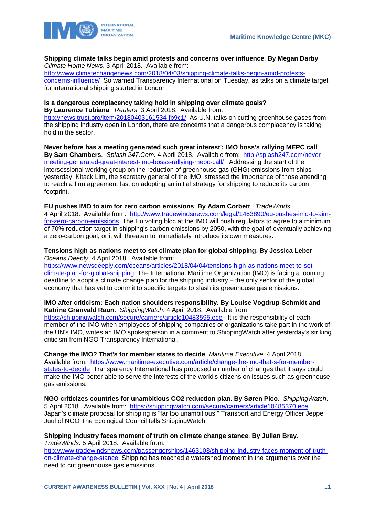

#### **Shipping climate talks begin amid protests and concerns over influence**. **By Megan Darby**. *Climate Home News*. 3 April 2018. Available from:

[http://www.climatechangenews.com/2018/04/03/shipping-climate-talks-begin-amid-protests](http://www.climatechangenews.com/2018/04/03/shipping-climate-talks-begin-amid-protests-concerns-influence/)[concerns-influence/](http://www.climatechangenews.com/2018/04/03/shipping-climate-talks-begin-amid-protests-concerns-influence/) So warned Transparency International on Tuesday, as talks on a climate target for international shipping started in London.

## **Is a dangerous complacency taking hold in shipping over climate goals?**

**By Laurence Tubiana**. *Reuters*. 3 April 2018. Available from: <http://news.trust.org/item/20180403161534-fb9c1/>As U.N. talks on cutting greenhouse gases from the shipping industry open in London, there are concerns that a dangerous complacency is taking hold in the sector.

**Never before has a meeting generated such great interest': IMO boss's rallying MEPC call**. **By Sam Chambers**. *Splash 247.Com*. 4 April 2018. Available from: [http://splash247.com/never](http://splash247.com/never-meeting-generated-great-interest-imo-bosss-rallying-mepc-call/)[meeting-generated-great-interest-imo-bosss-rallying-mepc-call/](http://splash247.com/never-meeting-generated-great-interest-imo-bosss-rallying-mepc-call/) Addressing the start of the intersessional working group on the reduction of greenhouse gas (GHG) emissions from ships yesterday, Kitack Lim, the secretary general of the IMO, stressed the importance of those attending to reach a firm agreement fast on adopting an initial strategy for shipping to reduce its carbon footprint.

## **EU pushes IMO to aim for zero carbon emissions**. **By Adam Corbett**. *TradeWinds*.

4 April 2018. Available from: [http://www.tradewindsnews.com/legal/1463890/eu-pushes-imo-to-aim](http://www.tradewindsnews.com/legal/1463890/eu-pushes-imo-to-aim-for-zero-carbon-emissions)[for-zero-carbon-emissions](http://www.tradewindsnews.com/legal/1463890/eu-pushes-imo-to-aim-for-zero-carbon-emissions) The Eu voting bloc at the IMO will push regulators to agree to a minimum of 70% reduction target in shipping's carbon emissions by 2050, with the goal of eventually achieving a zero-carbon goal, or it will threaten to immediately introduce its own measures.

### **Tensions high as nations meet to set climate plan for global shipping**. **By Jessica Leber**. *Oceans Deeply*. 4 April 2018. Available from:

[https://www.newsdeeply.com/oceans/articles/2018/04/04/tensions-high-as-nations-meet-to-set](https://www.newsdeeply.com/oceans/articles/2018/04/04/tensions-high-as-nations-meet-to-set-climate-plan-for-global-shipping)[climate-plan-for-global-shipping](https://www.newsdeeply.com/oceans/articles/2018/04/04/tensions-high-as-nations-meet-to-set-climate-plan-for-global-shipping) The International Maritime Organization (IMO) is facing a looming deadline to adopt a climate change plan for the shipping industry – the only sector of the global economy that has yet to commit to specific targets to slash its greenhouse gas emissions.

### **IMO after criticism: Each nation shoulders responsibility**. **By Louise Vogdrup-Schmidt and Katrine Grønvald Raun**. *ShippingWatch*. 4 April 2018. Available from:

<https://shippingwatch.com/secure/carriers/article10483595.ece>It is the responsibility of each member of the IMO when employees of shipping companies or organizations take part in the work of the UN's IMO, writes an IMO spokesperson in a comment to ShippingWatch after yesterday's striking criticism from NGO Transparency International.

## **Change the IMO? That's for member states to decide**. *Maritime Executive*. 4 April 2018.

Available from: [https://www.maritime-executive.com/article/change-the-imo-that-s-for-member](https://www.maritime-executive.com/article/change-the-imo-that-s-for-member-states-to-decide)[states-to-decide](https://www.maritime-executive.com/article/change-the-imo-that-s-for-member-states-to-decide) Transparency International has proposed a number of changes that it says could make the IMO better able to serve the interests of the world's citizens on issues such as greenhouse gas emissions.

**NGO criticizes countries for unambitious CO2 reduction plan**. **By Søren Pico**. *ShippingWatch*. 5 April 2018. Available from: <https://shippingwatch.com/secure/carriers/article10485370.ece> Japan's climate proposal for shipping is "far too unambitious," Transport and Energy Officer Jeppe Juul of NGO The Ecological Council tells ShippingWatch.

### **Shipping industry faces moment of truth on climate change stance**. **By Julian Bray**. *TradeWinds*. 5 April 2018. Available from:

[http://www.tradewindsnews.com/passengerships/1463103/shipping-industry-faces-moment-of-truth](http://www.tradewindsnews.com/passengerships/1463103/shipping-industry-faces-moment-of-truth-on-climate-change-stance)[on-climate-change-stance](http://www.tradewindsnews.com/passengerships/1463103/shipping-industry-faces-moment-of-truth-on-climate-change-stance) Shipping has reached a watershed moment in the arguments over the need to cut greenhouse gas emissions.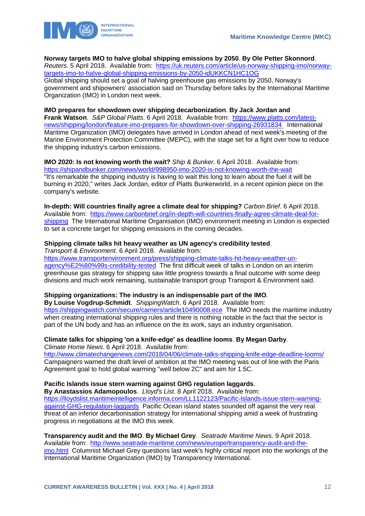

**Norway targets IMO to halve global shipping emissions by 2050**. **By Ole Petter Skonnord**.

*Reuters*. 5 April 2018. Available from: [https://uk.reuters.com/article/us-norway-shipping-imo/norway](https://uk.reuters.com/article/us-norway-shipping-imo/norway-targets-imo-to-halve-global-shipping-emissions-by-2050-idUKKCN1HC1OG)[targets-imo-to-halve-global-shipping-emissions-by-2050-idUKKCN1HC1OG](https://uk.reuters.com/article/us-norway-shipping-imo/norway-targets-imo-to-halve-global-shipping-emissions-by-2050-idUKKCN1HC1OG)  Global shipping should set a goal of halving greenhouse gas emissions by 2050, Norway's government and shipowners' association said on Thursday before talks by the International Maritime Organization (IMO) in London next week.

## **IMO prepares for showdown over shipping decarbonization**. **By Jack Jordan and**

**Frank Watson**. *S&P Global Platts*. 6 April 2018. Available from: [https://www.platts.com/latest](https://www.platts.com/latest-news/shipping/london/feature-imo-prepares-for-showdown-over-shipping-26931834)[news/shipping/london/feature-imo-prepares-for-showdown-over-shipping-26931834](https://www.platts.com/latest-news/shipping/london/feature-imo-prepares-for-showdown-over-shipping-26931834) International Maritime Organization (IMO) delegates have arrived in London ahead of next week's meeting of the Marine Environment Protection Committee (MEPC), with the stage set for a fight over how to reduce the shipping industry's carbon emissions.

**IMO 2020: Is not knowing worth the wait?** *Ship & Bunker*. 6 April 2018. Available from: <https://shipandbunker.com/news/world/998950-imo-2020-is-not-knowing-worth-the-wait> "It's remarkable the shipping industry is having to wait this long to learn about the fuel it will be burning in 2020," writes Jack Jordan, editor of Platts Bunkerworld, in a recent opinion piece on the company's website.

**In-depth: Will countries finally agree a climate deal for shipping?** *Carbon Brief*. 6 April 2018. Available from: [https://www.carbonbrief.org/in-depth-will-countries-finally-agree-climate-deal-for](https://www.carbonbrief.org/in-depth-will-countries-finally-agree-climate-deal-for-shipping)[shipping](https://www.carbonbrief.org/in-depth-will-countries-finally-agree-climate-deal-for-shipping) The International Maritime Organisation (IMO) environment meeting in London is expected to set a concrete target for shipping emissions in the coming decades.

### **Shipping climate talks hit heavy weather as UN agency's credibility tested**.

*Transport & Environment*. 6 April 2018. Available from:

[https://www.transportenvironment.org/press/shipping-climate-talks-hit-heavy-weather-un](https://www.transportenvironment.org/press/shipping-climate-talks-hit-heavy-weather-un-agency%E2%80%99s-credibility-tested)[agency%E2%80%99s-credibility-tested](https://www.transportenvironment.org/press/shipping-climate-talks-hit-heavy-weather-un-agency%E2%80%99s-credibility-tested) The first difficult week of talks in London on an interim greenhouse gas strategy for shipping saw little progress towards a final outcome with some deep divisions and much work remaining, sustainable transport group Transport & Environment said.

#### **Shipping organizations: The industry is an indispensable part of the IMO**.

**By Louise Vogdrup-Schmidt**. *ShippingWatch*. 6 April 2018. Available from: <https://shippingwatch.com/secure/carriers/article10490008.ece>The IMO needs the maritime industry when creating international shipping rules and there is nothing notable in the fact that the sector is part of the UN body and has an influence on the its work, says an industry organisation.

## **Climate talks for shipping 'on a knife-edge' as deadline looms**. **By Megan Darby**.

*Climate Home News*. 6 April 2018. Available from:

<http://www.climatechangenews.com/2018/04/06/climate-talks-shipping-knife-edge-deadline-looms/> Campaigners warned the draft level of ambition at the IMO meeting was out of line with the Paris Agreement goal to hold global warming "well below 2C" and aim for 1.5C.

#### **Pacific Islands issue stern warning against GHG regulation laggards**.

**By Anastassios Adamopoulos**. *Lloyd's List*. 8 April 2018. Available from: [https://lloydslist.maritimeintelligence.informa.com/LL1122123/Pacific-Islands-issue-stern-warning](https://lloydslist.maritimeintelligence.informa.com/LL1122123/Pacific-Islands-issue-stern-warning-against-GHG-regulation-laggards)[against-GHG-regulation-laggards](https://lloydslist.maritimeintelligence.informa.com/LL1122123/Pacific-Islands-issue-stern-warning-against-GHG-regulation-laggards) Pacific Ocean island states sounded off against the very real threat of an inferior decarbonisation strategy for international shipping amid a week of frustrating progress in negotiations at the IMO this week.

**Transparency audit and the IMO**. **By Michael Grey**. *Seatrade Maritime News*. 9 April 2018. Available from: [http://www.seatrade-maritime.com/news/europe/transparency-audit-and-the](http://www.seatrade-maritime.com/news/europe/transparency-audit-and-the-imo.html)[imo.html](http://www.seatrade-maritime.com/news/europe/transparency-audit-and-the-imo.html) Columnist Michael Grey questions last week's highly critical report into the workings of the International Maritime Organization (IMO) by Transparency International.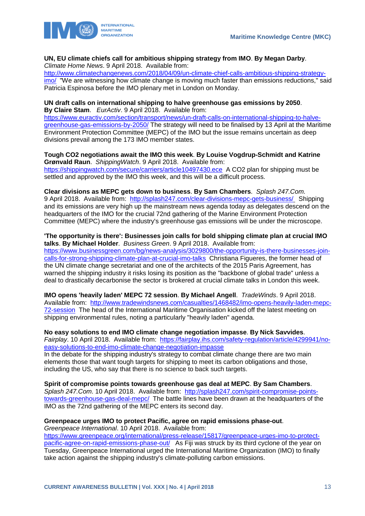

#### **UN, EU climate chiefs call for ambitious shipping strategy from IMO**. **By Megan Darby**. *Climate Home News*. 9 April 2018. Available from:

[http://www.climatechangenews.com/2018/04/09/un-climate-chief-calls-ambitious-shipping-strategy](http://www.climatechangenews.com/2018/04/09/un-climate-chief-calls-ambitious-shipping-strategy-imo/)[imo/](http://www.climatechangenews.com/2018/04/09/un-climate-chief-calls-ambitious-shipping-strategy-imo/) "We are witnessing how climate change is moving much faster than emissions reductions," said Patricia Espinosa before the IMO plenary met in London on Monday.

### **UN draft calls on international shipping to halve greenhouse gas emissions by 2050**. **By Claire Stam**. *EurActiv*. 9 April 2018. Available from:

[https://www.euractiv.com/section/transport/news/un-draft-calls-on-international-shipping-to-halve](https://www.euractiv.com/section/transport/news/un-draft-calls-on-international-shipping-to-halve-greenhouse-gas-emissions-by-2050/)[greenhouse-gas-emissions-by-2050/](https://www.euractiv.com/section/transport/news/un-draft-calls-on-international-shipping-to-halve-greenhouse-gas-emissions-by-2050/) The strategy will need to be finalised by 13 April at the Maritime Environment Protection Committee (MEPC) of the IMO but the issue remains uncertain as deep divisions prevail among the 173 IMO member states.

### **Tough CO2 negotiations await the IMO this week**. **By Louise Vogdrup-Schmidt and Katrine Grønvald Raun**. *ShippingWatch*. 9 April 2018. Available from: <https://shippingwatch.com/secure/carriers/article10497430.ece>A CO2 plan for shipping must be settled and approved by the IMO this week, and this will be a difficult process.

**Clear divisions as MEPC gets down to business**. **By Sam Chambers**. *Splash 247.Com*. 9 April 2018. Available from: <http://splash247.com/clear-divisions-mepc-gets-business/> Shipping and its emissions are very high up the mainstream news agenda today as delegates descend on the headquarters of the IMO for the crucial 72nd gathering of the Marine Environment Protection Committee (MEPC) where the industry's greenhouse gas emissions will be under the microscope.

## **'The opportunity is there': Businesses join calls for bold shipping climate plan at crucial IMO**

**talks**. **By Michael Holder**. *Business Green*. 9 April 2018. Available from: [https://www.businessgreen.com/bg/news-analysis/3029800/the-opportunity-is-there-businesses-join](https://www.businessgreen.com/bg/news-analysis/3029800/the-opportunity-is-there-businesses-join-calls-for-strong-shipping-climate-plan-at-crucial-imo-talks)[calls-for-strong-shipping-climate-plan-at-crucial-imo-talks](https://www.businessgreen.com/bg/news-analysis/3029800/the-opportunity-is-there-businesses-join-calls-for-strong-shipping-climate-plan-at-crucial-imo-talks) Christiana Figueres, the former head of the UN climate change secretariat and one of the architects of the 2015 Paris Agreement, has warned the shipping industry it risks losing its position as the "backbone of global trade" unless a deal to drastically decarbonise the sector is brokered at crucial climate talks in London this week.

**IMO opens 'heavily laden' MEPC 72 session**. **By Michael Angell**. *TradeWinds*. 9 April 2018. Available from: [http://www.tradewindsnews.com/casualties/1468482/imo-opens-heavily-laden-mepc-](http://www.tradewindsnews.com/casualties/1468482/imo-opens-heavily-laden-mepc-72-session)[72-session](http://www.tradewindsnews.com/casualties/1468482/imo-opens-heavily-laden-mepc-72-session) The head of the International Maritime Organisation kicked off the latest meeting on shipping environmental rules, noting a particularly "heavily laden" agenda.

#### **No easy solutions to end IMO climate change negotiation impasse**. **By Nick Savvides**. *Fairplay*. 10 April 2018. Available from: [https://fairplay.ihs.com/safety-regulation/article/4299941/no](https://fairplay.ihs.com/safety-regulation/article/4299941/no-easy-solutions-to-end-imo-climate-change-negotiation-impasse)[easy-solutions-to-end-imo-climate-change-negotiation-impasse](https://fairplay.ihs.com/safety-regulation/article/4299941/no-easy-solutions-to-end-imo-climate-change-negotiation-impasse)

In the debate for the shipping industry's strategy to combat climate change there are two main elements those that want tough targets for shipping to meet its carbon obligations and those, including the US, who say that there is no science to back such targets.

**Spirit of compromise points towards greenhouse gas deal at MEPC**. **By Sam Chambers**. *Splash 247.Com*. 10 April 2018. Available from: [http://splash247.com/spirit-compromise-points](http://splash247.com/spirit-compromise-points-towards-greenhouse-gas-deal-mepc/)[towards-greenhouse-gas-deal-mepc/](http://splash247.com/spirit-compromise-points-towards-greenhouse-gas-deal-mepc/) The battle lines have been drawn at the headquarters of the IMO as the 72nd gathering of the MEPC enters its second day.

#### **Greenpeace urges IMO to protect Pacific, agree on rapid emissions phase-out**. *Greenpeace International*. 10 April 2018. Available from:

[https://www.greenpeace.org/international/press-release/15817/greenpeace-urges-imo-to-protect](https://www.greenpeace.org/international/press-release/15817/greenpeace-urges-imo-to-protect-pacific-agree-on-rapid-emissions-phase-out/)[pacific-agree-on-rapid-emissions-phase-out/](https://www.greenpeace.org/international/press-release/15817/greenpeace-urges-imo-to-protect-pacific-agree-on-rapid-emissions-phase-out/) As Fiji was struck by its third cyclone of the year on Tuesday, Greenpeace International urged the International Maritime Organization (IMO) to finally take action against the shipping industry's climate-polluting carbon emissions.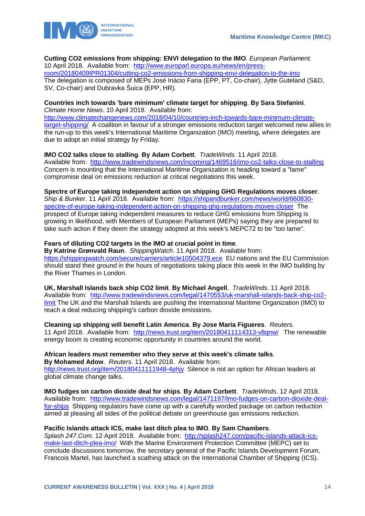

## **Cutting CO2 emissions from shipping: ENVI delegation to the IMO**. *European Parliament*.

10 April 2018. Available from: [http://www.europarl.europa.eu/news/en/press-](http://www.europarl.europa.eu/news/en/press-room/20180409IPR01304/cutting-co2-emissions-from-shipping-envi-delegation-to-the-imo)

[room/20180409IPR01304/cutting-co2-emissions-from-shipping-envi-delegation-to-the-imo](http://www.europarl.europa.eu/news/en/press-room/20180409IPR01304/cutting-co2-emissions-from-shipping-envi-delegation-to-the-imo) The delegation is composed of MEPs José Inácio Faria (EPP, PT, Co-chair), Jytte Guteland (S&D, SV, Co-chair) and Dubravka Šuica (EPP, HR).

#### **Countries inch towards 'bare minimum' climate target for shipping**. **By Sara Stefanini**. *Climate Home News*. 10 April 2018. Available from:

[http://www.climatechangenews.com/2018/04/10/countries-inch-towards-bare-minimum-climate](http://www.climatechangenews.com/2018/04/10/countries-inch-towards-bare-minimum-climate-target-shipping/)[target-shipping/](http://www.climatechangenews.com/2018/04/10/countries-inch-towards-bare-minimum-climate-target-shipping/) A coalition in favour of a stronger emissions reduction target welcomed new allies in the run-up to this week's International Maritime Organization (IMO) meeting, where delegates are due to adopt an initial strategy by Friday.

## **IMO CO2 talks close to stalling**. **By Adam Corbett**. *TradeWinds*. 11 April 2018.

Available from: <http://www.tradewindsnews.com/incoming/1469516/imo-co2-talks-close-to-stalling> Concern is mounting that the International Maritime Organization is heading toward a "lame" compromise deal on emissions reduction at critical negotiations this week.

## **Spectre of Europe taking independent action on shipping GHG Regulations moves closer**.

*Ship & Bunker*. 11 April 2018. Available from: [https://shipandbunker.com/news/world/660830](https://shipandbunker.com/news/world/660830-spectre-of-europe-taking-independent-action-on-shipping-ghg-regulations-moves-closer) [spectre-of-europe-taking-independent-action-on-shipping-ghg-regulations-moves-closer](https://shipandbunker.com/news/world/660830-spectre-of-europe-taking-independent-action-on-shipping-ghg-regulations-moves-closer) The prospect of Europe taking independent measures to reduce GHG emissions from Shipping is growing in likelihood, with Members of European Parliament (MEPs) saying they are prepared to take such action if they deem the strategy adopted at this week's MEPC72 to be "too lame".

## **Fears of diluting CO2 targets in the IMO at crucial point in time**.

**By Katrine Grønvald Raun**. *ShippingWatch*. 11 April 2018. Available from: <https://shippingwatch.com/secure/carriers/article10504379.ece>EU nations and the EU Commission should stand their ground in the hours of negotiations taking place this week in the IMO building by the River Thames in London.

**UK, Marshall Islands back ship CO2 limit**. **By Michael Angell**. *TradeWinds*. 11 April 2018. Available from: [http://www.tradewindsnews.com/legal/1470553/uk-marshall-islands-back-ship-co2](http://www.tradewindsnews.com/legal/1470553/uk-marshall-islands-back-ship-co2-limit) [limit](http://www.tradewindsnews.com/legal/1470553/uk-marshall-islands-back-ship-co2-limit) The UK and the Marshall Islands are pushing the International Maritime Organization (IMO) to reach a deal reducing shipping's carbon dioxide emissions.

#### **Cleaning up shipping will benefit Latin America**. **By Jose Maria Figueres**. *Reuters*.

11 April 2018. Available from: <http://news.trust.org/item/20180411114313-v8qnw/> The renewable energy boom is creating economic opportunity in countries around the world.

## **African leaders must remember who they serve at this week's climate talks**.

**By Mohamed Adow**. *Reuters*. 11 April 2018. Available from: <http://news.trust.org/item/20180411111948-4phjy>Silence is not an option for African leaders at global climate change talks.

**IMO fudges on carbon dioxide deal for ships**. **By Adam Corbett**. *TradeWinds*. 12 April 2018. Available from: [http://www.tradewindsnews.com/legal/1471197/imo-fudges-on-carbon-dioxide-deal](http://www.tradewindsnews.com/legal/1471197/imo-fudges-on-carbon-dioxide-deal-for-ships)[for-ships](http://www.tradewindsnews.com/legal/1471197/imo-fudges-on-carbon-dioxide-deal-for-ships) Shipping regulators have come up with a carefully worded package on carbon reduction aimed at pleasing all sides of the political debate on greenhouse gas emissions reduction.

## **Pacific Islands attack ICS, make last ditch plea to IMO**. **By Sam Chambers**.

*Splash 247.Com*. 12 April 2018. Available from: [http://splash247.com/pacific-islands-attack-ics](http://splash247.com/pacific-islands-attack-ics-make-last-ditch-plea-imo/)[make-last-ditch-plea-imo/](http://splash247.com/pacific-islands-attack-ics-make-last-ditch-plea-imo/) With the Marine Environment Protection Committee (MEPC) set to conclude discussions tomorrow, the secretary general of the Pacific Islands Development Forum, Francois Martel, has launched a scathing attack on the International Chamber of Shipping (ICS).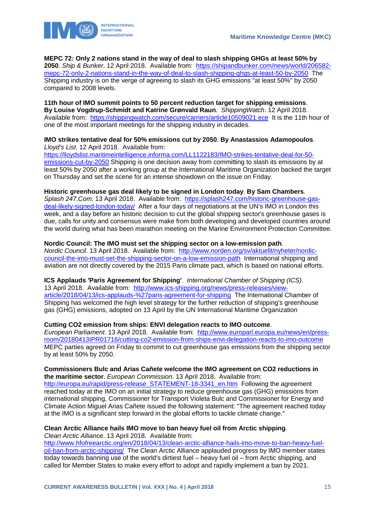

**MEPC 72: Only 2 nations stand in the way of deal to slash shipping GHGs at least 50% by 2050**. *Ship & Bunker*. 12 April 2018. Available from: [https://shipandbunker.com/news/world/206582](https://shipandbunker.com/news/world/206582-mepc-72-only-2-nations-stand-in-the-way-of-deal-to-slash-shipping-ghgs-at-least-50-by-2050) [mepc-72-only-2-nations-stand-in-the-way-of-deal-to-slash-shipping-ghgs-at-least-50-by-2050](https://shipandbunker.com/news/world/206582-mepc-72-only-2-nations-stand-in-the-way-of-deal-to-slash-shipping-ghgs-at-least-50-by-2050) The Shipping industry is on the verge of agreeing to slash its GHG emissions "at least 50%" by 2050 compared to 2008 levels.

**11th hour of IMO summit points to 50 percent reduction target for shipping emissions**. **By Louise Vogdrup-Schmidt and Katrine Grønvald Raun**. *ShippingWatch*. 12 April 2018. Available from: <https://shippingwatch.com/secure/carriers/article10509021.ece>It is the 11th hour of one of the most important meetings for the shipping industry in decades.

#### **IMO strikes tentative deal for 50% emissions cut by 2050**. **By Anastassios Adamopoulos**. *Lloyd's List*. 12 April 2018. Available from:

[https://lloydslist.maritimeintelligence.informa.com/LL1122183/IMO-strikes-tentative-deal-for-50](https://lloydslist.maritimeintelligence.informa.com/LL1122183/IMO-strikes-tentative-deal-for-50-emissions-cut-by-2050) [emissions-cut-by-2050](https://lloydslist.maritimeintelligence.informa.com/LL1122183/IMO-strikes-tentative-deal-for-50-emissions-cut-by-2050) Shipping is one decision away from committing to slash its emissions by at least 50% by 2050 after a working group at the International Maritime Organization backed the target on Thursday and set the scene for an intense showdown on the issue on Friday.

## **Historic greenhouse gas deal likely to be signed in London today**. **By Sam Chambers**.

*Splash 247.Com*. 13 April 2018. Available from: [https://splash247.com/historic-greenhouse-gas](https://splash247.com/historic-greenhouse-gas-deal-likely-signed-london-today/)[deal-likely-signed-london-today/](https://splash247.com/historic-greenhouse-gas-deal-likely-signed-london-today/) After a four days of negotiations at the UN's IMO in London this week, and a day before an historic decision to cut the global shipping sector's greenhouse gases is due, calls for unity and consensus were make from both developing and developed countries around the world during what has been marathon meeting on the Marine Environment Protection Committee.

## **Nordic Council: The IMO must set the shipping sector on a low-emission path**.

*Nordic Council*. 13 April 2018. Available from: [http://www.norden.org/sv/aktuellt/nyheter/nordic](http://www.norden.org/sv/aktuellt/nyheter/nordic-council-the-imo-must-set-the-shipping-sector-on-a-low-emission-path)[council-the-imo-must-set-the-shipping-sector-on-a-low-emission-path](http://www.norden.org/sv/aktuellt/nyheter/nordic-council-the-imo-must-set-the-shipping-sector-on-a-low-emission-path) International shipping and aviation are not directly covered by the 2015 Paris climate pact, which is based on national efforts.

## **ICS Applauds 'Paris Agreement for Shipping'**. *International Chamber of Shipping (ICS)*.

13 April 2018. Available from: [http://www.ics-shipping.org/news/press-releases/view](http://www.ics-shipping.org/news/press-releases/view-article/2018/04/13/ics-applauds-%27paris-agreement-for-shipping)[article/2018/04/13/ics-applauds-%27paris-agreement-for-shipping](http://www.ics-shipping.org/news/press-releases/view-article/2018/04/13/ics-applauds-%27paris-agreement-for-shipping) The International Chamber of Shipping has welcomed the high level strategy for the further reduction of shipping's greenhouse gas (GHG) emissions, adopted on 13 April by the UN International Maritime Organization

## **Cutting CO2 emission from ships: ENVI delegation reacts to IMO outcome**.

*European Parliament*. 13 April 2018. Available from: [http://www.europarl.europa.eu/news/en/press](http://www.europarl.europa.eu/news/en/press-room/20180413IPR01716/cutting-co2-emission-from-ships-envi-delegation-reacts-to-imo-outcome)[room/20180413IPR01716/cutting-co2-emission-from-ships-envi-delegation-reacts-to-imo-outcome](http://www.europarl.europa.eu/news/en/press-room/20180413IPR01716/cutting-co2-emission-from-ships-envi-delegation-reacts-to-imo-outcome) MEPC parties agreed on Friday to commit to cut greenhouse gas emissions from the shipping sector by at least 50% by 2050.

## **Commissioners Bulc and Arias Cañete welcome the IMO agreement on CO2 reductions in the maritime sector**. *European Commission*. 13 April 2018. Available from:

[http://europa.eu/rapid/press-release\\_STATEMENT-18-3341\\_en.htm](http://europa.eu/rapid/press-release_STATEMENT-18-3341_en.htm) Following the agreement reached today at the IMO on an initial strategy to reduce greenhouse gas (GHG) emissions from international shipping, Commissioner for Transport Violeta Bulc and Commissioner for Energy and Climate Action Miguel Arias Cañete issued the following statement: "The agreement reached today at the IMO is a significant step forward in the global efforts to tackle climate change."

## **Clean Arctic Alliance hails IMO move to ban heavy fuel oil from Arctic shipping**. *Clean Arctic Alliance*. 13 April 2018. Available from:

[http://www.hfofreearctic.org/en/2018/04/13/clean-arctic-alliance-hails-imo-move-to-ban-heavy-fuel](http://www.hfofreearctic.org/en/2018/04/13/clean-arctic-alliance-hails-imo-move-to-ban-heavy-fuel-oil-ban-from-arctic-shipping/)[oil-ban-from-arctic-shipping/](http://www.hfofreearctic.org/en/2018/04/13/clean-arctic-alliance-hails-imo-move-to-ban-heavy-fuel-oil-ban-from-arctic-shipping/) The Clean Arctic Alliance applauded progress by IMO member states today towards banning use of the world's dirtiest fuel – heavy fuel oil – from Arctic shipping, and called for Member States to make every effort to adopt and rapidly implement a ban by 2021.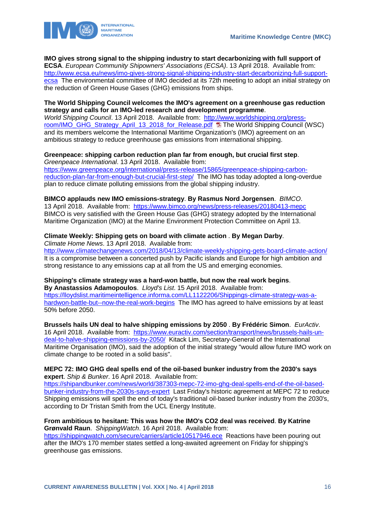

## **IMO gives strong signal to the shipping industry to start decarbonizing with full support of**

**ECSA**. *European Community Shipowners' Associations (ECSA)*. 13 April 2018. Available from: [http://www.ecsa.eu/news/imo-gives-strong-signal-shipping-industry-start-decarbonizing-full-support](http://www.ecsa.eu/news/imo-gives-strong-signal-shipping-industry-start-decarbonizing-full-support-ecsa)[ecsa](http://www.ecsa.eu/news/imo-gives-strong-signal-shipping-industry-start-decarbonizing-full-support-ecsa) The environmental committee of IMO decided at its 72th meeting to adopt an initial strategy on the reduction of Green House Gases (GHG) emissions from ships.

### **The World Shipping Council welcomes the IMO's agreement on a greenhouse gas reduction strategy and calls for an IMO-led research and development programme**.

*World Shipping Council*. 13 April 2018. Available from: [http://www.worldshipping.org/press](http://www.worldshipping.org/press-room/IMO_GHG_Strategy_April_13_2018_for_Release.pdf)[room/IMO\\_GHG\\_Strategy\\_April\\_13\\_2018\\_for\\_Release.pdf](http://www.worldshipping.org/press-room/IMO_GHG_Strategy_April_13_2018_for_Release.pdf) Ta The World Shipping Council (WSC) and its members welcome the International Maritime Organization's (IMO) agreement on an ambitious strategy to reduce greenhouse gas emissions from international shipping.

## **Greenpeace: shipping carbon reduction plan far from enough, but crucial first step**.

*Greenpeace International*. 13 April 2018. Available from: [https://www.greenpeace.org/international/press-release/15865/greenpeace-shipping-carbon](https://www.greenpeace.org/international/press-release/15865/greenpeace-shipping-carbon-reduction-plan-far-from-enough-but-crucial-first-step/)[reduction-plan-far-from-enough-but-crucial-first-step/](https://www.greenpeace.org/international/press-release/15865/greenpeace-shipping-carbon-reduction-plan-far-from-enough-but-crucial-first-step/) The IMO has today adopted a long-overdue plan to reduce climate polluting emissions from the global shipping industry.

### **BIMCO applauds new IMO emissions-strategy**. **By Rasmus Nord Jorgensen**. *BIMCO*.

13 April 2018. Available from: <https://www.bimco.org/news/press-releases/20180413-mepc> BIMCO is very satisfied with the Green House Gas (GHG) strategy adopted by the International Maritime Organization (IMO) at the Marine Environment Protection Committee on April 13.

## **Climate Weekly: Shipping gets on board with climate action** . **By Megan Darby**.

*Climate Home News*. 13 April 2018. Available from:

<http://www.climatechangenews.com/2018/04/13/climate-weekly-shipping-gets-board-climate-action/> It is a compromise between a concerted push by Pacific islands and Europe for high ambition and strong resistance to any emissions cap at all from the US and emerging economies.

## **Shipping's climate strategy was a hard-won battle, but now the real work begins**. **By Anastassios Adamopoulos**. *Lloyd's List*. 15 April 2018. Available from: [https://lloydslist.maritimeintelligence.informa.com/LL1122206/Shippings-climate-strategy-was-a-](https://lloydslist.maritimeintelligence.informa.com/LL1122206/Shippings-climate-strategy-was-a-hardwon-battle-but--now-the-real-work-begins)

[hardwon-battle-but--now-the-real-work-begins](https://lloydslist.maritimeintelligence.informa.com/LL1122206/Shippings-climate-strategy-was-a-hardwon-battle-but--now-the-real-work-begins) The IMO has agreed to halve emissions by at least 50% before 2050.

**Brussels hails UN deal to halve shipping emissions by 2050** . **By Frédéric Simon**. *EurActiv*. 16 April 2018. Available from: [https://www.euractiv.com/section/transport/news/brussels-hails-un](https://www.euractiv.com/section/transport/news/brussels-hails-un-deal-to-halve-shipping-emissions-by-2050/)[deal-to-halve-shipping-emissions-by-2050/](https://www.euractiv.com/section/transport/news/brussels-hails-un-deal-to-halve-shipping-emissions-by-2050/) Kitack Lim, Secretary-General of the International Maritime Organisation (IMO), said the adoption of the initial strategy "would allow future IMO work on climate change to be rooted in a solid basis".

### **MEPC 72: IMO GHG deal spells end of the oil-based bunker industry from the 2030's says expert**. *Ship & Bunker*. 16 April 2018. Available from:

[https://shipandbunker.com/news/world/387303-mepc-72-imo-ghg-deal-spells-end-of-the-oil-based](https://shipandbunker.com/news/world/387303-mepc-72-imo-ghg-deal-spells-end-of-the-oil-based-bunker-industry-from-the-2030s-says-expert)[bunker-industry-from-the-2030s-says-expert](https://shipandbunker.com/news/world/387303-mepc-72-imo-ghg-deal-spells-end-of-the-oil-based-bunker-industry-from-the-2030s-says-expert) Last Friday's historic agreement at MEPC 72 to reduce Shipping emissions will spell the end of today's traditional oil-based bunker industry from the 2030's, according to Dr Tristan Smith from the UCL Energy Institute.

### **From ambitious to hesitant: This was how the IMO's CO2 deal was received**. **By Katrine Grønvald Raun**. *ShippingWatch*. 16 April 2018. Available from:

<https://shippingwatch.com/secure/carriers/article10517946.ece>Reactions have been pouring out after the IMO's 170 member states settled a long-awaited agreement on Friday for shipping's greenhouse gas emissions.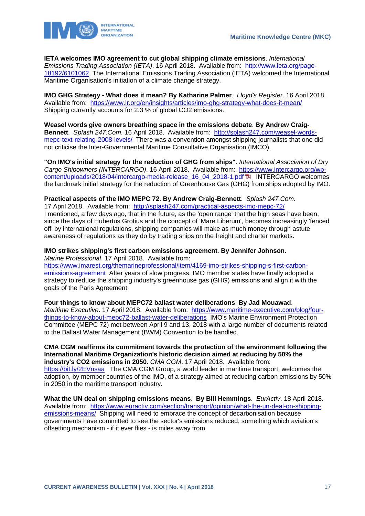

**IETA welcomes IMO agreement to cut global shipping climate emissions**. *International* 

*Emissions Trading Association (IETA)*. 16 April 2018. Available from: [http://www.ieta.org/page-](http://www.ieta.org/page-18192/6101062)[18192/6101062](http://www.ieta.org/page-18192/6101062) The International Emissions Trading Association (IETA) welcomed the International Maritime Organisation's initiation of a climate change strategy.

**IMO GHG Strategy - What does it mean? By Katharine Palmer**. *Lloyd's Register*. 16 April 2018. Available from: <https://www.lr.org/en/insights/articles/imo-ghg-strategy-what-does-it-mean/> Shipping currently accounts for 2.3 % of global CO2 emissions.

**Weasel words give owners breathing space in the emissions debate**. **By Andrew Craig-Bennett**. *Splash 247.Com*. 16 April 2018. Available from: [http://splash247.com/weasel-words](http://splash247.com/weasel-words-mepc-text-relating-2008-levels/)[mepc-text-relating-2008-levels/](http://splash247.com/weasel-words-mepc-text-relating-2008-levels/) There was a convention amongst shipping journalists that one did not criticise the Inter-Governmental Maritime Consultative Organisation (IMCO).

**"On IMO's initial strategy for the reduction of GHG from ships"**. *International Association of Dry Cargo Shipowners (INTERCARGO)*. 16 April 2018. Available from: [https://www.intercargo.org/wp](https://www.intercargo.org/wp-content/uploads/2018/04/intercargo-media-release_16_04_2018-1.pdf)[content/uploads/2018/04/intercargo-media-release\\_16\\_04\\_2018-1.pdf](https://www.intercargo.org/wp-content/uploads/2018/04/intercargo-media-release_16_04_2018-1.pdf) INTERCARGO welcomes the landmark initial strategy for the reduction of Greenhouse Gas (GHG) from ships adopted by IMO.

## **Practical aspects of the IMO MEPC 72**. **By Andrew Craig-Bennett**. *Splash 247.Com*.

17 April 2018. Available from: <http://splash247.com/practical-aspects-imo-mepc-72/> I mentioned, a few days ago, that in the future, as the 'open range' that the high seas have been, since the days of Hubertus Grotius and the concept of 'Mare Liberum', becomes increasingly 'fenced off' by international regulations, shipping companies will make as much money through astute awareness of regulations as they do by trading ships on the freight and charter markets.

#### **IMO strikes shipping's first carbon emissions agreement**. **By Jennifer Johnson**. *Marine Professional*. 17 April 2018. Available from:

[https://www.imarest.org/themarineprofessional/item/4169-imo-strikes-shipping-s-first-carbon](https://www.imarest.org/themarineprofessional/item/4169-imo-strikes-shipping-s-first-carbon-emissions-agreement)[emissions-agreement](https://www.imarest.org/themarineprofessional/item/4169-imo-strikes-shipping-s-first-carbon-emissions-agreement) After years of slow progress, IMO member states have finally adopted a strategy to reduce the shipping industry's greenhouse gas (GHG) emissions and align it with the goals of the Paris Agreement.

**Four things to know about MEPC72 ballast water deliberations**. **By Jad Mouawad**. *Maritime Executive*. 17 April 2018. Available from: [https://www.maritime-executive.com/blog/four](https://www.maritime-executive.com/blog/four-things-to-know-about-mepc72-ballast-water-deliberations)[things-to-know-about-mepc72-ballast-water-deliberations](https://www.maritime-executive.com/blog/four-things-to-know-about-mepc72-ballast-water-deliberations) IMO's Marine Environment Protection Committee (MEPC 72) met between April 9 and 13, 2018 with a large number of documents related to the Ballast Water Management (BWM) Convention to be handled.

**CMA CGM reaffirms its commitment towards the protection of the environment following the International Maritime Organization's historic decision aimed at reducing by 50% the industry's CO2 emissions in 2050**. *CMA CGM*. 17 April 2018. Available from: <https://bit.ly/2EVnsaa> The CMA CGM Group, a world leader in maritime transport, welcomes the adoption, by member countries of the IMO, of a strategy aimed at reducing carbon emissions by 50% in 2050 in the maritime transport industry.

**What the UN deal on shipping emissions means**. **By Bill Hemmings**. *EurActiv*. 18 April 2018. Available from: [https://www.euractiv.com/section/transport/opinion/what-the-un-deal-on-shipping](https://www.euractiv.com/section/transport/opinion/what-the-un-deal-on-shipping-emissions-means/)[emissions-means/](https://www.euractiv.com/section/transport/opinion/what-the-un-deal-on-shipping-emissions-means/) Shipping will need to embrace the concept of decarbonisation because governments have committed to see the sector's emissions reduced, something which aviation's offsetting mechanism - if it ever flies - is miles away from.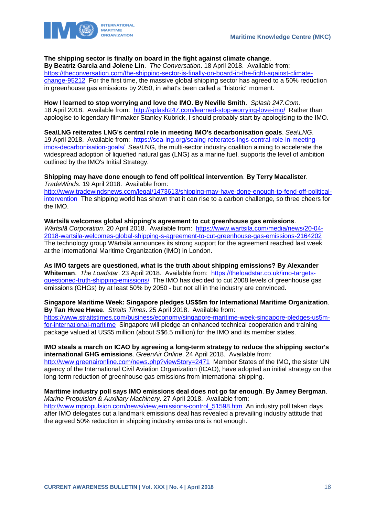

## **The shipping sector is finally on board in the fight against climate change**.

**By Beatriz Garcia and Jolene Lin**. *The Conversation*. 18 April 2018. Available from: [https://theconversation.com/the-shipping-sector-is-finally-on-board-in-the-fight-against-climate](https://theconversation.com/the-shipping-sector-is-finally-on-board-in-the-fight-against-climate-change-95212)[change-95212](https://theconversation.com/the-shipping-sector-is-finally-on-board-in-the-fight-against-climate-change-95212) For the first time, the massive global shipping sector has agreed to a 50% reduction in greenhouse gas emissions by 2050, in what's been called a "historic" moment.

### **How I learned to stop worrying and love the IMO**. **By Neville Smith**. *Splash 247.Com*.

18 April 2018. Available from: <http://splash247.com/learned-stop-worrying-love-imo/>Rather than apologise to legendary filmmaker Stanley Kubrick, I should probably start by apologising to the IMO.

**Sea\LNG reiterates LNG's central role in meeting IMO's decarbonisation goals**. *Sea\LNG*. 19 April 2018. Available from: [https://sea-lng.org/sealng-reiterates-lngs-central-role-in-meeting](https://sea-lng.org/sealng-reiterates-lngs-central-role-in-meeting-imos-decarbonisation-goals/)[imos-decarbonisation-goals/](https://sea-lng.org/sealng-reiterates-lngs-central-role-in-meeting-imos-decarbonisation-goals/) Sea\LNG, the multi-sector industry coalition aiming to accelerate the widespread adoption of liquefied natural gas (LNG) as a marine fuel, supports the level of ambition outlined by the IMO's Initial Strategy.

#### **Shipping may have done enough to fend off political intervention**. **By Terry Macalister**. *TradeWinds*. 19 April 2018. Available from:

[http://www.tradewindsnews.com/legal/1473613/shipping-may-have-done-enough-to-fend-off-political](http://www.tradewindsnews.com/legal/1473613/shipping-may-have-done-enough-to-fend-off-political-intervention)[intervention](http://www.tradewindsnews.com/legal/1473613/shipping-may-have-done-enough-to-fend-off-political-intervention) The shipping world has shown that it can rise to a carbon challenge, so three cheers for the IMO.

**Wärtsilä welcomes global shipping's agreement to cut greenhouse gas emissions**. *Wärtsilä Corporation*. 20 April 2018. Available from: [https://www.wartsila.com/media/news/20-04-](https://www.wartsila.com/media/news/20-04-2018-wartsila-welcomes-global-shipping-s-agreement-to-cut-greenhouse-gas-emissions-2164202) [2018-wartsila-welcomes-global-shipping-s-agreement-to-cut-greenhouse-gas-emissions-2164202](https://www.wartsila.com/media/news/20-04-2018-wartsila-welcomes-global-shipping-s-agreement-to-cut-greenhouse-gas-emissions-2164202)  The technology group Wärtsilä announces its strong support for the agreement reached last week at the International Maritime Organization (IMO) in London.

**As IMO targets are questioned, what is the truth about shipping emissions? By Alexander Whiteman**. *The Loadstar*. 23 April 2018. Available from: [https://theloadstar.co.uk/imo-targets](https://theloadstar.co.uk/imo-targets-questioned-truth-shipping-emissions/)[questioned-truth-shipping-emissions/](https://theloadstar.co.uk/imo-targets-questioned-truth-shipping-emissions/) The IMO has decided to cut 2008 levels of greenhouse gas emissions (GHGs) by at least 50% by 2050 - but not all in the industry are convinced.

## **Singapore Maritime Week: Singapore pledges US\$5m for International Maritime Organization**. **By Tan Hwee Hwee**. *Straits Times*. 25 April 2018. Available from:

[https://www.straitstimes.com/business/economy/singapore-maritime-week-singapore-pledges-us5m](https://www.straitstimes.com/business/economy/singapore-maritime-week-singapore-pledges-us5m-for-international-maritime)[for-international-maritime](https://www.straitstimes.com/business/economy/singapore-maritime-week-singapore-pledges-us5m-for-international-maritime) Singapore will pledge an enhanced technical cooperation and training package valued at US\$5 million (about S\$6.5 million) for the IMO and its member states.

## **IMO steals a march on ICAO by agreeing a long-term strategy to reduce the shipping sector's international GHG emissions**. *GreenAir Online*. 24 April 2018. Available from:

<http://www.greenaironline.com/news.php?viewStory=2471>Member States of the IMO, the sister UN agency of the International Civil Aviation Organization (ICAO), have adopted an initial strategy on the long-term reduction of greenhouse gas emissions from international shipping.

#### **Maritime industry poll says IMO emissions deal does not go far enough**. **By Jamey Bergman**. *Marine Propulsion & Auxiliary Machinery*. 27 April 2018. Available from:

[http://www.mpropulsion.com/news/view,emissions-control\\_51598.htm](http://www.mpropulsion.com/news/view,emissions-control_51598.htm) An industry poll taken days after IMO delegates cut a landmark emissions deal has revealed a prevailing industry attitude that the agreed 50% reduction in shipping industry emissions is not enough.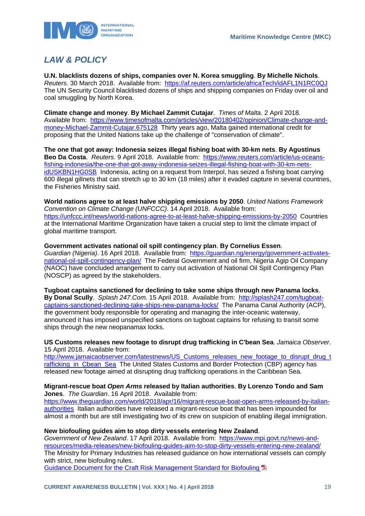

## <span id="page-19-0"></span>*LAW & POLICY*

**U.N. blacklists dozens of ships, companies over N. Korea smuggling**. **By Michelle Nichols**. *Reuters*. 30 March 2018. Available from:<https://af.reuters.com/article/africaTech/idAFL1N1RC0QJ> The UN Security Council blacklisted dozens of ships and shipping companies on Friday over oil and coal smuggling by North Korea.

**Climate change and money**. **By Michael Zammit Cutajar**. *Times of Malta*. 2 April 2018. Available from: [https://www.timesofmalta.com/articles/view/20180402/opinion/Climate-change-and](https://www.timesofmalta.com/articles/view/20180402/opinion/Climate-change-and-money-Michael-Zammit-Cutajar.675128)[money-Michael-Zammit-Cutajar.675128](https://www.timesofmalta.com/articles/view/20180402/opinion/Climate-change-and-money-Michael-Zammit-Cutajar.675128) Thirty years ago, Malta gained international credit for proposing that the United Nations take up the challenge of "conservation of climate".

**The one that got away: Indonesia seizes illegal fishing boat with 30-km nets**. **By Agustinus Beo Da Costa**. *Reuters*. 9 April 2018. Available from: [https://www.reuters.com/article/us-oceans](https://www.reuters.com/article/us-oceans-fishing-indonesia/the-one-that-got-away-indonesia-seizes-illegal-fishing-boat-with-30-km-nets-idUSKBN1HG0SB)[fishing-indonesia/the-one-that-got-away-indonesia-seizes-illegal-fishing-boat-with-30-km-nets](https://www.reuters.com/article/us-oceans-fishing-indonesia/the-one-that-got-away-indonesia-seizes-illegal-fishing-boat-with-30-km-nets-idUSKBN1HG0SB)[idUSKBN1HG0SB](https://www.reuters.com/article/us-oceans-fishing-indonesia/the-one-that-got-away-indonesia-seizes-illegal-fishing-boat-with-30-km-nets-idUSKBN1HG0SB) Indonesia, acting on a request from Interpol, has seized a fishing boat carrying 600 illegal gillnets that can stretch up to 30 km (18 miles) after it evaded capture in several countries, the Fisheries Ministry said.

**World nations agree to at least halve shipping emissions by 2050**. *United Nations Framework Convention on Climate Change (UNFCCC)*. 14 April 2018. Available from: <https://unfccc.int/news/world-nations-agree-to-at-least-halve-shipping-emissions-by-2050>Countries at the International Maritime Organization have taken a crucial step to limit the climate impact of global maritime transport.

**Government activates national oil spill contingency plan**. **By Cornelius Essen**. *Guardian (Nigeria)*. 16 April 2018. Available from: [https://guardian.ng/energy/government-activates](https://guardian.ng/energy/government-activates-national-oil-spill-contingency-plan/)[national-oil-spill-contingency-plan/](https://guardian.ng/energy/government-activates-national-oil-spill-contingency-plan/) The Federal Government and oil firm, Nigeria Agip Oil Company (NAOC) have concluded arrangement to carry out activation of National Oil Spill Contingency Plan (NOSCP) as agreed by the stakeholders.

**Tugboat captains sanctioned for declining to take some ships through new Panama locks**. **By Donal Scully**. *Splash 247.Com*. 15 April 2018. Available from: [http://splash247.com/tugboat](http://splash247.com/tugboat-captains-sanctioned-declining-take-ships-new-panama-locks/)[captains-sanctioned-declining-take-ships-new-panama-locks/](http://splash247.com/tugboat-captains-sanctioned-declining-take-ships-new-panama-locks/) The Panama Canal Authority (ACP), the government body responsible for operating and managing the inter-oceanic waterway, announced it has imposed unspecified sanctions on tugboat captains for refusing to transit some ships through the new neopanamax locks.

**US Customs releases new footage to disrupt drug trafficking in C'bean Sea**. *Jamaica Observer*. 15 April 2018. Available from:

[http://www.jamaicaobserver.com/latestnews/US\\_Customs\\_releases\\_new\\_footage\\_to\\_disrupt\\_drug\\_t](http://www.jamaicaobserver.com/latestnews/US_Customs_releases_new_footage_to_disrupt_drug_trafficking_in_Cbean_Sea) rafficking in Cbean Sea The United States Customs and Border Protection (CBP) agency has released new footage aimed at disrupting drug trafficking operations in the Caribbean Sea.

### **Migrant-rescue boat** *Open Arms* **released by Italian authorities**. **By Lorenzo Tondo and Sam Jones**. *The Guardian*. 16 April 2018. Available from:

[https://www.theguardian.com/world/2018/apr/16/migrant-rescue-boat-open-arms-released-by-italian](https://www.theguardian.com/world/2018/apr/16/migrant-rescue-boat-open-arms-released-by-italian-authorities)[authorities](https://www.theguardian.com/world/2018/apr/16/migrant-rescue-boat-open-arms-released-by-italian-authorities) Italian authorities have released a migrant-rescue boat that has been impounded for almost a month but are still investigating two of its crew on suspicion of enabling illegal immigration.

## **New biofouling guides aim to stop dirty vessels entering New Zealand**.

*Government of New Zealand*. 17 April 2018. Available from: [https://www.mpi.govt.nz/news-and](https://www.mpi.govt.nz/news-and-resources/media-releases/new-biofouling-guides-aim-to-stop-dirty-vessels-entering-new-zealand/)[resources/media-releases/new-biofouling-guides-aim-to-stop-dirty-vessels-entering-new-zealand/](https://www.mpi.govt.nz/news-and-resources/media-releases/new-biofouling-guides-aim-to-stop-dirty-vessels-entering-new-zealand/)  The Ministry for Primary Industries has released guidance on how international vessels can comply with strict, new biofouling rules.

Guidance Document for [the Craft Risk Management Standard for Biofouling](https://www.mpi.govt.nz/dmsdocument/11671-biofouling-on-vessels-arriving-to-new-zealand-guidance-document-for-the-craft-risk-management-standard)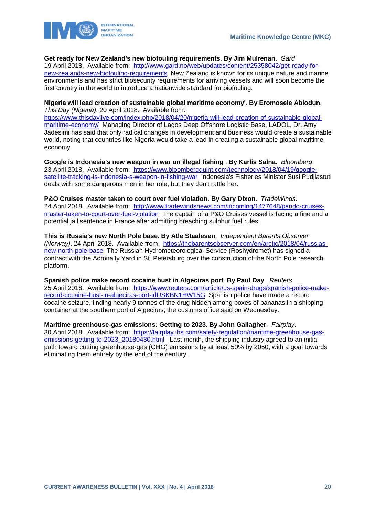



## **Get ready for New Zealand's new biofouling requirements**. **By Jim Mulrenan**. *Gard*.

19 April 2018. Available from: [http://www.gard.no/web/updates/content/25358042/get-ready-for](http://www.gard.no/web/updates/content/25358042/get-ready-for-new-zealands-new-biofouling-requirements)[new-zealands-new-biofouling-requirements](http://www.gard.no/web/updates/content/25358042/get-ready-for-new-zealands-new-biofouling-requirements) New Zealand is known for its unique nature and marine environments and has strict biosecurity requirements for arriving vessels and will soon become the first country in the world to introduce a nationwide standard for biofouling.

#### **Nigeria will lead creation of sustainable global maritime economy'**. **By Eromosele Abiodun**. *This Day (Nigeria)*. 20 April 2018. Available from:

[https://www.thisdaylive.com/index.php/2018/04/20/nigeria-will-lead-creation-of-sustainable-global](https://www.thisdaylive.com/index.php/2018/04/20/nigeria-will-lead-creation-of-sustainable-global-maritime-economy/)[maritime-economy/](https://www.thisdaylive.com/index.php/2018/04/20/nigeria-will-lead-creation-of-sustainable-global-maritime-economy/) Managing Director of Lagos Deep Offshore Logistic Base, LADOL, Dr. Amy Jadesimi has said that only radical changes in development and business would create a sustainable world, noting that countries like Nigeria would take a lead in creating a sustainable global maritime economy.

**Google is Indonesia's new weapon in war on illegal fishing** . **By Karlis Salna**. *Bloomberg*. 23 April 2018. Available from: [https://www.bloombergquint.com/technology/2018/04/19/google](https://www.bloombergquint.com/technology/2018/04/19/google-satellite-tracking-is-indonesia-s-weapon-in-fishing-war)[satellite-tracking-is-indonesia-s-weapon-in-fishing-war](https://www.bloombergquint.com/technology/2018/04/19/google-satellite-tracking-is-indonesia-s-weapon-in-fishing-war) Indonesia's Fisheries Minister Susi Pudjiastuti deals with some dangerous men in her role, but they don't rattle her.

**P&O Cruises master taken to court over fuel violation**. **By Gary Dixon**. *TradeWinds*. 24 April 2018. Available from: [http://www.tradewindsnews.com/incoming/1477648/pando-cruises](http://www.tradewindsnews.com/incoming/1477648/pando-cruises-master-taken-to-court-over-fuel-violation)[master-taken-to-court-over-fuel-violation](http://www.tradewindsnews.com/incoming/1477648/pando-cruises-master-taken-to-court-over-fuel-violation) The captain of a P&O Cruises vessel is facing a fine and a potential jail sentence in France after admitting breaching sulphur fuel rules.

**This is Russia's new North Pole base**. **By Atle Staalesen**. *Independent Barents Observer (Norway)*. 24 April 2018. Available from: [https://thebarentsobserver.com/en/arctic/2018/04/russias](https://thebarentsobserver.com/en/arctic/2018/04/russias-new-north-pole-base)[new-north-pole-base](https://thebarentsobserver.com/en/arctic/2018/04/russias-new-north-pole-base) The Russian Hydrometeorological Service (Roshydromet) has signed a contract with the Admiralty Yard in St. Petersburg over the construction of the North Pole research platform.

**Spanish police make record cocaine bust in Algeciras port**. **By Paul Day**. *Reuters*. 25 April 2018. Available from: [https://www.reuters.com/article/us-spain-drugs/spanish-police-make](https://www.reuters.com/article/us-spain-drugs/spanish-police-make-record-cocaine-bust-in-algeciras-port-idUSKBN1HW15G)[record-cocaine-bust-in-algeciras-port-idUSKBN1HW15G](https://www.reuters.com/article/us-spain-drugs/spanish-police-make-record-cocaine-bust-in-algeciras-port-idUSKBN1HW15G) Spanish police have made a record cocaine seizure, finding nearly 9 tonnes of the drug hidden among boxes of bananas in a shipping container at the southern port of Algeciras, the customs office said on Wednesday.

**Maritime greenhouse-gas emissions: Getting to 2023**. **By John Gallagher**. *Fairplay*. 30 April 2018. Available from: [https://fairplay.ihs.com/safety-regulation/maritime-greenhouse-gas](https://fairplay.ihs.com/safety-regulation/maritime-greenhouse-gas-emissions-getting-to-2023_20180430.html)[emissions-getting-to-2023\\_20180430.html](https://fairplay.ihs.com/safety-regulation/maritime-greenhouse-gas-emissions-getting-to-2023_20180430.html) Last month, the shipping industry agreed to an initial path toward cutting greenhouse-gas (GHG) emissions by at least 50% by 2050, with a goal towards eliminating them entirely by the end of the century.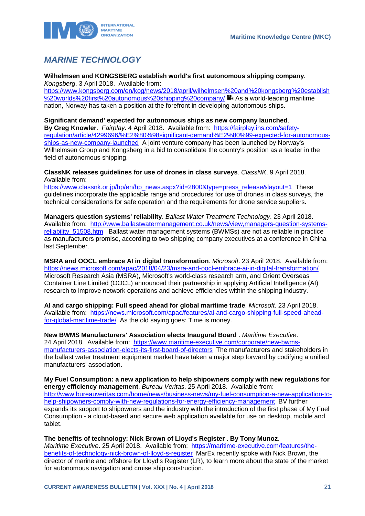

## <span id="page-21-0"></span>*MARINE TECHNOLOGY*

#### **Wilhelmsen and KONGSBERG establish world's first autonomous shipping company**. *Kongsberg*. 3 April 2018. Available from:

[https://www.kongsberg.com/en/kog/news/2018/april/wilhelmsen%20and%20kongsberg%20establish](https://www.kongsberg.com/en/kog/news/2018/april/wilhelmsen%20and%20kongsberg%20establish%20worlds%20first%20autonomous%20shipping%20company/) [%20worlds%20first%20autonomous%20shipping%20company/](https://www.kongsberg.com/en/kog/news/2018/april/wilhelmsen%20and%20kongsberg%20establish%20worlds%20first%20autonomous%20shipping%20company/)  $\blacksquare$  As a world-leading maritime nation, Norway has taken a position at the forefront in developing autonomous ships.

## **Significant demand' expected for autonomous ships as new company launched**.

**By Greg Knowler**. *Fairplay*. 4 April 2018. Available from: [https://fairplay.ihs.com/safety](https://fairplay.ihs.com/safety-regulation/article/4299696/%E2%80%98significant-demand%E2%80%99-expected-for-autonomous-ships-as-new-company-launched)[regulation/article/4299696/%E2%80%98significant-demand%E2%80%99-expected-for-autonomous](https://fairplay.ihs.com/safety-regulation/article/4299696/%E2%80%98significant-demand%E2%80%99-expected-for-autonomous-ships-as-new-company-launched)[ships-as-new-company-launched](https://fairplay.ihs.com/safety-regulation/article/4299696/%E2%80%98significant-demand%E2%80%99-expected-for-autonomous-ships-as-new-company-launched) A joint venture company has been launched by Norway's Wilhelmsen Group and Kongsberg in a bid to consolidate the country's position as a leader in the field of autonomous shipping.

#### **ClassNK releases guidelines for use of drones in class surveys**. *ClassNK*. 9 April 2018. Available from:

https://www.classnk.or.jp/hp/en/hp\_news.aspx?id=2800&type=press\_release&layout=1\_These guidelines incorporate the applicable range and procedures for use of drones in class surveys, the technical considerations for safe operation and the requirements for drone service suppliers.

**Managers question systems' reliability**. *Ballast Water Treatment Technology*. 23 April 2018. Available from: [http://www.ballastwatermanagement.co.uk/news/view,managers-question-systems](http://www.ballastwatermanagement.co.uk/news/view,managers-question-systems-reliability_51508.htm)reliability 51508.htm Ballast water management systems (BWMSs) are not as reliable in practice as manufacturers promise, according to two shipping company executives at a conference in China last September.

**MSRA and OOCL embrace AI in digital transformation**. *Microsoft*. 23 April 2018. Available from: <https://news.microsoft.com/apac/2018/04/23/msra-and-oocl-embrace-ai-in-digital-transformation/> Microsoft Research Asia (MSRA), Microsoft's world-class research arm, and Orient Overseas Container Line Limited (OOCL) announced their partnership in applying Artificial Intelligence (AI) research to improve network operations and achieve efficiencies within the shipping industry.

**AI and cargo shipping: Full speed ahead for global maritime trade**. *Microsoft*. 23 April 2018. Available from: [https://news.microsoft.com/apac/features/ai-and-cargo-shipping-full-speed-ahead](https://news.microsoft.com/apac/features/ai-and-cargo-shipping-full-speed-ahead-for-global-maritime-trade/)[for-global-maritime-trade/](https://news.microsoft.com/apac/features/ai-and-cargo-shipping-full-speed-ahead-for-global-maritime-trade/) As the old saying goes: Time is money.

**New BWMS Manufacturers' Association elects Inaugural Board** . *Maritime Executive*. 24 April 2018. Available from: [https://www.maritime-executive.com/corporate/new-bwms](https://www.maritime-executive.com/corporate/new-bwms-manufacturers-association-elects-its-first-board-of-directors)[manufacturers-association-elects-its-first-board-of-directors](https://www.maritime-executive.com/corporate/new-bwms-manufacturers-association-elects-its-first-board-of-directors) The manufacturers and stakeholders in the ballast water treatment equipment market have taken a major step forward by codifying a unified manufacturers' association.

**My Fuel Consumption: a new application to help shipowners comply with new regulations for energy efficiency management**. *Bureau Veritas*. 25 April 2018. Available from: [http://www.bureauveritas.com/home/news/business-news/my-fuel-consumption-a-new-application-to](http://www.bureauveritas.com/home/news/business-news/my-fuel-consumption-a-new-application-to-help-shipowners-comply-with-new-regulations-for-energy-efficiency-management)[help-shipowners-comply-with-new-regulations-for-energy-efficiency-management](http://www.bureauveritas.com/home/news/business-news/my-fuel-consumption-a-new-application-to-help-shipowners-comply-with-new-regulations-for-energy-efficiency-management) BV further expands its support to shipowners and the industry with the introduction of the first phase of My Fuel Consumption - a cloud-based and secure web application available for use on desktop, mobile and tablet.

## **The benefits of technology: Nick Brown of Lloyd's Register** . **By Tony Munoz**.

*Maritime Executive*. 25 April 2018. Available from: [https://maritime-executive.com/features/the](https://maritime-executive.com/features/the-benefits-of-technology-nick-brown-of-lloyd-s-register)[benefits-of-technology-nick-brown-of-lloyd-s-register](https://maritime-executive.com/features/the-benefits-of-technology-nick-brown-of-lloyd-s-register) MarEx recently spoke with Nick Brown, the director of marine and offshore for Lloyd's Register (LR), to learn more about the state of the market for autonomous navigation and cruise ship construction.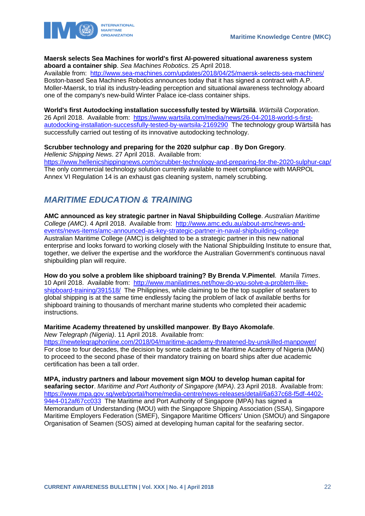



### **Maersk selects Sea Machines for world's first AI-powered situational awareness system aboard a container ship**. *Sea Machines Robotics*. 25 April 2018.

Available from: <http://www.sea-machines.com/updates/2018/04/25/maersk-selects-sea-machines/> Boston-based Sea Machines Robotics announces today that it has signed a contract with A.P. Moller-Maersk, to trial its industry-leading perception and situational awareness technology aboard one of the company's new-build Winter Palace ice-class container ships.

**World's first Autodocking installation successfully tested by Wärtsilä**. *Wärtsilä Corporation*. 26 April 2018. Available from: [https://www.wartsila.com/media/news/26-04-2018-world-s-first](https://www.wartsila.com/media/news/26-04-2018-world-s-first-autodocking-installation-successfully-tested-by-wartsila-2169290)[autodocking-installation-successfully-tested-by-wartsila-2169290](https://www.wartsila.com/media/news/26-04-2018-world-s-first-autodocking-installation-successfully-tested-by-wartsila-2169290) The technology group Wärtsilä has successfully carried out testing of its innovative autodocking technology.

## **Scrubber technology and preparing for the 2020 sulphur cap** . **By Don Gregory**.

*Hellenic Shipping News*. 27 April 2018. Available from: <https://www.hellenicshippingnews.com/scrubber-technology-and-preparing-for-the-2020-sulphur-cap/> The only commercial technology solution currently available to meet compliance with MARPOL Annex VI Regulation 14 is an exhaust gas cleaning system, namely scrubbing.

## <span id="page-22-0"></span>*MARITIME EDUCATION & TRAINING*

**AMC announced as key strategic partner in Naval Shipbuilding College**. *Australian Maritime College (AMC)*. 4 April 2018. Available from: [http://www.amc.edu.au/about-amc/news-and](http://www.amc.edu.au/about-amc/news-and-events/news-items/amc-announced-as-key-strategic-partner-in-naval-shipbuilding-college)[events/news-items/amc-announced-as-key-strategic-partner-in-naval-shipbuilding-college](http://www.amc.edu.au/about-amc/news-and-events/news-items/amc-announced-as-key-strategic-partner-in-naval-shipbuilding-college) Australian Maritime College (AMC) is delighted to be a strategic partner in this new national enterprise and looks forward to working closely with the National Shipbuilding Institute to ensure that, together, we deliver the expertise and the workforce the Australian Government's continuous naval shipbuilding plan will require.

**How do you solve a problem like shipboard training? By Brenda V.Pimentel**. *Manila Times*. 10 April 2018. Available from: [http://www.manilatimes.net/how-do-you-solve-a-problem-like](http://www.manilatimes.net/how-do-you-solve-a-problem-like-shipboard-training/391518/)[shipboard-training/391518/](http://www.manilatimes.net/how-do-you-solve-a-problem-like-shipboard-training/391518/) The Philippines, while claiming to be the top supplier of seafarers to global shipping is at the same time endlessly facing the problem of lack of available berths for shipboard training to thousands of merchant marine students who completed their academic instructions.

## **Maritime Academy threatened by unskilled manpower**. **By Bayo Akomolafe**.

*New Telegraph (Nigeria)*. 11 April 2018. Available from:

<https://newtelegraphonline.com/2018/04/maritime-academy-threatened-by-unskilled-manpower/> For close to four decades, the decision by some cadets at the Maritime Academy of Nigeria (MAN) to proceed to the second phase of their mandatory training on board ships after due academic certification has been a tall order.

**MPA, industry partners and labour movement sign MOU to develop human capital for seafaring sector**. *Maritime and Port Authority of Singapore (MPA)*. 23 April 2018. Available from: [https://www.mpa.gov.sg/web/portal/home/media-centre/news-releases/detail/6a637c68-f5df-4402-](https://www.mpa.gov.sg/web/portal/home/media-centre/news-releases/detail/6a637c68-f5df-4402-94e4-012af67cc033) [94e4-012af67cc033](https://www.mpa.gov.sg/web/portal/home/media-centre/news-releases/detail/6a637c68-f5df-4402-94e4-012af67cc033) The Maritime and Port Authority of Singapore (MPA) has signed a Memorandum of Understanding (MOU) with the Singapore Shipping Association (SSA), Singapore Maritime Employers Federation (SMEF), Singapore Maritime Officers' Union (SMOU) and Singapore Organisation of Seamen (SOS) aimed at developing human capital for the seafaring sector.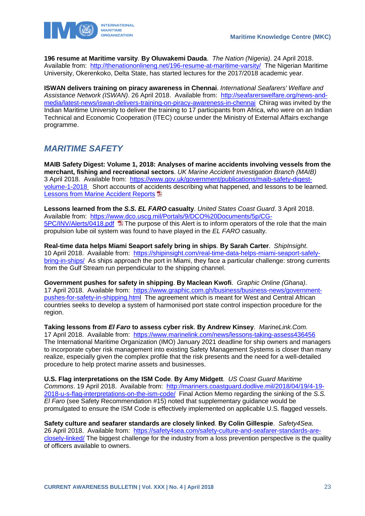**196 resume at Maritime varsity**. **By Oluwakemi Dauda**. *The Nation (Nigeria)*. 24 April 2018. Available from: <http://thenationonlineng.net/196-resume-at-maritime-varsity/>The Nigerian Maritime University, Okerenkoko, Delta State, has started lectures for the 2017/2018 academic year.

**ISWAN delivers training on piracy awareness in Chennai**. *International Seafarers' Welfare and Assistance Network (ISWAN)*. 26 April 2018. Available from: [http://seafarerswelfare.org/news-and](http://seafarerswelfare.org/news-and-media/latest-news/iswan-delivers-training-on-piracy-awareness-in-chennai)[media/latest-news/iswan-delivers-training-on-piracy-awareness-in-chennai](http://seafarerswelfare.org/news-and-media/latest-news/iswan-delivers-training-on-piracy-awareness-in-chennai) Chirag was invited by the Indian Maritime University to deliver the training to 17 participants from Africa, who were on an Indian Technical and Economic Cooperation (ITEC) course under the Ministry of External Affairs exchange programme.

## <span id="page-23-0"></span>*MARITIME SAFETY*

**MAIB Safety Digest: Volume 1, 2018: Analyses of marine accidents involving vessels from the merchant, fishing and recreational sectors**. *UK Marine Accident Investigation Branch (MAIB)* 3 April 2018. Available from: [https://www.gov.uk/government/publications/maib-safety-digest](https://www.gov.uk/government/publications/maib-safety-digest-volume-1-2018)[volume-1-2018](https://www.gov.uk/government/publications/maib-safety-digest-volume-1-2018) Short accounts of accidents describing what happened, and lessons to be learned. [Lessons from Marine Accident Reports](https://www.gov.uk/government/uploads/system/uploads/attachment_data/file/694802/2018_-_SD1_-_MAIB_Safety_Digest.pdf)

**Lessons learned from the** *S.S. EL FARO* **casualty**. *United States Coast Guard*. 3 April 2018. Available from: [https://www.dco.uscg.mil/Portals/9/DCO%20Documents/5p/CG-](https://www.dco.uscg.mil/Portals/9/DCO%20Documents/5p/CG-5PC/INV/Alerts/0418.pdf)[5PC/INV/Alerts/0418.pdf](https://www.dco.uscg.mil/Portals/9/DCO%20Documents/5p/CG-5PC/INV/Alerts/0418.pdf) The purpose of this Alert is to inform operators of the role that the main propulsion lube oil system was found to have played in the *EL FARO* casualty.

**Real-time data helps Miami Seaport safely bring in ships**. **By Sarah Carter**. *ShipInsight*. 10 April 2018. Available from: [https://shipinsight.com/real-time-data-helps-miami-seaport-safely](https://shipinsight.com/real-time-data-helps-miami-seaport-safely-bring-in-ships/)[bring-in-ships/](https://shipinsight.com/real-time-data-helps-miami-seaport-safely-bring-in-ships/) As ships approach the port in Miami, they face a particular challenge: strong currents from the Gulf Stream run perpendicular to the shipping channel.

**Government pushes for safety in shipping**. **By Maclean Kwofi**. *Graphic Online (Ghana)*. 17 April 2018. Available from: [https://www.graphic.com.gh/business/business-news/government](https://www.graphic.com.gh/business/business-news/government-pushes-for-safety-in-shipping.htm)[pushes-for-safety-in-shipping.html](https://www.graphic.com.gh/business/business-news/government-pushes-for-safety-in-shipping.htm) The agreement which is meant for West and Central African countries seeks to develop a system of harmonised port state control inspection procedure for the region.

**Taking lessons from** *El Faro* **to assess cyber risk**. **By Andrew Kinsey**. *MarineLink.Com*. 17 April 2018. Available from: <https://www.marinelink.com/news/lessons-taking-assess436456> The International Maritime Organization (IMO) January 2021 deadline for ship owners and managers to incorporate cyber risk management into existing Safety Management Systems is closer than many realize, especially given the complex profile that the risk presents and the need for a well-detailed procedure to help protect marine assets and businesses.

**U.S. Flag interpretations on the ISM Code**. **By Amy Midgett**. *US Coast Guard Maritime Commons*. 19 April 2018. Available from: [http://mariners.coastguard.dodlive.mil/2018/04/19/4-19-](http://mariners.coastguard.dodlive.mil/2018/04/19/4-19-2018-u-s-flag-interpretations-on-the-ism-code/) [2018-u-s-flag-interpretations-on-the-ism-code/](http://mariners.coastguard.dodlive.mil/2018/04/19/4-19-2018-u-s-flag-interpretations-on-the-ism-code/) Final Action Memo regarding the sinking of the *S.S. El Faro* (see Safety Recommendation #15) noted that supplementary guidance would be promulgated to ensure the ISM Code is effectively implemented on applicable U.S. flagged vessels.

**Safety culture and seafarer standards are closely linked**. **By Colin Gillespie**. *Safety4Sea*. 26 April 2018. Available from: [https://safety4sea.com/safety-culture-and-seafarer-standards-are](https://safety4sea.com/safety-culture-and-seafarer-standards-are-closely-linked/)[closely-linked/](https://safety4sea.com/safety-culture-and-seafarer-standards-are-closely-linked/) The biggest challenge for the industry from a loss prevention perspective is the quality of officers available to owners.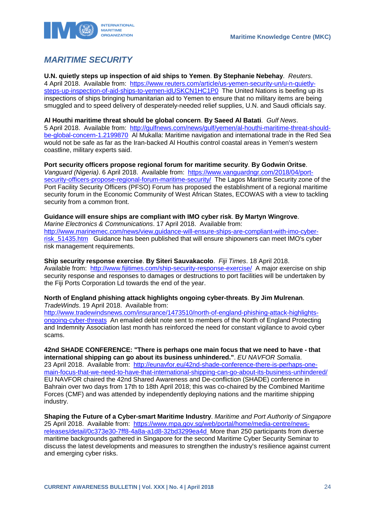

## <span id="page-24-0"></span>*MARITIME SECURITY*

**U.N. quietly steps up inspection of aid ships to Yemen**. **By Stephanie Nebehay**. *Reuters*. 4 April 2018. Available from: [https://www.reuters.com/article/us-yemen-security-un/u-n-quietly](https://www.reuters.com/article/us-yemen-security-un/u-n-quietly-steps-up-inspection-of-aid-ships-to-yemen-idUSKCN1HC1P0)[steps-up-inspection-of-aid-ships-to-yemen-idUSKCN1HC1P0](https://www.reuters.com/article/us-yemen-security-un/u-n-quietly-steps-up-inspection-of-aid-ships-to-yemen-idUSKCN1HC1P0) The United Nations is beefing up its inspections of ships bringing humanitarian aid to Yemen to ensure that no military items are being smuggled and to speed delivery of desperately-needed relief supplies, U.N. and Saudi officials say.

**Al Houthi maritime threat should be global concern**. **By Saeed Al Batati**. *Gulf News*. 5 April 2018. Available from: [http://gulfnews.com/news/gulf/yemen/al-houthi-maritime-threat-should](http://gulfnews.com/news/gulf/yemen/al-houthi-maritime-threat-should-be-global-concern-1.2199870)[be-global-concern-1.2199870](http://gulfnews.com/news/gulf/yemen/al-houthi-maritime-threat-should-be-global-concern-1.2199870) Al Mukalla: Maritime navigation and international trade in the Red Sea would not be safe as far as the Iran-backed Al Houthis control coastal areas in Yemen's western coastline, military experts said.

**Port security officers propose regional forum for maritime security**. **By Godwin Oritse**. *Vanguard (Nigeria)*. 6 April 2018. Available from: [https://www.vanguardngr.com/2018/04/port](https://www.vanguardngr.com/2018/04/port-security-officers-propose-regional-forum-maritime-security/)[security-officers-propose-regional-forum-maritime-security/](https://www.vanguardngr.com/2018/04/port-security-officers-propose-regional-forum-maritime-security/) The Lagos Maritime Security zone of the Port Facility Security Officers (PFSO) Forum has proposed the establishment of a regional maritime security forum in the Economic Community of West African States, ECOWAS with a view to tackling security from a common front.

## **Guidance will ensure ships are compliant with IMO cyber risk**. **By Martyn Wingrove**. *Marine Electronics & Communications*. 17 April 2018. Available from: [http://www.marinemec.com/news/view,guidance-will-ensure-ships-are-compliant-with-imo-cyber-](http://www.marinemec.com/news/view,guidance-will-ensure-ships-are-compliant-with-imo-cyber-risk_51435.htm)

[risk\\_51435.htm](http://www.marinemec.com/news/view,guidance-will-ensure-ships-are-compliant-with-imo-cyber-risk_51435.htm) Guidance has been published that will ensure shipowners can meet IMO's cyber risk management requirements.

**Ship security response exercise**. **By Siteri Sauvakacolo**. *Fiji Times*. 18 April 2018. Available from: <http://www.fijitimes.com/ship-security-response-exercise/>A major exercise on ship security response and responses to damages or destructions to port facilities will be undertaken by the Fiji Ports Corporation Ld towards the end of the year.

**North of England phishing attack highlights ongoing cyber-threats**. **By Jim Mulrenan**. *TradeWinds*. 19 April 2018. Available from:

[http://www.tradewindsnews.com/insurance/1473510/north-of-england-phishing-attack-highlights](http://www.tradewindsnews.com/insurance/1473510/north-of-england-phishing-attack-highlights-ongoing-cyber-threats)[ongoing-cyber-threats](http://www.tradewindsnews.com/insurance/1473510/north-of-england-phishing-attack-highlights-ongoing-cyber-threats) An emailed debit note sent to members of the North of England Protecting and Indemnity Association last month has reinforced the need for constant vigilance to avoid cyber scams.

**42nd SHADE CONFERENCE: "There is perhaps one main focus that we need to have - that international shipping can go about its business unhindered."**. *EU NAVFOR Somalia*. 23 April 2018. Available from: [http://eunavfor.eu/42nd-shade-conference-there-is-perhaps-one](http://eunavfor.eu/42nd-shade-conference-there-is-perhaps-one-main-focus-that-we-need-to-have-that-international-shipping-can-go-about-its-business-unhindered/)[main-focus-that-we-need-to-have-that-international-shipping-can-go-about-its-business-unhindered/](http://eunavfor.eu/42nd-shade-conference-there-is-perhaps-one-main-focus-that-we-need-to-have-that-international-shipping-can-go-about-its-business-unhindered/)  EU NAVFOR chaired the 42nd Shared Awareness and De-confliction (SHADE) conference in Bahrain over two days from 17th to 18th April 2018; this was co-chaired by the Combined Maritime Forces (CMF) and was attended by independently deploying nations and the maritime shipping industry.

**Shaping the Future of a Cyber-smart Maritime Industry**. *Maritime and Port Authority of Singapore*  25 April 2018. Available from: [https://www.mpa.gov.sg/web/portal/home/media-centre/news](https://www.mpa.gov.sg/web/portal/home/media-centre/news-releases/detail/0c373e30-7ff8-4a8a-a1d8-32bd3299ea4d)[releases/detail/0c373e30-7ff8-4a8a-a1d8-32bd3299ea4d](https://www.mpa.gov.sg/web/portal/home/media-centre/news-releases/detail/0c373e30-7ff8-4a8a-a1d8-32bd3299ea4d) More than 250 participants from diverse maritime backgrounds gathered in Singapore for the second Maritime Cyber Security Seminar to discuss the latest developments and measures to strengthen the industry's resilience against current and emerging cyber risks.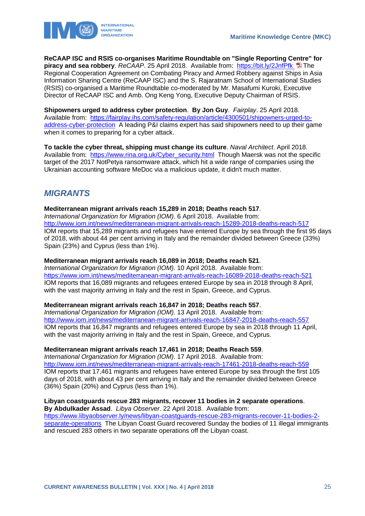

**ReCAAP ISC and RSIS co-organises Maritime Roundtable on "Single Reporting Centre" for piracy and sea robbery**. *ReCAAP*. 25 April 2018. Available from: <https://bit.ly/2JnfPfk> The Regional Cooperation Agreement on Combating Piracy and Armed Robbery against Ships in Asia Information Sharing Centre (ReCAAP ISC) and the S. Rajaratnam School of International Studies (RSIS) co-organised a Maritime Roundtable co-moderated by Mr. Masafumi Kuroki, Executive Director of ReCAAP ISC and Amb. Ong Keng Yong, Executive Deputy Chairman of RSIS.

**Shipowners urged to address cyber protection**. **By Jon Guy**. *Fairplay*. 25 April 2018. Available from: [https://fairplay.ihs.com/safety-regulation/article/4300501/shipowners-urged-to](https://fairplay.ihs.com/safety-regulation/article/4300501/shipowners-urged-to-address-cyber-protection)[address-cyber-protection](https://fairplay.ihs.com/safety-regulation/article/4300501/shipowners-urged-to-address-cyber-protection) A leading P&I claims expert has said shipowners need to up their game when it comes to preparing for a cyber attack.

**To tackle the cyber threat, shipping must change its culture**. *Naval Architect*. April 2018. Available from: [https://www.rina.org.uk/Cyber\\_security.html](https://www.rina.org.uk/Cyber_security.html) Though Maersk was not the specific target of the 2017 NotPetya ransomware attack, which hit a wide range of companies using the Ukrainian accounting software MeDoc via a malicious update, it didn't much matter.

## <span id="page-25-0"></span>*MIGRANTS*

**Mediterranean migrant arrivals reach 15,289 in 2018; Deaths reach 517**.

*International Organization for Migration (IOM)*. 6 April 2018. Available from: <http://www.iom.int/news/mediterranean-migrant-arrivals-reach-15289-2018-deaths-reach-517> IOM reports that 15,289 migrants and refugees have entered Europe by sea through the first 95 days of 2018, with about 44 per cent arriving in Italy and the remainder divided between Greece (33%) Spain (23%) and Cyprus (less than 1%).

## **Mediterranean migrant arrivals reach 16,089 in 2018; Deaths reach 521**.

*International Organization for Migration (IOM)*. 10 April 2018. Available from: <https://www.iom.int/news/mediterranean-migrant-arrivals-reach-16089-2018-deaths-reach-521> IOM reports that 16,089 migrants and refugees entered Europe by sea in 2018 through 8 April, with the vast majority arriving in Italy and the rest in Spain, Greece, and Cyprus.

## **Mediterranean migrant arrivals reach 16,847 in 2018; Deaths reach 557**.

*International Organization for Migration (IOM)*. 13 April 2018. Available from: <http://www.iom.int/news/mediterranean-migrant-arrivals-reach-16847-2018-deaths-reach-557> IOM reports that 16,847 migrants and refugees entered Europe by sea in 2018 through 11 April, with the vast majority arriving in Italy and the rest in Spain, Greece, and Cyprus.

## **Mediterranean migrant arrivals reach 17,461 in 2018; Deaths Reach 559**.

*International Organization for Migration (IOM)*. 17 April 2018. Available from: <http://www.iom.int/news/mediterranean-migrant-arrivals-reach-17461-2018-deaths-reach-559> IOM reports that 17,461 migrants and refugees have entered Europe by sea through the first 105 days of 2018, with about 43 per cent arriving in Italy and the remainder divided between Greece (36%) Spain (20%) and Cyprus (less than 1%).

## **Libyan coastguards rescue 283 migrants, recover 11 bodies in 2 separate operations**.

**By Abdulkader Assad**. *Libya Observer*. 22 April 2018. Available from: [https://www.libyaobserver.ly/news/libyan-coastguards-rescue-283-migrants-recover-11-bodies-2](https://www.libyaobserver.ly/news/libyan-coastguards-rescue-283-migrants-recover-11-bodies-2-separate-operations) [separate-operations](https://www.libyaobserver.ly/news/libyan-coastguards-rescue-283-migrants-recover-11-bodies-2-separate-operations) The Libyan Coast Guard recovered Sunday the bodies of 11 illegal immigrants and rescued 283 others in two separate operations off the Libyan coast.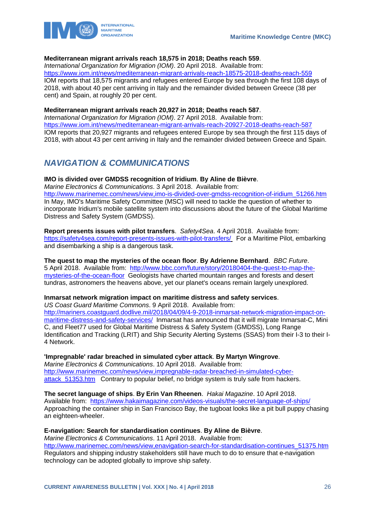

### **Mediterranean migrant arrivals reach 18,575 in 2018; Deaths reach 559**.

*International Organization for Migration (IOM)*. 20 April 2018. Available from:

<https://www.iom.int/news/mediterranean-migrant-arrivals-reach-18575-2018-deaths-reach-559> IOM reports that 18,575 migrants and refugees entered Europe by sea through the first 108 days of 2018, with about 40 per cent arriving in Italy and the remainder divided between Greece (38 per cent) and Spain, at roughly 20 per cent.

## **Mediterranean migrant arrivals reach 20,927 in 2018; Deaths reach 587**.

*International Organization for Migration (IOM)*. 27 April 2018. Available from: <https://www.iom.int/news/mediterranean-migrant-arrivals-reach-20927-2018-deaths-reach-587> IOM reports that 20,927 migrants and refugees entered Europe by sea through the first 115 days of 2018, with about 43 per cent arriving in Italy and the remainder divided between Greece and Spain.

## <span id="page-26-0"></span>*NAVIGATION & COMMUNICATIONS*

## **IMO is divided over GMDSS recognition of Iridium**. **By Aline de Bièvre**.

*Marine Electronics & Communications*. 3 April 2018. Available from: [http://www.marinemec.com/news/view,imo-is-divided-over-gmdss-recognition-of-iridium\\_51266.htm](http://www.marinemec.com/news/view,imo-is-divided-over-gmdss-recognition-of-iridium_51266.htm) In May, IMO's Maritime Safety Committee (MSC) will need to tackle the question of whether to incorporate Iridium's mobile satellite system into discussions about the future of the Global Maritime Distress and Safety System (GMDSS).

**Report presents issues with pilot transfers**. *Safety4Sea*. 4 April 2018. Available from: <https://safety4sea.com/report-presents-issues-with-pilot-transfers/> For a Maritime Pilot, embarking and disembarking a ship is a dangerous task.

**The quest to map the mysteries of the ocean floor**. **By Adrienne Bernhard**. *BBC Future*. 5 April 2018. Available from: [http://www.bbc.com/future/story/20180404-the-quest-to-map-the](http://www.bbc.com/future/story/20180404-the-quest-to-map-the-mysteries-of-the-ocean-floor)[mysteries-of-the-ocean-floor](http://www.bbc.com/future/story/20180404-the-quest-to-map-the-mysteries-of-the-ocean-floor) Geologists have charted mountain ranges and forests and desert tundras, astronomers the heavens above, yet our planet's oceans remain largely unexplored.

## **Inmarsat network migration impact on maritime distress and safety services**.

*US Coast Guard Maritime Commons*. 9 April 2018. Available from:

[http://mariners.coastguard.dodlive.mil/2018/04/09/4-9-2018-inmarsat-network-migration-impact-on](http://mariners.coastguard.dodlive.mil/2018/04/09/4-9-2018-inmarsat-network-migration-impact-on-maritime-distress-and-safety-services/)[maritime-distress-and-safety-services/](http://mariners.coastguard.dodlive.mil/2018/04/09/4-9-2018-inmarsat-network-migration-impact-on-maritime-distress-and-safety-services/) Inmarsat has announced that it will migrate Inmarsat-C, Mini C, and Fleet77 used for Global Maritime Distress & Safety System (GMDSS), Long Range Identification and Tracking (LRIT) and Ship Security Alerting Systems (SSAS) from their I-3 to their I-4 Network.

**'Impregnable' radar breached in simulated cyber attack**. **By Martyn Wingrove**.

*Marine Electronics & Communications*. 10 April 2018. Available from: [http://www.marinemec.com/news/view,impregnable-radar-breached-in-simulated-cyber](http://www.marinemec.com/news/view,impregnable-radar-breached-in-simulated-cyber-attack_51353.htm)[attack\\_51353.htm](http://www.marinemec.com/news/view,impregnable-radar-breached-in-simulated-cyber-attack_51353.htm) Contrary to popular belief, no bridge system is truly safe from hackers.

**The secret language of ships**. **By Erin Van Rheenen**. *Hakai Magazine*. 10 April 2018. Available from: <https://www.hakaimagazine.com/videos-visuals/the-secret-language-of-ships/> Approaching the container ship in San Francisco Bay, the tugboat looks like a pit bull puppy chasing an eighteen-wheeler.

## **E-navigation: Search for standardisation continues**. **By Aline de Bièvre**.

*Marine Electronics & Communications*. 11 April 2018. Available from: [http://www.marinemec.com/news/view,enavigation-search-for-standardisation-continues\\_51375.htm](http://www.marinemec.com/news/view,enavigation-search-for-standardisation-continues_51375.htm) Regulators and shipping industry stakeholders still have much to do to ensure that e-navigation technology can be adopted globally to improve ship safety.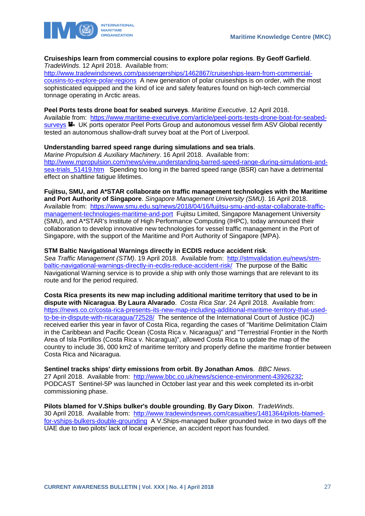

### **Cruiseships learn from commercial cousins to explore polar regions**. **By Geoff Garfield**. *TradeWinds*. 12 April 2018. Available from:

[http://www.tradewindsnews.com/passengerships/1462867/cruiseships-learn-from-commercial](http://www.tradewindsnews.com/passengerships/1462867/cruiseships-learn-from-commercial-cousins-to-explore-polar-regions)[cousins-to-explore-polar-regions](http://www.tradewindsnews.com/passengerships/1462867/cruiseships-learn-from-commercial-cousins-to-explore-polar-regions) A new generation of polar cruiseships is on order, with the most sophisticated equipped and the kind of ice and safety features found on high-tech commercial tonnage operating in Arctic areas.

## **Peel Ports tests drone boat for seabed surveys**. *Maritime Executive*. 12 April 2018.

Available from: [https://www.maritime-executive.com/article/peel-ports-tests-drone-boat-for-seabed](https://www.maritime-executive.com/article/peel-ports-tests-drone-boat-for-seabed-surveys)[surveys](https://www.maritime-executive.com/article/peel-ports-tests-drone-boat-for-seabed-surveys) UK ports operator Peel Ports Group and autonomous vessel firm ASV Global recently tested an autonomous shallow-draft survey boat at the Port of Liverpool.

## **Understanding barred speed range during simulations and sea trials**.

*Marine Propulsion & Auxiliary Machinery*. 16 April 2018. Available from: [http://www.mpropulsion.com/news/view,understanding-barred-speed-range-during-simulations-and](http://www.mpropulsion.com/news/view,understanding-barred-speed-range-during-simulations-and-sea-trials_51419.htm)sea-trials 51419.htm Spending too long in the barred speed range (BSR) can have a detrimental effect on shaftline fatigue lifetimes.

**Fujitsu, SMU, and A\*STAR collaborate on traffic management technologies with the Maritime and Port Authority of Singapore**. *Singapore Management University (SMU)*. 16 April 2018. Available from: [https://www.smu.edu.sg/news/2018/04/16/fujitsu-smu-and-astar-collaborate-traffic](https://www.smu.edu.sg/news/2018/04/16/fujitsu-smu-and-astar-collaborate-traffic-management-technologies-maritime-and-port)[management-technologies-maritime-and-port](https://www.smu.edu.sg/news/2018/04/16/fujitsu-smu-and-astar-collaborate-traffic-management-technologies-maritime-and-port) Fujitsu Limited, Singapore Management University (SMU), and A\*STAR's Institute of High Performance Computing (IHPC), today announced their collaboration to develop innovative new technologies for vessel traffic management in the Port of Singapore, with the support of the Maritime and Port Authority of Singapore (MPA).

### **STM Baltic Navigational Warnings directly in ECDIS reduce accident risk**.

*Sea Traffic Management (STM)*. 19 April 2018. Available from: [http://stmvalidation.eu/news/stm](http://stmvalidation.eu/news/stm-baltic-navigational-warnings-directly-in-ecdis-reduce-accident-risk/)[baltic-navigational-warnings-directly-in-ecdis-reduce-accident-risk/](http://stmvalidation.eu/news/stm-baltic-navigational-warnings-directly-in-ecdis-reduce-accident-risk/) The purpose of the Baltic Navigational Warning service is to provide a ship with only those warnings that are relevant to its route and for the period required.

**Costa Rica presents its new map including additional maritime territory that used to be in dispute with Nicaragua**. **By Laura Alvarado**. *Costa Rica Star*. 24 April 2018. Available from: [https://news.co.cr/costa-rica-presents-its-new-map-including-additional-maritime-territory-that-used](https://news.co.cr/costa-rica-presents-its-new-map-including-additional-maritime-territory-that-used-to-be-in-dispute-with-nicaragua/72528/)[to-be-in-dispute-with-nicaragua/72528/](https://news.co.cr/costa-rica-presents-its-new-map-including-additional-maritime-territory-that-used-to-be-in-dispute-with-nicaragua/72528/) The sentence of the International Court of Justice (ICJ) received earlier this year in favor of Costa Rica, regarding the cases of "Maritime Delimitation Claim in the Caribbean and Pacific Ocean (Costa Rica v. Nicaragua)" and "Terrestrial Frontier in the North Area of Isla Portillos (Costa Rica v. Nicaragua)", allowed Costa Rica to update the map of the country to include 36, 000 km2 of maritime territory and properly define the maritime frontier between Costa Rica and Nicaragua.

**Sentinel tracks ships' dirty emissions from orbit**. **By Jonathan Amos**. *BBC News*. 27 April 2018. Available from: [http://www.bbc.co.uk/news/science-environment-43926232;](http://www.bbc.co.uk/news/science-environment-43926232) PODCAST Sentinel-5P was launched in October last year and this week completed its in-orbit commissioning phase.

## **Pilots blamed for V.Ships bulker's double grounding**. **By Gary Dixon**. *TradeWinds*.

30 April 2018. Available from: [http://www.tradewindsnews.com/casualties/1481364/pilots-blamed](http://www.tradewindsnews.com/casualties/1481364/pilots-blamed-for-vships-bulkers-double-grounding)[for-vships-bulkers-double-grounding](http://www.tradewindsnews.com/casualties/1481364/pilots-blamed-for-vships-bulkers-double-grounding) A V.Ships-managed bulker grounded twice in two days off the UAE due to two pilots' lack of local experience, an accident report has founded.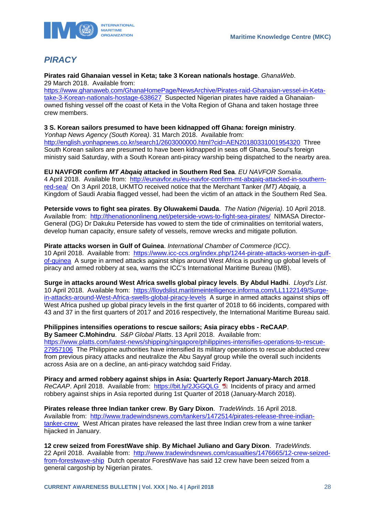

## <span id="page-28-0"></span>*PIRACY*

**Pirates raid Ghanaian vessel in Keta; take 3 Korean nationals hostage**. *GhanaWeb*. 29 March 2018. Available from:

[https://www.ghanaweb.com/GhanaHomePage/NewsArchive/Pirates-raid-Ghanaian-vessel-in-Keta](https://www.ghanaweb.com/GhanaHomePage/NewsArchive/Pirates-raid-Ghanaian-vessel-in-Keta-take-3-Korean-nationals-hostage-638627)[take-3-Korean-nationals-hostage-638627](https://www.ghanaweb.com/GhanaHomePage/NewsArchive/Pirates-raid-Ghanaian-vessel-in-Keta-take-3-Korean-nationals-hostage-638627) Suspected Nigerian pirates have raided a Ghanaianowned fishing vessel off the coast of Keta in the Volta Region of Ghana and taken hostage three crew members.

### **3 S. Korean sailors presumed to have been kidnapped off Ghana: foreign ministry**.

*Yonhap News Agency (South Korea)*. 31 March 2018. Available from: <http://english.yonhapnews.co.kr/search1/2603000000.html?cid=AEN20180331001954320>Three South Korean sailors are presumed to have been kidnapped in seas off Ghana, Seoul's foreign ministry said Saturday, with a South Korean anti-piracy warship being dispatched to the nearby area.

#### **EU NAVFOR confirm** *MT Abqaiq* **attacked in Southern Red Sea**. *EU NAVFOR Somalia*.

4 April 2018. Available from: [http://eunavfor.eu/eu-navfor-confirm-mt-abqaiq-attacked-in-southern](http://eunavfor.eu/eu-navfor-confirm-mt-abqaiq-attacked-in-southern-red-sea/)[red-sea/](http://eunavfor.eu/eu-navfor-confirm-mt-abqaiq-attacked-in-southern-red-sea/) On 3 April 2018, UKMTO received notice that the Merchant Tanker *(MT) Abqaiq*, a Kingdom of Saudi Arabia flagged vessel, had been the victim of an attack in the Southern Red Sea.

**Peterside vows to fight sea pirates**. **By Oluwakemi Dauda**. *The Nation (Nigeria)*. 10 April 2018. Available from: <http://thenationonlineng.net/peterside-vows-to-fight-sea-pirates/>NIMASA Director-General (DG) Dr Dakuku Peterside has vowed to stem the tide of criminalities on territorial waters, develop human capacity, ensure safety of vessels, remove wrecks and mitigate pollution.

### **Pirate attacks worsen in Gulf of Guinea**. *International Chamber of Commerce (ICC)*.

10 April 2018. Available from: [https://www.icc-ccs.org/index.php/1244-pirate-attacks-worsen-in-gulf](https://www.icc-ccs.org/index.php/1244-pirate-attacks-worsen-in-gulf-of-guinea)[of-guinea](https://www.icc-ccs.org/index.php/1244-pirate-attacks-worsen-in-gulf-of-guinea) A surge in armed attacks against ships around West Africa is pushing up global levels of piracy and armed robbery at sea, warns the ICC's International Maritime Bureau (IMB).

**Surge in attacks around West Africa swells global piracy levels**. **By Abdul Hadhi**. *Lloyd's List*. 10 April 2018. Available from: [https://lloydslist.maritimeintelligence.informa.com/LL1122149/Surge](https://lloydslist.maritimeintelligence.informa.com/LL1122149/Surge-in-attacks-around-West-Africa-swells-global-piracy-levels)[in-attacks-around-West-Africa-swells-global-piracy-levels](https://lloydslist.maritimeintelligence.informa.com/LL1122149/Surge-in-attacks-around-West-Africa-swells-global-piracy-levels) A surge in armed attacks against ships off West Africa pushed up global piracy levels in the first quarter of 2018 to 66 incidents, compared with 43 and 37 in the first quarters of 2017 and 2016 respectively, the International Maritime Bureau said.

## **Philippines intensifies operations to rescue sailors; Asia piracy ebbs - ReCAAP**.

**By Sameer C.Mohindru**. *S&P Global Platts*. 13 April 2018. Available from: [https://www.platts.com/latest-news/shipping/singapore/philippines-intensifies-operations-to-rescue-](https://www.platts.com/latest-news/shipping/singapore/philippines-intensifies-operations-to-rescue-27957106)[27957106](https://www.platts.com/latest-news/shipping/singapore/philippines-intensifies-operations-to-rescue-27957106) The Philippine authorities have intensified its military operations to rescue abducted crew from previous piracy attacks and neutralize the Abu Sayyaf group while the overall such incidents across Asia are on a decline, an anti-piracy watchdog said Friday.

**Piracy and armed robbery against ships in Asia: Quarterly Report January-March 2018**. *ReCAAP*. April 2018. Available from: <https://bit.ly/2JGGQLG> **E** Incidents of piracy and armed robbery against ships in Asia reported during 1st Quarter of 2018 (January-March 2018).

**Pirates release three Indian tanker crew**. **By Gary Dixon**. *TradeWinds*. 16 April 2018. Available from: [http://www.tradewindsnews.com/tankers/1472514/pirates-release-three-indian](http://www.tradewindsnews.com/tankers/1472514/pirates-release-three-indian-tanker-crew)[tanker-crew](http://www.tradewindsnews.com/tankers/1472514/pirates-release-three-indian-tanker-crew) West African pirates have released the last three Indian crew from a wine tanker hijacked in January.

**12 crew seized from ForestWave ship**. **By Michael Juliano and Gary Dixon**. *TradeWinds*. 22 April 2018. Available from: [http://www.tradewindsnews.com/casualties/1476665/12-crew-seized](http://www.tradewindsnews.com/casualties/1476665/12-crew-seized-from-forestwave-ship)[from-forestwave-ship](http://www.tradewindsnews.com/casualties/1476665/12-crew-seized-from-forestwave-ship) Dutch operator ForestWave has said 12 crew have been seized from a general cargoship by Nigerian pirates.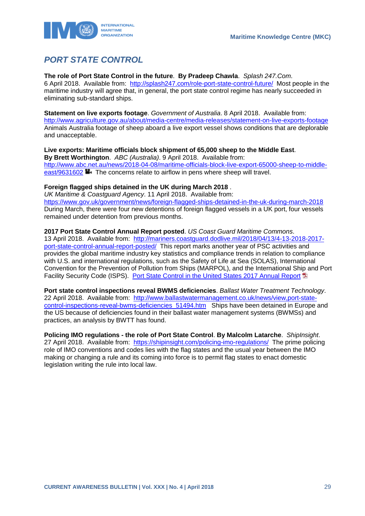

## <span id="page-29-0"></span>*PORT STATE CONTROL*

**The role of Port State Control in the future**. **By Pradeep Chawla**. *Splash 247.Com*.

6 April 2018. Available from: <http://splash247.com/role-port-state-control-future/>Most people in the maritime industry will agree that, in general, the port state control regime has nearly succeeded in eliminating sub-standard ships.

### **Statement on live exports footage**. *Government of Australia*. 8 April 2018. Available from:

<http://www.agriculture.gov.au/about/media-centre/media-releases/statement-on-live-exports-footage> Animals Australia footage of sheep aboard a live export vessel shows conditions that are deplorable and unacceptable.

## **Live exports: Maritime officials block shipment of 65,000 sheep to the Middle East**.

**By Brett Worthington**. *ABC (Australia)*. 9 April 2018. Available from: [http://www.abc.net.au/news/2018-04-08/maritime-officials-block-live-export-65000-sheep-to-middle](http://www.abc.net.au/news/2018-04-08/maritime-officials-block-live-export-65000-sheep-to-middle-east/9631602)[east/9631602](http://www.abc.net.au/news/2018-04-08/maritime-officials-block-live-export-65000-sheep-to-middle-east/9631602)  $\blacksquare$  The concerns relate to airflow in pens where sheep will travel.

## **Foreign flagged ships detained in the UK during March 2018** .

*UK Maritime & Coastguard Agency*. 11 April 2018. Available from: <https://www.gov.uk/government/news/foreign-flagged-ships-detained-in-the-uk-during-march-2018> During March, there were four new detentions of foreign flagged vessels in a UK port, four vessels remained under detention from previous months.

## **2017 Port State Control Annual Report posted**. *US Coast Guard Maritime Commons*.

13 April 2018. Available from: [http://mariners.coastguard.dodlive.mil/2018/04/13/4-13-2018-2017](http://mariners.coastguard.dodlive.mil/2018/04/13/4-13-2018-2017-port-state-control-annual-report-posted/) [port-state-control-annual-report-posted/](http://mariners.coastguard.dodlive.mil/2018/04/13/4-13-2018-2017-port-state-control-annual-report-posted/) This report marks another year of PSC activities and provides the global maritime industry key statistics and compliance trends in relation to compliance with U.S. and international regulations, such as the Safety of Life at Sea (SOLAS), International Convention for the Prevention of Pollution from Ships (MARPOL), and the International Ship and Port Facility Security Code (ISPS). [Port State Control in the United States 2017 Annual Report](https://www.dco.uscg.mil/Portals/9/DCO%20Documents/5p/CG-5PC/CG-CVC/CVC2/psc/AnnualReports/annualrpt17.pdf) 19

**Port state control inspections reveal BWMS deficiencies**. *Ballast Water Treatment Technology*. 22 April 2018. Available from: [http://www.ballastwatermanagement.co.uk/news/view,port-state](http://www.ballastwatermanagement.co.uk/news/view,port-state-control-inspections-reveal-bwms-deficiencies_51494.htm)[control-inspections-reveal-bwms-deficiencies\\_51494.htm](http://www.ballastwatermanagement.co.uk/news/view,port-state-control-inspections-reveal-bwms-deficiencies_51494.htm) Ships have been detained in Europe and the US because of deficiencies found in their ballast water management systems (BWMSs) and practices, an analysis by BWTT has found.

**Policing IMO regulations - the role of Port State Control**. **By Malcolm Latarche**. *ShipInsight*. 27 April 2018. Available from: <https://shipinsight.com/policing-imo-regulations/>The prime policing role of IMO conventions and codes lies with the flag states and the usual year between the IMO making or changing a rule and its coming into force is to permit flag states to enact domestic legislation writing the rule into local law.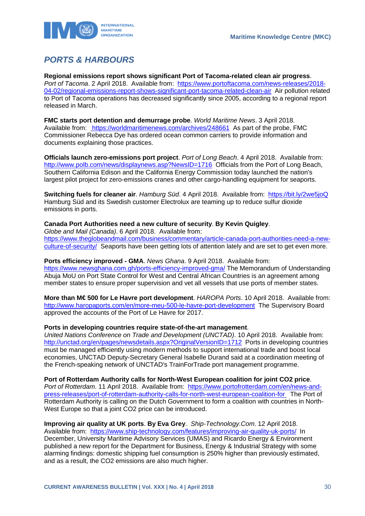

## <span id="page-30-0"></span>*PORTS & HARBOURS*

**Regional emissions report shows significant Port of Tacoma-related clean air progress**. *Port of Tacoma*. 2 April 2018. Available from: [https://www.portoftacoma.com/news-releases/2018-](https://www.portoftacoma.com/news-releases/2018-04-02/regional-emissions-report-shows-significant-port-tacoma-related-clean-air) [04-02/regional-emissions-report-shows-significant-port-tacoma-related-clean-air](https://www.portoftacoma.com/news-releases/2018-04-02/regional-emissions-report-shows-significant-port-tacoma-related-clean-air) Air pollution related to Port of Tacoma operations has decreased significantly since 2005, according to a regional report released in March.

**FMC starts port detention and demurrage probe**. *World Maritime News*. 3 April 2018. Available from: <https://worldmaritimenews.com/archives/248661>As part of the probe, FMC Commissioner Rebecca Dye has ordered ocean common carriers to provide information and documents explaining those practices.

**Officials launch zero-emissions port project**. *Port of Long Beach*. 4 April 2018. Available from: <http://www.polb.com/news/displaynews.asp?NewsID=1716>Officials from the Port of Long Beach, Southern California Edison and the California Energy Commission today launched the nation's largest pilot project for zero-emissions cranes and other cargo-handling equipment for seaports.

**Switching fuels for cleaner air**. *Hamburg Süd*. 4 April 2018. Available from: <https://bit.ly/2we5joQ> Hamburg Süd and its Swedish customer Electrolux are teaming up to reduce sulfur dioxide emissions in ports.

## **Canada Port Authorities need a new culture of security**. **By Kevin Quigley**.

*Globe and Mail (Canada)*. 6 April 2018. Available from: [https://www.theglobeandmail.com/business/commentary/article-canada-port-authorities-need-a-new](https://www.theglobeandmail.com/business/commentary/article-canada-port-authorities-need-a-new-culture-of-security/)[culture-of-security/](https://www.theglobeandmail.com/business/commentary/article-canada-port-authorities-need-a-new-culture-of-security/) Seaports have been getting lots of attention lately and are set to get even more.

**Ports efficiency improved - GMA**. *News Ghana*. 9 April 2018. Available from: <https://www.newsghana.com.gh/ports-efficiency-improved-gma/> The Memorandum of Understanding Abuja MoU on Port State Control for West and Central African Countries is an agreement among member states to ensure proper supervision and vet all vessels that use ports of member states.

**More than M€ 500 for Le Havre port development**. *HAROPA Ports*. 10 April 2018. Available from: <http://www.haropaports.com/en/more-meu-500-le-havre-port-development>The Supervisory Board approved the accounts of the Port of Le Havre for 2017.

## **Ports in developing countries require state-of-the-art management**.

*United Nations Conference on Trade and Development (UNCTAD)*. 10 April 2018. Available from: <http://unctad.org/en/pages/newsdetails.aspx?OriginalVersionID=1712>Ports in developing countries must be managed efficiently using modern methods to support international trade and boost local economies, UNCTAD Deputy-Secretary General Isabelle Durand said at a coordination meeting of the French-speaking network of UNCTAD's TrainForTrade port management programme.

**Port of Rotterdam Authority calls for North-West European coalition for joint CO2 price**. *Port of Rotterdam*. 11 April 2018. Available from: [https://www.portofrotterdam.com/en/news-and](https://www.portofrotterdam.com/en/news-and-press-releases/port-of-rotterdam-authority-calls-for-north-west-european-coalition-for)[press-releases/port-of-rotterdam-authority-calls-for-north-west-european-coalition-for](https://www.portofrotterdam.com/en/news-and-press-releases/port-of-rotterdam-authority-calls-for-north-west-european-coalition-for) The Port of Rotterdam Authority is calling on the Dutch Government to form a coalition with countries in North-West Europe so that a joint CO2 price can be introduced.

**Improving air quality at UK ports**. **By Eva Grey**. *Ship-Technology.Com*. 12 April 2018. Available from: <https://www.ship-technology.com/features/improving-air-quality-uk-ports/>In December, University Maritime Advisory Services (UMAS) and Ricardo Energy & Environment published a new report for the Department for Business, Energy & Industrial Strategy with some alarming findings: domestic shipping fuel consumption is 250% higher than previously estimated, and as a result, the CO2 emissions are also much higher.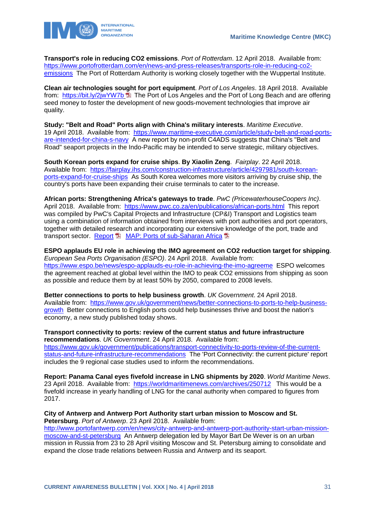

**Transport's role in reducing CO2 emissions**. *Port of Rotterdam*. 12 April 2018. Available from: [https://www.portofrotterdam.com/en/news-and-press-releases/transports-role-in-reducing-co2](https://www.portofrotterdam.com/en/news-and-press-releases/transports-role-in-reducing-co2-emissions) [emissions](https://www.portofrotterdam.com/en/news-and-press-releases/transports-role-in-reducing-co2-emissions) The Port of Rotterdam Authority is working closely together with the Wuppertal Institute.

**Clean air technologies sought for port equipment**. *Port of Los Angeles*. 18 April 2018. Available from: <https://bit.ly/2jwYW7b> **E** The Port of Los Angeles and the Port of Long Beach and are offering seed money to foster the development of new goods-movement technologies that improve air quality.

**Study: "Belt and Road" Ports align with China's military interests**. *Maritime Executive*. 19 April 2018. Available from: [https://www.maritime-executive.com/article/study-belt-and-road-ports](https://www.maritime-executive.com/article/study-belt-and-road-ports-are-intended-for-china-s-navy)[are-intended-for-china-s-navy](https://www.maritime-executive.com/article/study-belt-and-road-ports-are-intended-for-china-s-navy) A new report by non-profit C4ADS suggests that China's "Belt and Road" seaport projects in the Indo-Pacific may be intended to serve strategic, military objectives.

**South Korean ports expand for cruise ships**. **By Xiaolin Zeng**. *Fairplay*. 22 April 2018. Available from: [https://fairplay.ihs.com/construction-infrastructure/article/4297981/south-korean](https://fairplay.ihs.com/construction-infrastructure/article/4297981/south-korean-ports-expand-for-cruise-ships)[ports-expand-for-cruise-ships](https://fairplay.ihs.com/construction-infrastructure/article/4297981/south-korean-ports-expand-for-cruise-ships) As South Korea welcomes more visitors arriving by cruise ship, the country's ports have been expanding their cruise terminals to cater to the increase.

**African ports: Strengthening Africa's gateways to trade**. *PwC (PricewaterhouseCoopers Inc)*. April 2018. Available from: <https://www.pwc.co.za/en/publications/african-ports.html>This report was compiled by PwC's Capital Projects and Infrastructure (CP&I) Transport and Logistics team using a combination of information obtained from interviews with port authorities and port operators, together with detailed research and incorporating our extensive knowledge of the port, trade and transport sector. [Report](https://www.pwc.co.za/en/assets/pdf/strengthening-africas-gateways-to-trade.pdf) **H** [MAP: Ports of sub-Saharan Africa](https://www.pwc.co.za/en/assets/pdf/large-map.pdf)

**ESPO applauds EU role in achieving the IMO agreement on CO2 reduction target for shipping**. *European Sea Ports Organisation (ESPO)*. 24 April 2018. Available from: <https://www.espo.be/news/espo-applauds-eu-role-in-achieving-the-imo-agreeme>ESPO welcomes the agreement reached at global level within the IMO to peak CO2 emissions from shipping as soon as possible and reduce them by at least 50% by 2050, compared to 2008 levels.

**Better connections to ports to help business growth**. *UK Government*. 24 April 2018. Available from: [https://www.gov.uk/government/news/better-connections-to-ports-to-help-business](https://www.gov.uk/government/news/better-connections-to-ports-to-help-business-growth)[growth](https://www.gov.uk/government/news/better-connections-to-ports-to-help-business-growth) Better connections to English ports could help businesses thrive and boost the nation's economy, a new study published today shows.

**Transport connectivity to ports: review of the current status and future infrastructure recommendations**. *UK Government*. 24 April 2018. Available from: [https://www.gov.uk/government/publications/transport-connectivity-to-ports-review-of-the-current](https://www.gov.uk/government/publications/transport-connectivity-to-ports-review-of-the-current-status-and-future-infrastructure-recommendations)[status-and-future-infrastructure-recommendations](https://www.gov.uk/government/publications/transport-connectivity-to-ports-review-of-the-current-status-and-future-infrastructure-recommendations) The 'Port Connectivity: the current picture' report includes the 9 regional case studies used to inform the recommendations.

**Report: Panama Canal eyes fivefold increase in LNG shipments by 2020**. *World Maritime News*. 23 April 2018. Available from: <https://worldmaritimenews.com/archives/250712>This would be a fivefold increase in yearly handling of LNG for the canal authority when compared to figures from 2017.

**City of Antwerp and Antwerp Port Authority start urban mission to Moscow and St. Petersburg**. *Port of Antwerp*. 23 April 2018. Available from: [http://www.portofantwerp.com/en/news/city-antwerp-and-antwerp-port-authority-start-urban-mission](http://www.portofantwerp.com/en/news/city-antwerp-and-antwerp-port-authority-start-urban-mission-moscow-and-st-petersburg)[moscow-and-st-petersburg](http://www.portofantwerp.com/en/news/city-antwerp-and-antwerp-port-authority-start-urban-mission-moscow-and-st-petersburg) An Antwerp delegation led by Mayor Bart De Wever is on an urban mission in Russia from 23 to 28 April visiting Moscow and St. Petersburg aiming to consolidate and expand the close trade relations between Russia and Antwerp and its seaport.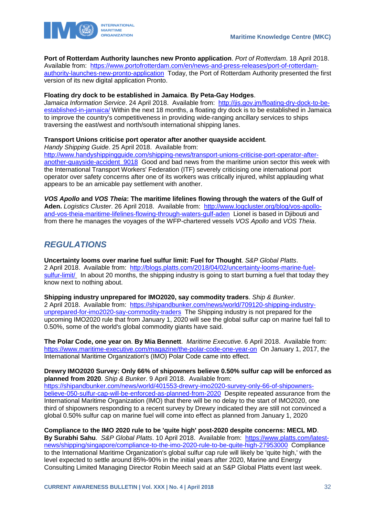

**Port of Rotterdam Authority launches new Pronto application**. *Port of Rotterdam*. 18 April 2018. Available from: [https://www.portofrotterdam.com/en/news-and-press-releases/port-of-rotterdam-](https://www.portofrotterdam.com/en/news-and-press-releases/port-of-rotterdam-authority-launches-new-pronto-application)

[authority-launches-new-pronto-application](https://www.portofrotterdam.com/en/news-and-press-releases/port-of-rotterdam-authority-launches-new-pronto-application) Today, the Port of Rotterdam Authority presented the first version of its new digital application Pronto.

## **Floating dry dock to be established in Jamaica**. **By Peta-Gay Hodges**.

*Jamaica Information Service*. 24 April 2018. Available from: [http://jis.gov.jm/floating-dry-dock-to-be](http://jis.gov.jm/floating-dry-dock-to-be-established-in-jamaica/)[established-in-jamaica/](http://jis.gov.jm/floating-dry-dock-to-be-established-in-jamaica/) Within the next 18 months, a floating dry dock is to be established in Jamaica to improve the country's competitiveness in providing wide-ranging ancillary services to ships traversing the east/west and north/south international shipping lanes.

## **Transport Unions criticise port operator after another quayside accident**.

*Handy Shipping Guide*. 25 April 2018. Available from:

[http://www.handyshippingguide.com/shipping-news/transport-unions-criticise-port-operator-after](http://www.handyshippingguide.com/shipping-news/transport-unions-criticise-port-operator-after-another-quayside-accident_9018)another-quayside-accident 9018 Good and bad news from the maritime union sector this week with the International Transport Workers' Federation (ITF) severely criticising one international port operator over safety concerns after one of its workers was critically injured, whilst applauding what appears to be an amicable pay settlement with another.

*VOS Apollo* **and** *VOS Theia***: The maritime lifelines flowing through the waters of the Gulf of Aden.** *Logistics Cluster*. 26 April 2018. Available from: [http://www.logcluster.org/blog/vos-apollo](http://www.logcluster.org/blog/vos-apollo-and-vos-theia-maritime-lifelines-flowing-through-waters-gulf-aden)[and-vos-theia-maritime-lifelines-flowing-through-waters-gulf-aden](http://www.logcluster.org/blog/vos-apollo-and-vos-theia-maritime-lifelines-flowing-through-waters-gulf-aden) Lionel is based in Djibouti and from there he manages the voyages of the WFP-chartered vessels *VOS Apollo* and *VOS Theia*.

## <span id="page-32-0"></span>*REGULATIONS*

**Uncertainty looms over marine fuel sulfur limit: Fuel for Thought**. *S&P Global Platts*. 2 April 2018. Available from: [http://blogs.platts.com/2018/04/02/uncertainty-looms-marine-fuel](http://blogs.platts.com/2018/04/02/uncertainty-looms-marine-fuel-sulfur-limit/)[sulfur-limit/](http://blogs.platts.com/2018/04/02/uncertainty-looms-marine-fuel-sulfur-limit/) In about 20 months, the shipping industry is going to start burning a fuel that today they know next to nothing about.

**Shipping industry unprepared for IMO2020, say commodity traders**. *Ship & Bunker*. 2 April 2018. Available from: [https://shipandbunker.com/news/world/709120-shipping-industry](https://shipandbunker.com/news/world/709120-shipping-industry-unprepared-for-imo2020-say-commodity-traders)[unprepared-for-imo2020-say-commodity-traders](https://shipandbunker.com/news/world/709120-shipping-industry-unprepared-for-imo2020-say-commodity-traders) The Shipping industry is not prepared for the upcoming IMO2020 rule that from January 1, 2020 will see the global sulfur cap on marine fuel fall to 0.50%, some of the world's global commodity giants have said.

**The Polar Code, one year on**. **By Mia Bennett**. *Maritime Executive*. 6 April 2018. Available from: <https://www.maritime-executive.com/magazine/the-polar-code-one-year-on>On January 1, 2017, the International Maritime Organization's (IMO) Polar Code came into effect.

**Drewry IMO2020 Survey: Only 66% of shipowners believe 0.50% sulfur cap will be enforced as planned from 2020**. *Ship & Bunker*. 9 April 2018. Available from: [https://shipandbunker.com/news/world/401553-drewry-imo2020-survey-only-66-of-shipowners](https://shipandbunker.com/news/world/401553-drewry-imo2020-survey-only-66-of-shipowners-believe-050-sulfur-cap-will-be-enforced-as-planned-from-2020)[believe-050-sulfur-cap-will-be-enforced-as-planned-from-2020](https://shipandbunker.com/news/world/401553-drewry-imo2020-survey-only-66-of-shipowners-believe-050-sulfur-cap-will-be-enforced-as-planned-from-2020) Despite repeated assurance from the International Maritime Organization (IMO) that there will be no delay to the start of IMO2020, one third of shipowners responding to a recent survey by Drewry indicated they are still not convinced a global 0.50% sulfur cap on marine fuel will come into effect as planned from January 1, 2020

**Compliance to the IMO 2020 rule to be 'quite high' post-2020 despite concerns: MECL MD**. Bv Surabhi Sahu. *S&P Global Platts*. 10 April 2018. Available from: [https://www.platts.com/latest](https://www.platts.com/latest-news/shipping/singapore/compliance-to-the-imo-2020-rule-to-be-quite-high-27953000)[news/shipping/singapore/compliance-to-the-imo-2020-rule-to-be-quite-high-27953000](https://www.platts.com/latest-news/shipping/singapore/compliance-to-the-imo-2020-rule-to-be-quite-high-27953000) Compliance to the International Maritime Organization's global sulfur cap rule will likely be 'quite high,' with the level expected to settle around 85%-90% in the initial years after 2020, Marine and Energy Consulting Limited Managing Director Robin Meech said at an S&P Global Platts event last week.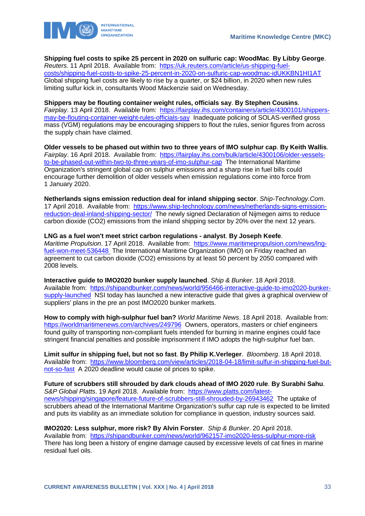

**Shipping fuel costs to spike 25 percent in 2020 on sulfuric cap: WoodMac**. **By Libby George**. *Reuters*. 11 April 2018. Available from: [https://uk.reuters.com/article/us-shipping-fuel](https://uk.reuters.com/article/us-shipping-fuel-costs/shipping-fuel-costs-to-spike-25-percent-in-2020-on-sulfuric-cap-woodmac-idUKKBN1HI1AT)[costs/shipping-fuel-costs-to-spike-25-percent-in-2020-on-sulfuric-cap-woodmac-idUKKBN1HI1AT](https://uk.reuters.com/article/us-shipping-fuel-costs/shipping-fuel-costs-to-spike-25-percent-in-2020-on-sulfuric-cap-woodmac-idUKKBN1HI1AT) Global shipping fuel costs are likely to rise by a quarter, or \$24 billion, in 2020 when new rules limiting sulfur kick in, consultants Wood Mackenzie said on Wednesday.

**Shippers may be flouting container weight rules, officials say**. **By Stephen Cousins**. *Fairplay*. 13 April 2018. Available from: [https://fairplay.ihs.com/containers/article/4300101/shippers](https://fairplay.ihs.com/containers/article/4300101/shippers-may-be-flouting-container-weight-rules-officials-say)[may-be-flouting-container-weight-rules-officials-say](https://fairplay.ihs.com/containers/article/4300101/shippers-may-be-flouting-container-weight-rules-officials-say) Inadequate policing of SOLAS-verified gross mass (VGM) regulations may be encouraging shippers to flout the rules, senior figures from across the supply chain have claimed.

**Older vessels to be phased out within two to three years of IMO sulphur cap**. **By Keith Wallis**. *Fairplay*. 16 April 2018. Available from: [https://fairplay.ihs.com/bulk/article/4300106/older-vessels](https://fairplay.ihs.com/bulk/article/4300106/older-vessels-to-be-phased-out-within-two-to-three-years-of-imo-sulphur-cap)[to-be-phased-out-within-two-to-three-years-of-imo-sulphur-cap](https://fairplay.ihs.com/bulk/article/4300106/older-vessels-to-be-phased-out-within-two-to-three-years-of-imo-sulphur-cap) The International Maritime Organization's stringent global cap on sulphur emissions and a sharp rise in fuel bills could encourage further demolition of older vessels when emission regulations come into force from 1 January 2020.

**Netherlands signs emission reduction deal for inland shipping sector**. *Ship-Technology.Com*. 17 April 2018. Available from: [https://www.ship-technology.com/news/netherlands-signs-emission](https://www.ship-technology.com/news/netherlands-signs-emission-reduction-deal-inland-shipping-sector/)[reduction-deal-inland-shipping-sector/](https://www.ship-technology.com/news/netherlands-signs-emission-reduction-deal-inland-shipping-sector/) The newly signed Declaration of Nijmegen aims to reduce carbon dioxide (CO2) emissions from the inland shipping sector by 20% over the next 12 years.

## **LNG as a fuel won't meet strict carbon regulations - analyst**. **By Joseph Keefe**.

*Maritime Propulsion*. 17 April 2018. Available from: [https://www.maritimepropulsion.com/news/lng](https://www.maritimepropulsion.com/news/lng-fuel-won-meet-536448)[fuel-won-meet-536448](https://www.maritimepropulsion.com/news/lng-fuel-won-meet-536448) The International Maritime Organization (IMO) on Friday reached an agreement to cut carbon dioxide (CO2) emissions by at least 50 percent by 2050 compared with 2008 levels.

**Interactive guide to IMO2020 bunker supply launched**. *Ship & Bunker*. 18 April 2018. Available from: [https://shipandbunker.com/news/world/956466-interactive-guide-to-imo2020-bunker](https://shipandbunker.com/news/world/956466-interactive-guide-to-imo2020-bunker-supply-launched)[supply-launched](https://shipandbunker.com/news/world/956466-interactive-guide-to-imo2020-bunker-supply-launched) NSI today has launched a new interactive guide that gives a graphical overview of suppliers' plans in the pre an post IMO2020 bunker markets.

**How to comply with high-sulphur fuel ban?** *World Maritime News*. 18 April 2018. Available from: <https://worldmaritimenews.com/archives/249796>Owners, operators, masters or chief engineers found guilty of transporting non-compliant fuels intended for burning in marine engines could face stringent financial penalties and possible imprisonment if IMO adopts the high-sulphur fuel ban.

**Limit sulfur in shipping fuel, but not so fast**. **By Philip K.Verleger**. *Bloomberg*. 18 April 2018. Available from: [https://www.bloomberg.com/view/articles/2018-04-18/limit-sulfur-in-shipping-fuel-but](https://www.bloomberg.com/view/articles/2018-04-18/limit-sulfur-in-shipping-fuel-but-not-so-fast)[not-so-fast](https://www.bloomberg.com/view/articles/2018-04-18/limit-sulfur-in-shipping-fuel-but-not-so-fast) A 2020 deadline would cause oil prices to spike.

**Future of scrubbers still shrouded by dark clouds ahead of IMO 2020 rule**. **By Surabhi Sahu**. S&P Global Platts. 19 April 2018. Available from: [https://www.platts.com/latest](https://www.platts.com/latest-news/shipping/singapore/feature-future-of-scrubbers-still-shrouded-by-26943462)[news/shipping/singapore/feature-future-of-scrubbers-still-shrouded-by-26943462](https://www.platts.com/latest-news/shipping/singapore/feature-future-of-scrubbers-still-shrouded-by-26943462) The uptake of scrubbers ahead of the International Maritime Organization's sulfur cap rule is expected to be limited and puts its viability as an immediate solution for compliance in question, industry sources said.

**IMO2020: Less sulphur, more risk? By Alvin Forster**. *Ship & Bunker*. 20 April 2018. Available from: <https://shipandbunker.com/news/world/962157-imo2020-less-sulphur-more-risk> There has long been a history of engine damage caused by excessive levels of cat fines in marine residual fuel oils.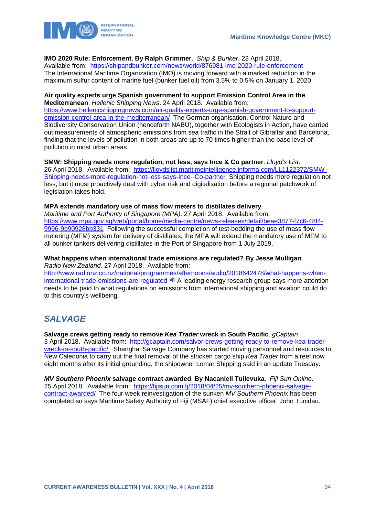

## **IMO 2020 Rule: Enforcement**. **By Ralph Grimmer**. *Ship & Bunker*. 23 April 2018.

Available from: <https://shipandbunker.com/news/world/876981-imo-2020-rule-enforcement> The International Maritime Organization (IMO) is moving forward with a marked reduction in the maximum sulfur content of marine fuel (bunker fuel oil) from 3.5% to 0.5% on January 1, 2020.

## **Air quality experts urge Spanish government to support Emission Control Area in the**

**Mediterranean**. *Hellenic Shipping News*. 24 April 2018. Available from: [https://www.hellenicshippingnews.com/air-quality-experts-urge-spanish-government-to-support](https://www.hellenicshippingnews.com/air-quality-experts-urge-spanish-government-to-support-emission-control-area-in-the-mediterranean/)[emission-control-area-in-the-mediterranean/](https://www.hellenicshippingnews.com/air-quality-experts-urge-spanish-government-to-support-emission-control-area-in-the-mediterranean/) The German organisation, Control Nature and Biodiversity Conservation Union (henceforth NABU), together with Ecologists in Action, have carried out measurements of atmospheric emissions from sea traffic in the Strait of Gibraltar and Barcelona, finding that the levels of pollution in both areas are up to 70 times higher than the base level of pollution in most urban areas.

## **SMW: Shipping needs more regulation, not less, says Ince & Co partner**. *Lloyd's List*.

26 April 2018. Available from: [https://lloydslist.maritimeintelligence.informa.com/LL1122372/SMW-](https://lloydslist.maritimeintelligence.informa.com/LL1122372/SMW-Shipping-needs-more-regulation-not-less-says-Ince--Co-partner)[Shipping-needs-more-regulation-not-less-says-Ince--Co-partner](https://lloydslist.maritimeintelligence.informa.com/LL1122372/SMW-Shipping-needs-more-regulation-not-less-says-Ince--Co-partner) Shipping needs more regulation not less, but it must proactively deal with cyber risk and digitalisation before a regional patchwork of legislation takes hold.

## **MPA extends mandatory use of mass flow meters to distillates delivery**.

*Maritime and Port Authority of Singapore (MPA)*. 27 April 2018. Available from: [https://www.mpa.gov.sg/web/portal/home/media-centre/news-releases/detail/beae3877-f7c6-48f4-](https://www.mpa.gov.sg/web/portal/home/media-centre/news-releases/detail/beae3877-f7c6-48f4-9996-9b90928bb331) [9996-9b90928bb331](https://www.mpa.gov.sg/web/portal/home/media-centre/news-releases/detail/beae3877-f7c6-48f4-9996-9b90928bb331) Following the successful completion of test-bedding the use of mass flow metering (MFM) system for delivery of distillates, the MPA will extend the mandatory use of MFM to all bunker tankers delivering distillates in the Port of Singapore from 1 July 2019.

### **What happens when international trade emissions are regulated? By Jesse Mulligan**. *Radio New Zealand*. 27 April 2018. Available from:

[http://www.radionz.co.nz/national/programmes/afternoons/audio/2018642478/what-happens-when](http://www.radionz.co.nz/national/programmes/afternoons/audio/2018642478/what-happens-when-international-trade-emissions-are-regulated)[international-trade-emissions-are-regulated](http://www.radionz.co.nz/national/programmes/afternoons/audio/2018642478/what-happens-when-international-trade-emissions-are-regulated)  $\blacksquare$  A leading energy research group says more attention needs to be paid to what regulations on emissions from international shipping and aviation could do to this country's wellbeing.

## <span id="page-34-0"></span>*SALVAGE*

**Salvage crews getting ready to remove** *Kea Trader* **wreck in South Pacific**. *gCaptain*. 3 April 2018. Available from: [http://gcaptain.com/salvor-crews-getting-ready-to-remove-kea-trader](http://gcaptain.com/salvor-crews-getting-ready-to-remove-kea-trader-wreck-in-south-pacific/)[wreck-in-south-pacific/](http://gcaptain.com/salvor-crews-getting-ready-to-remove-kea-trader-wreck-in-south-pacific/) Shanghai Salvage Company has started moving personnel and resources to New Caledonia to carry out the final removal of the stricken cargo ship *Kea Trader* from a reef now eight months after its initial grounding, the shipowner Lomar Shipping said in an update Tuesday.

*MV Southern Phoenix* **salvage contract awarded**. **By Nacanieli Tuilevuka**. *Fiji Sun Online*. 25 April 2018. Available from: [https://fijisun.com.fj/2018/04/25/mv-southern-phoenix-salvage](https://fijisun.com.fj/2018/04/25/mv-southern-phoenix-salvage-contract-awarded/)[contract-awarded/](https://fijisun.com.fj/2018/04/25/mv-southern-phoenix-salvage-contract-awarded/) The four week reinvestigation of the sunken *MV Southern Phoenix* has been completed so says Maritime Safety Authority of Fiji (MSAF) chief executive officer John Tunidau.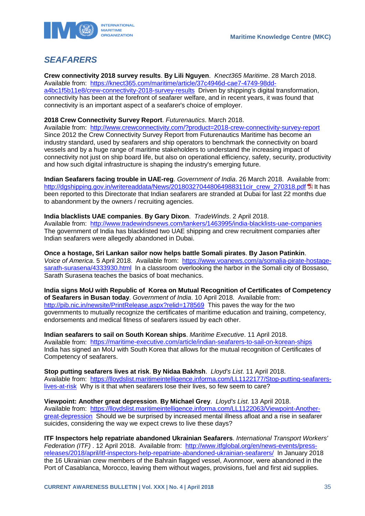

## <span id="page-35-0"></span>*SEAFARERS*

**Crew connectivity 2018 survey results**. **By Lili Nguyen**. *Knect365 Maritime*. 28 March 2018. Available from: [https://knect365.com/maritime/article/37c4946d-cae7-4749-98dd](https://knect365.com/maritime/article/37c4946d-cae7-4749-98dd-a4bc1f5b11e8/crew-connectivity-2018-survey-results)[a4bc1f5b11e8/crew-connectivity-2018-survey-results](https://knect365.com/maritime/article/37c4946d-cae7-4749-98dd-a4bc1f5b11e8/crew-connectivity-2018-survey-results) Driven by shipping's digital transformation, connectivity has been at the forefront of seafarer welfare, and in recent years, it was found that connectivity is an important aspect of a seafarer's choice of employer.

### **2018 Crew Connectivity Survey Report**. *Futurenautics*. March 2018.

Available from: <http://www.crewconnectivity.com/?product=2018-crew-connectivity-survey-report> Since 2012 the Crew Connectivity Survey Report from Futurenautics Maritime has become an industry standard, used by seafarers and ship operators to benchmark the connectivity on board vessels and by a huge range of maritime stakeholders to understand the increasing impact of connectivity not just on ship board life, but also on operational efficiency, safety, security, productivity and how such digital infrastructure is shaping the industry's emerging future.

**Indian Seafarers facing trouble in UAE-reg**. *Government of India*. 26 March 2018. Available from: [http://dgshipping.gov.in/writereaddata/News/201803270448064988311cir\\_crew\\_270318.pdf](http://dgshipping.gov.in/writereaddata/News/201803270448064988311cir_crew_270318.pdf) 国 It has been reported to this Directorate that Indian seafarers are stranded at Dubai for last 22 months due to abandonment by the owners / recruiting agencies.

**India blacklists UAE companies**. **By Gary Dixon**. *TradeWinds*. 2 April 2018. Available from: <http://www.tradewindsnews.com/tankers/1463995/india-blacklists-uae-companies> The government of India has blacklisted two UAE shipping and crew recruitment companies after Indian seafarers were allegedly abandoned in Dubai.

**Once a hostage, Sri Lankan sailor now helps battle Somali pirates**. **By Jason Patinkin**. *Voice of America*. 5 April 2018. Available from: [https://www.voanews.com/a/somalia-pirate-hostage](https://www.voanews.com/a/somalia-pirate-hostage-sarath-surasena/4333930.html)[sarath-surasena/4333930.html](https://www.voanews.com/a/somalia-pirate-hostage-sarath-surasena/4333930.html) In a classroom overlooking the harbor in the Somali city of Bossaso, Sarath Surasena teaches the basics of boat mechanics.

**India signs MoU with Republic of Korea on Mutual Recognition of Certificates of Competency of Seafarers in Busan today**. *Government of India*. 10 April 2018. Available from: <http://pib.nic.in/newsite/PrintRelease.aspx?relid=178569>This paves the way for the two governments to mutually recognize the certificates of maritime education and training, competency, endorsements and medical fitness of seafarers issued by each other.

**Indian seafarers to sail on South Korean ships**. *Maritime Executive*. 11 April 2018. Available from: <https://maritime-executive.com/article/indian-seafarers-to-sail-on-korean-ships> India has signed an MoU with South Korea that allows for the mutual recognition of Certificates of Competency of seafarers.

**Stop putting seafarers lives at risk**. **By Nidaa Bakhsh**. *Lloyd's List*. 11 April 2018. Available from: [https://lloydslist.maritimeintelligence.informa.com/LL1122177/Stop-putting-seafarers](https://lloydslist.maritimeintelligence.informa.com/LL1122177/Stop-putting-seafarers-lives-at-risk)[lives-at-risk](https://lloydslist.maritimeintelligence.informa.com/LL1122177/Stop-putting-seafarers-lives-at-risk) Why is it that when seafarers lose their lives, so few seem to care?

**Viewpoint: Another great depression**. **By Michael Grey**. *Lloyd's List*. 13 April 2018. Available from: [https://lloydslist.maritimeintelligence.informa.com/LL1122063/Viewpoint-Another](https://lloydslist.maritimeintelligence.informa.com/LL1122063/Viewpoint-Another-great-depression)[great-depression](https://lloydslist.maritimeintelligence.informa.com/LL1122063/Viewpoint-Another-great-depression) Should we be surprised by increased mental illness afloat and a rise in seafarer suicides, considering the way we expect crews to live these days?

**ITF Inspectors help repatriate abandoned Ukrainian Seafarers**. *International Transport Workers' Federation (ITF)* . 12 April 2018. Available from: [http://www.itfglobal.org/en/news-events/press](http://www.itfglobal.org/en/news-events/press-releases/2018/april/itf-inspectors-help-repatriate-abandoned-ukrainian-seafarers/)[releases/2018/april/itf-inspectors-help-repatriate-abandoned-ukrainian-seafarers/](http://www.itfglobal.org/en/news-events/press-releases/2018/april/itf-inspectors-help-repatriate-abandoned-ukrainian-seafarers/) In January 2018 the 16 Ukrainian crew members of the Bahrain flagged vessel, Avonmoor, were abandoned in the Port of Casablanca, Morocco, leaving them without wages, provisions, fuel and first aid supplies.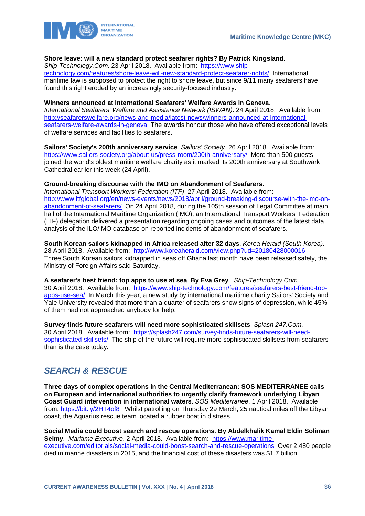

#### **Shore leave: will a new standard protect seafarer rights? By Patrick Kingsland**.

*Ship-Technology.Com*. 23 April 2018. Available from: [https://www.ship-](https://www.ship-technology.com/features/shore-leave-will-new-standard-protect-seafarer-rights/)

[technology.com/features/shore-leave-will-new-standard-protect-seafarer-rights/](https://www.ship-technology.com/features/shore-leave-will-new-standard-protect-seafarer-rights/) International maritime law is supposed to protect the right to shore leave, but since 9/11 many seafarers have found this right eroded by an increasingly security-focused industry.

#### **Winners announced at International Seafarers' Welfare Awards in Geneva**.

*International Seafarers' Welfare and Assistance Network (ISWAN)*. 24 April 2018. Available from: [http://seafarerswelfare.org/news-and-media/latest-news/winners-announced-at-international](http://seafarerswelfare.org/news-and-media/latest-news/winners-announced-at-international-seafarers-welfare-awards-in-geneva)[seafarers-welfare-awards-in-geneva](http://seafarerswelfare.org/news-and-media/latest-news/winners-announced-at-international-seafarers-welfare-awards-in-geneva) The awards honour those who have offered exceptional levels of welfare services and facilities to seafarers.

**Sailors' Society's 200th anniversary service**. *Sailors' Society*. 26 April 2018. Available from: <https://www.sailors-society.org/about-us/press-room/200th-anniversary/>More than 500 guests joined the world's oldest maritime welfare charity as it marked its 200th anniversary at Southwark Cathedral earlier this week (24 April).

### **Ground-breaking discourse with the IMO on Abandonment of Seafarers**.

*International Transport Workers' Federation (ITF)*. 27 April 2018. Available from: [http://www.itfglobal.org/en/news-events/news/2018/april/ground-breaking-discourse-with-the-imo-on](http://www.itfglobal.org/en/news-events/news/2018/april/ground-breaking-discourse-with-the-imo-on-abandonment-of-seafarers/)[abandonment-of-seafarers/](http://www.itfglobal.org/en/news-events/news/2018/april/ground-breaking-discourse-with-the-imo-on-abandonment-of-seafarers/) On 24 April 2018, during the 105th session of Legal Committee at main hall of the International Maritime Organization (IMO), an International Transport Workers' Federation (ITF) delegation delivered a presentation regarding ongoing cases and outcomes of the latest data analysis of the ILO/IMO database on reported incidents of abandonment of seafarers.

**South Korean sailors kidnapped in Africa released after 32 days**. *Korea Herald (South Korea)*. 28 April 2018. Available from: <http://www.koreaherald.com/view.php?ud=20180428000016> Three South Korean sailors kidnapped in seas off Ghana last month have been released safely, the Ministry of Foreign Affairs said Saturday.

**A seafarer's best friend: top apps to use at sea**. **By Eva Grey**. *Ship-Technology.Com*.

30 April 2018. Available from: [https://www.ship-technology.com/features/seafarers-best-friend-top](https://www.ship-technology.com/features/seafarers-best-friend-top-apps-use-sea/)[apps-use-sea/](https://www.ship-technology.com/features/seafarers-best-friend-top-apps-use-sea/) In March this year, a new study by international maritime charity Sailors' Society and Yale University revealed that more than a quarter of seafarers show signs of depression, while 45% of them had not approached anybody for help.

**Survey finds future seafarers will need more sophisticated skillsets**. *Splash 247.Com*. 30 April 2018. Available from: [https://splash247.com/survey-finds-future-seafarers-will-need](https://splash247.com/survey-finds-future-seafarers-will-need-sophisticated-skillsets/)[sophisticated-skillsets/](https://splash247.com/survey-finds-future-seafarers-will-need-sophisticated-skillsets/) The ship of the future will require more sophisticated skillsets from seafarers than is the case today.

## <span id="page-36-0"></span>*SEARCH & RESCUE*

**Three days of complex operations in the Central Mediterranean: SOS MEDITERRANEE calls on European and international authorities to urgently clarify framework underlying Libyan Coast Guard intervention in international waters**. *SOS Mediterranee*. 1 April 2018. Available from:<https://bit.ly/2HT4of8> Whilst patrolling on Thursday 29 March, 25 nautical miles off the Libyan coast, the Aquarius rescue team located a rubber boat in distress.

**Social Media could boost search and rescue operations**. **By Abdelkhalik Kamal Eldin Soliman Selmy**. *Maritime Executive*. 2 April 2018. Available from: [https://www.maritime](https://www.maritime-executive.com/editorials/social-media-could-boost-search-and-rescue-operations)[executive.com/editorials/social-media-could-boost-search-and-rescue-operations](https://www.maritime-executive.com/editorials/social-media-could-boost-search-and-rescue-operations) Over 2,480 people died in marine disasters in 2015, and the financial cost of these disasters was \$1.7 billion.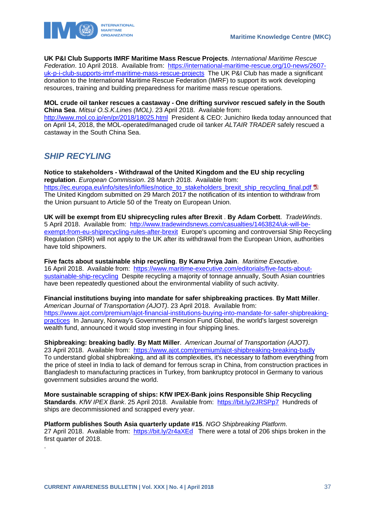

**UK P&I Club Supports IMRF Maritime Mass Rescue Projects**. *International Maritime Rescue Federation*. 10 April 2018. Available from: [https://international-maritime-rescue.org/10-news/2607](https://international-maritime-rescue.org/10-news/2607-uk-p-i-club-supports-imrf-maritime-mass-rescue-projects) [uk-p-i-club-supports-imrf-maritime-mass-rescue-projects](https://international-maritime-rescue.org/10-news/2607-uk-p-i-club-supports-imrf-maritime-mass-rescue-projects) The UK P&I Club has made a significant donation to the International Maritime Rescue Federation (IMRF) to support its work developing resources, training and building preparedness for maritime mass rescue operations.

**MOL crude oil tanker rescues a castaway - One drifting survivor rescued safely in the South China Sea**. *Mitsui O.S.K.Lines (MOL)*. 23 April 2018. Available from:

<http://www.mol.co.jp/en/pr/2018/18025.html>President & CEO: Junichiro Ikeda today announced that on April 14, 2018, the MOL-operated/managed crude oil tanker *ALTAIR TRADER* safely rescued a castaway in the South China Sea.

## <span id="page-37-0"></span>*SHIP RECYLING*

.

**Notice to stakeholders - Withdrawal of the United Kingdom and the EU ship recycling regulation**. *European Commission*. 28 March 2018. Available from: [https://ec.europa.eu/info/sites/info/files/notice\\_to\\_stakeholders\\_brexit\\_ship\\_recycling\\_final.pdf](https://ec.europa.eu/info/sites/info/files/notice_to_stakeholders_brexit_ship_recycling_final.pdf) The United Kingdom submitted on 29 March 2017 the notification of its intention to withdraw from the Union pursuant to Article 50 of the Treaty on European Union.

**UK will be exempt from EU shiprecycling rules after Brexit** . **By Adam Corbett**. *TradeWinds*. 5 April 2018. Available from: [http://www.tradewindsnews.com/casualties/1463824/uk-will-be](http://www.tradewindsnews.com/casualties/1463824/uk-will-be-exempt-from-eu-shiprecycling-rules-after-brexit)[exempt-from-eu-shiprecycling-rules-after-brexit](http://www.tradewindsnews.com/casualties/1463824/uk-will-be-exempt-from-eu-shiprecycling-rules-after-brexit) Europe's upcoming and controversial Ship Recycling Regulation (SRR) will not apply to the UK after its withdrawal from the European Union, authorities have told shipowners.

**Five facts about sustainable ship recycling**. **By Kanu Priya Jain**. *Maritime Executive*. 16 April 2018. Available from: [https://www.maritime-executive.com/editorials/five-facts-about](https://www.maritime-executive.com/editorials/five-facts-about-sustainable-ship-recycling)[sustainable-ship-recycling](https://www.maritime-executive.com/editorials/five-facts-about-sustainable-ship-recycling) Despite recycling a majority of tonnage annually, South Asian countries have been repeatedly questioned about the environmental viability of such activity.

**Financial institutions buying into mandate for safer shipbreaking practices**. **By Matt Miller**. *American Journal of Transportation (AJOT)*. 23 April 2018. Available from: [https://www.ajot.com/premium/ajot-financial-institutions-buying-into-mandate-for-safer-shipbreaking](https://www.ajot.com/premium/ajot-financial-institutions-buying-into-mandate-for-safer-shipbreaking-practices)[practices](https://www.ajot.com/premium/ajot-financial-institutions-buying-into-mandate-for-safer-shipbreaking-practices) In January, Norway's Government Pension Fund Global, the world's largest sovereign wealth fund, announced it would stop investing in four shipping lines.

**Shipbreaking: breaking badly**. **By Matt Miller**. *American Journal of Transportation (AJOT)*. 23 April 2018. Available from: <https://www.ajot.com/premium/ajot-shipbreaking-breaking-badly> To understand global shipbreaking, and all its complexities, it's necessary to fathom everything from the price of steel in India to lack of demand for ferrous scrap in China, from construction practices in Bangladesh to manufacturing practices in Turkey, from bankruptcy protocol in Germany to various government subsidies around the world.

**More sustainable scrapping of ships: KfW IPEX-Bank joins Responsible Ship Recycling Standards**. *KfW IPEX Bank*. 25 April 2018. Available from: <https://bit.ly/2JRSPp7>Hundreds of ships are decommissioned and scrapped every year.

**Platform publishes South Asia quarterly update #15**. *NGO Shipbreaking Platform*. 27 April 2018. Available from: <https://bit.ly/2r4aXEd> There were a total of 206 ships broken in the first quarter of 2018.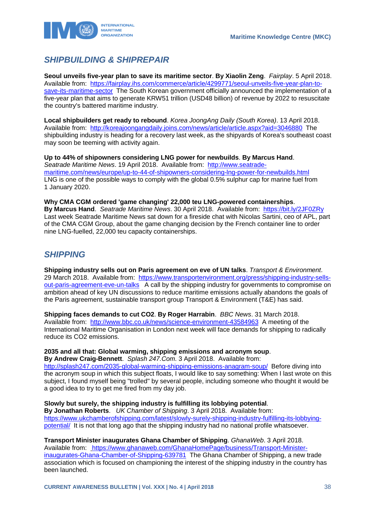

## <span id="page-38-0"></span>*SHIPBUILDING & SHIPREPAIR*

**Seoul unveils five-year plan to save its maritime sector**. **By Xiaolin Zeng**. *Fairplay*. 5 April 2018. Available from: [https://fairplay.ihs.com/commerce/article/4299771/seoul-unveils-five-year-plan-to](https://fairplay.ihs.com/commerce/article/4299771/seoul-unveils-five-year-plan-to-save-its-maritime-sector)[save-its-maritime-sector](https://fairplay.ihs.com/commerce/article/4299771/seoul-unveils-five-year-plan-to-save-its-maritime-sector) The South Korean government officially announced the implementation of a five-year plan that aims to generate KRW51 trillion (USD48 billion) of revenue by 2022 to resuscitate the country's battered maritime industry.

**Local shipbuilders get ready to rebound**. *Korea JoongAng Daily (South Korea)*. 13 April 2018. Available from: <http://koreajoongangdaily.joins.com/news/article/article.aspx?aid=3046880>The shipbuilding industry is heading for a recovery last week, as the shipyards of Korea's southeast coast may soon be teeming with activity again.

**Up to 44% of shipowners considering LNG power for newbuilds**. **By Marcus Hand**. *Seatrade Maritime News*. 19 April 2018. Available from: [http://www.seatrade](http://www.seatrade-maritime.com/news/europe/up-to-44-of-shipowners-considering-lng-power-for-newbuilds.html)[maritime.com/news/europe/up-to-44-of-shipowners-considering-lng-power-for-newbuilds.html](http://www.seatrade-maritime.com/news/europe/up-to-44-of-shipowners-considering-lng-power-for-newbuilds.html)  LNG is one of the possible ways to comply with the global 0.5% sulphur cap for marine fuel from 1 January 2020.

**Why CMA CGM ordered 'game changing' 22,000 teu LNG-powered containerships**. **By Marcus Hand**. *Seatrade Maritime News*. 30 April 2018. Available from: <https://bit.ly/2JF0ZRy> Last week Seatrade Maritime News sat down for a fireside chat with Nicolas Sartini, ceo of APL, part of the CMA CGM Group, about the game changing decision by the French container line to order nine LNG-fuelled, 22,000 teu capacity containerships.

## <span id="page-38-1"></span>*SHIPPING*

**Shipping industry sells out on Paris agreement on eve of UN talks**. *Transport & Environment*. 29 March 2018. Available from: [https://www.transportenvironment.org/press/shipping-industry-sells](https://www.transportenvironment.org/press/shipping-industry-sells-out-paris-agreement-eve-un-talks)[out-paris-agreement-eve-un-talks](https://www.transportenvironment.org/press/shipping-industry-sells-out-paris-agreement-eve-un-talks) A call by the shipping industry for governments to compromise on ambition ahead of key UN discussions to reduce maritime emissions actually abandons the goals of the Paris agreement, sustainable transport group Transport & Environment (T&E) has said.

**Shipping faces demands to cut CO2**. **By Roger Harrabin**. *BBC News*. 31 March 2018. Available from: <http://www.bbc.co.uk/news/science-environment-43584963>A meeting of the International Maritime Organisation in London next week will face demands for shipping to radically reduce its CO2 emissions.

## **2035 and all that: Global warming, shipping emissions and acronym soup**.

**By Andrew Craig-Bennett**. *Splash 247.Com*. 3 April 2018. Available from: <http://splash247.com/2035-global-warming-shipping-emissions-anagram-soup/>Before diving into the acronym soup in which this subject floats, I would like to say something: When I last wrote on this subject, I found myself being "trolled" by several people, including someone who thought it would be a good idea to try to get me fired from my day job.

**Slowly but surely, the shipping industry is fulfilling its lobbying potential**.

**By Jonathan Roberts**. *UK Chamber of Shipping*. 3 April 2018. Available from: [https://www.ukchamberofshipping.com/latest/slowly-surely-shipping-industry-fulfilling-its-lobbying](https://www.ukchamberofshipping.com/latest/slowly-surely-shipping-industry-fulfilling-its-lobbying-potential/)[potential/](https://www.ukchamberofshipping.com/latest/slowly-surely-shipping-industry-fulfilling-its-lobbying-potential/) It is not that long ago that the shipping industry had no national profile whatsoever.

**Transport Minister inaugurates Ghana Chamber of Shipping**. *GhanaWeb*. 3 April 2018.

Available from: [https://www.ghanaweb.com/GhanaHomePage/business/Transport-Minister](https://www.ghanaweb.com/GhanaHomePage/business/Transport-Minister-inaugurates-Ghana-Chamber-of-Shipping-639781)[inaugurates-Ghana-Chamber-of-Shipping-639781](https://www.ghanaweb.com/GhanaHomePage/business/Transport-Minister-inaugurates-Ghana-Chamber-of-Shipping-639781) The Ghana Chamber of Shipping, a new trade association which is focused on championing the interest of the shipping industry in the country has been launched.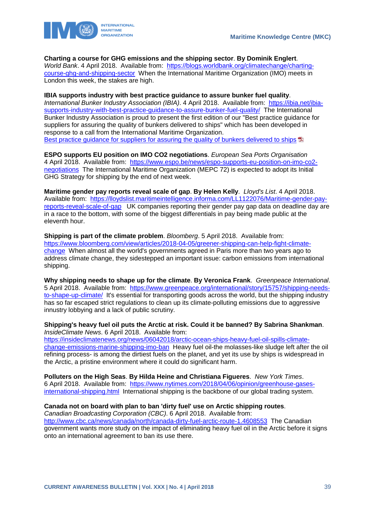

**Charting a course for GHG emissions and the shipping sector**. **By Dominik Englert**. *World Bank*. 4 April 2018. Available from: [https://blogs.worldbank.org/climatechange/charting](https://blogs.worldbank.org/climatechange/charting-course-ghg-and-shipping-sector)[course-ghg-and-shipping-sector](https://blogs.worldbank.org/climatechange/charting-course-ghg-and-shipping-sector) When the International Maritime Organization (IMO) meets in London this week, the stakes are high.

**IBIA supports industry with best practice guidance to assure bunker fuel quality**. *International Bunker Industry Association (IBIA)*. 4 April 2018. Available from: [https://ibia.net/ibia](https://ibia.net/ibia-supports-industry-with-best-practice-guidance-to-assure-bunker-fuel-quality/)[supports-industry-with-best-practice-guidance-to-assure-bunker-fuel-quality/](https://ibia.net/ibia-supports-industry-with-best-practice-guidance-to-assure-bunker-fuel-quality/) The International Bunker Industry Association is proud to present the first edition of our "Best practice guidance for suppliers for assuring the quality of bunkers delivered to ships" which has been developed in response to a call from the International Maritime Organization. [Best practice guidance for suppliers for assuring the quality of bunkers delivered to ships](https://ibia.net/wp-content/uploads/2018/04/IBIA-Guidance-on-best-practice-for-fuel-oil-suppliers.pdf) **E** 

**ESPO supports EU position on IMO CO2 negotiations**. *European Sea Ports Organisation* 4 April 2018. Available from: [https://www.espo.be/news/espo-supports-eu-position-on-imo-co2](https://www.espo.be/news/espo-supports-eu-position-on-imo-co2-negotiations) [negotiations](https://www.espo.be/news/espo-supports-eu-position-on-imo-co2-negotiations) The International Maritime Organization (MEPC 72) is expected to adopt its Initial GHG Strategy for shipping by the end of next week.

**Maritime gender pay reports reveal scale of gap**. **By Helen Kelly**. *Lloyd's List*. 4 April 2018. Available from: [https://lloydslist.maritimeintelligence.informa.com/LL1122076/Maritime-gender-pay](https://lloydslist.maritimeintelligence.informa.com/LL1122076/Maritime-gender-pay-reports-reveal-scale-of-gap)[reports-reveal-scale-of-gap](https://lloydslist.maritimeintelligence.informa.com/LL1122076/Maritime-gender-pay-reports-reveal-scale-of-gap) UK companies reporting their gender pay gap data on deadline day are in a race to the bottom, with some of the biggest differentials in pay being made public at the eleventh hour.

**Shipping is part of the climate problem**. *Bloomberg*. 5 April 2018. Available from: [https://www.bloomberg.com/view/articles/2018-04-05/greener-shipping-can-help-fight-climate](https://www.bloomberg.com/view/articles/2018-04-05/greener-shipping-can-help-fight-climate-change)[change](https://www.bloomberg.com/view/articles/2018-04-05/greener-shipping-can-help-fight-climate-change) When almost all the world's governments agreed in Paris more than two years ago to address climate change, they sidestepped an important issue: carbon emissions from international shipping.

**Why shipping needs to shape up for the climate**. **By Veronica Frank**. *Greenpeace International*. 5 April 2018. Available from: [https://www.greenpeace.org/international/story/15757/shipping-needs](https://www.greenpeace.org/international/story/15757/shipping-needs-to-shape-up-climate/)[to-shape-up-climate/](https://www.greenpeace.org/international/story/15757/shipping-needs-to-shape-up-climate/) It's essential for transporting goods across the world, but the shipping industry has so far escaped strict regulations to clean up its climate-polluting emissions due to aggressive innustry lobbying and a lack of public scrutiny.

### **Shipping's heavy fuel oil puts the Arctic at risk. Could it be banned? By Sabrina Shankman**. *InsideClimate News*. 6 April 2018. Available from:

[https://insideclimatenews.org/news/06042018/arctic-ocean-ships-heavy-fuel-oil-spills-climate](https://insideclimatenews.org/news/06042018/arctic-ocean-ships-heavy-fuel-oil-spills-climate-change-emissions-marine-shipping-imo-ban)[change-emissions-marine-shipping-imo-ban](https://insideclimatenews.org/news/06042018/arctic-ocean-ships-heavy-fuel-oil-spills-climate-change-emissions-marine-shipping-imo-ban) Heavy fuel oil-the molasses-like sludge left after the oil refining process- is among the dirtiest fuels on the planet, and yet its use by ships is widespread in the Arctic, a pristine environment where it could do significant harm.

**Polluters on the High Seas**. **By Hilda Heine and Christiana Figueres**. *New York Times*. 6 April 2018. Available from: [https://www.nytimes.com/2018/04/06/opinion/greenhouse-gases](https://www.nytimes.com/2018/04/06/opinion/greenhouse-gases-international-shipping.html)[international-shipping.html](https://www.nytimes.com/2018/04/06/opinion/greenhouse-gases-international-shipping.html) International shipping is the backbone of our global trading system.

## **Canada not on board with plan to ban 'dirty fuel' use on Arctic shipping routes**.

*Canadian Broadcasting Corporation (CBC)*. 6 April 2018. Available from: <http://www.cbc.ca/news/canada/north/canada-dirty-fuel-arctic-route-1.4608553>The Canadian government wants more study on the impact of eliminating heavy fuel oil in the Arctic before it signs onto an international agreement to ban its use there.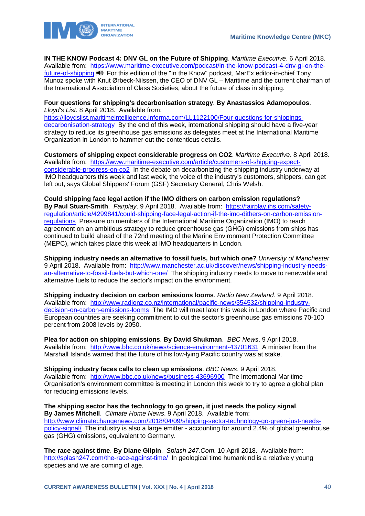

**IN THE KNOW Podcast 4: DNV GL on the Future of Shipping**. *Maritime Executive*. 6 April 2018. Available from: [https://www.maritime-executive.com/podcast/in-the-know-podcast-4-dnv-gl-on-the](https://www.maritime-executive.com/podcast/in-the-know-podcast-4-dnv-gl-on-the-future-of-shipping)[future-of-shipping](https://www.maritime-executive.com/podcast/in-the-know-podcast-4-dnv-gl-on-the-future-of-shipping)  $\blacktriangleleft \blacklozenge$  For this edition of the "In the Know" podcast, MarEx editor-in-chief Tony Munoz spoke with Knut Ørbeck-Nilssen, the CEO of DNV GL – Maritime and the current chairman of the International Association of Class Societies, about the future of class in shipping.

### **Four questions for shipping's decarbonisation strategy**. **By Anastassios Adamopoulos**. *Lloyd's List*. 8 April 2018. Available from:

[https://lloydslist.maritimeintelligence.informa.com/LL1122100/Four-questions-for-shippings](https://lloydslist.maritimeintelligence.informa.com/LL1122100/Four-questions-for-shippings-decarbonisation-strategy)[decarbonisation-strategy](https://lloydslist.maritimeintelligence.informa.com/LL1122100/Four-questions-for-shippings-decarbonisation-strategy) By the end of this week, international shipping should have a five-year strategy to reduce its greenhouse gas emissions as delegates meet at the International Maritime Organization in London to hammer out the contentious details.

**Customers of shipping expect considerable progress on CO2**. *Maritime Executive*. 8 April 2018. Available from: [https://www.maritime-executive.com/article/customers-of-shipping-expect](https://www.maritime-executive.com/article/customers-of-shipping-expect-considerable-progress-on-co2)[considerable-progress-on-co2](https://www.maritime-executive.com/article/customers-of-shipping-expect-considerable-progress-on-co2) In the debate on decarbonizing the shipping industry underway at IMO headquarters this week and last week, the voice of the industry's customers, shippers, can get left out, says Global Shippers' Forum (GSF) Secretary General, Chris Welsh.

**Could shipping face legal action if the IMO dithers on carbon emission regulations? By Paul Stuart-Smith**. *Fairplay*. 9 April 2018. Available from: [https://fairplay.ihs.com/safety](https://fairplay.ihs.com/safety-regulation/article/4299841/could-shipping-face-legal-action-if-the-imo-dithers-on-carbon-emission-regulations)[regulation/article/4299841/could-shipping-face-legal-action-if-the-imo-dithers-on-carbon-emission](https://fairplay.ihs.com/safety-regulation/article/4299841/could-shipping-face-legal-action-if-the-imo-dithers-on-carbon-emission-regulations)[regulations](https://fairplay.ihs.com/safety-regulation/article/4299841/could-shipping-face-legal-action-if-the-imo-dithers-on-carbon-emission-regulations) Pressure on members of the International Maritime Organization (IMO) to reach agreement on an ambitious strategy to reduce greenhouse gas (GHG) emissions from ships has continued to build ahead of the 72nd meeting of the Marine Environment Protection Committee (MEPC), which takes place this week at IMO headquarters in London.

**Shipping industry needs an alternative to fossil fuels, but which one?** *University of Manchester*  9 April 2018. Available from: [http://www.manchester.ac.uk/discover/news/shipping-industry-needs](http://www.manchester.ac.uk/discover/news/shipping-industry-needs-an-alternative-to-fossil-fuels-but-which-one/)[an-alternative-to-fossil-fuels-but-which-one/](http://www.manchester.ac.uk/discover/news/shipping-industry-needs-an-alternative-to-fossil-fuels-but-which-one/) The shipping industry needs to move to renewable and alternative fuels to reduce the sector's impact on the environment.

**Shipping industry decision on carbon emissions looms**. *Radio New Zealand*. 9 April 2018. Available from: [http://www.radionz.co.nz/international/pacific-news/354532/shipping-industry](http://www.radionz.co.nz/international/pacific-news/354532/shipping-industry-decision-on-carbon-emissions-looms)[decision-on-carbon-emissions-looms](http://www.radionz.co.nz/international/pacific-news/354532/shipping-industry-decision-on-carbon-emissions-looms) The IMO will meet later this week in London where Pacific and European countries are seeking commitment to cut the sector's greenhouse gas emissions 70-100 percent from 2008 levels by 2050.

**Plea for action on shipping emissions**. **By David Shukman**. *BBC News*. 9 April 2018. Available from: <http://www.bbc.co.uk/news/science-environment-43701631>A minister from the Marshall Islands warned that the future of his low-lying Pacific country was at stake.

**Shipping industry faces calls to clean up emissions**. *BBC News*. 9 April 2018. Available from: <http://www.bbc.co.uk/news/business-43696900>The International Maritime Organisation's environment committee is meeting in London this week to try to agree a global plan for reducing emissions levels.

**The shipping sector has the technology to go green, it just needs the policy signal**. **By James Mitchell**. *Climate Home News*. 9 April 2018. Available from: [http://www.climatechangenews.com/2018/04/09/shipping-sector-technology-go-green-just-needs](http://www.climatechangenews.com/2018/04/09/shipping-sector-technology-go-green-just-needs-policy-signal/)[policy-signal/](http://www.climatechangenews.com/2018/04/09/shipping-sector-technology-go-green-just-needs-policy-signal/) The industry is also a large emitter - accounting for around 2.4% of global greenhouse gas (GHG) emissions, equivalent to Germany.

**The race against time**. **By Diane Gilpin**. *Splash 247.Com*. 10 April 2018. Available from: <http://splash247.com/the-race-against-time/>In geological time humankind is a relatively young species and we are coming of age.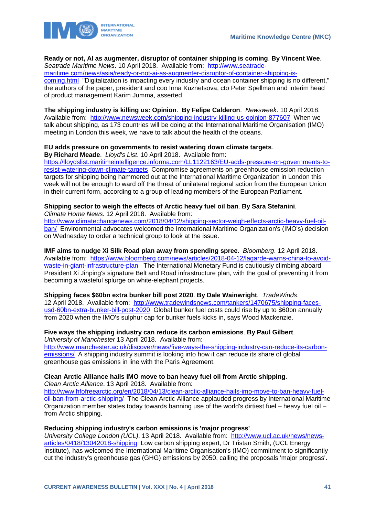

## **Ready or not, AI as augmenter, disruptor of container shipping is coming**. **By Vincent Wee**.

*Seatrade Maritime News*. 10 April 2018. Available from: [http://www.seatrade-](http://www.seatrade-maritime.com/news/asia/ready-or-not-ai-as-augmenter-disruptor-of-container-shipping-is-coming.html)

[maritime.com/news/asia/ready-or-not-ai-as-augmenter-disruptor-of-container-shipping-is](http://www.seatrade-maritime.com/news/asia/ready-or-not-ai-as-augmenter-disruptor-of-container-shipping-is-coming.html)[coming.html](http://www.seatrade-maritime.com/news/asia/ready-or-not-ai-as-augmenter-disruptor-of-container-shipping-is-coming.html) "Digitalization is impacting every industry and ocean container shipping is no different," the authors of the paper, president and coo Inna Kuznetsova, cto Peter Spellman and interim head of product management Karim Jumma, asserted.

**The shipping industry is killing us: Opinion**. **By Felipe Calderon**. *Newsweek*. 10 April 2018. Available from: <http://www.newsweek.com/shipping-industry-killing-us-opinion-877607>When we talk about shipping, as 173 countries will be doing at the International Maritime Organisation (IMO) meeting in London this week, we have to talk about the health of the oceans.

## **EU adds pressure on governments to resist watering down climate targets**.

**By Richard Meade**. *Lloyd's List*. 10 April 2018. Available from:

[https://lloydslist.maritimeintelligence.informa.com/LL1122163/EU-adds-pressure-on-governments-to](https://lloydslist.maritimeintelligence.informa.com/LL1122163/EU-adds-pressure-on-governments-to-resist-watering-down-climate-targets)[resist-watering-down-climate-targets](https://lloydslist.maritimeintelligence.informa.com/LL1122163/EU-adds-pressure-on-governments-to-resist-watering-down-climate-targets) Compromise agreements on greenhouse emission reduction targets for shipping being hammered out at the International Maritime Organization in London this week will not be enough to ward off the threat of unilateral regional action from the European Union in their current form, according to a group of leading members of the European Parliament.

## **Shipping sector to weigh the effects of Arctic heavy fuel oil ban**. **By Sara Stefanini**.

*Climate Home News*. 12 April 2018. Available from:

[http://www.climatechangenews.com/2018/04/12/shipping-sector-weigh-effects-arctic-heavy-fuel-oil](http://www.climatechangenews.com/2018/04/12/shipping-sector-weigh-effects-arctic-heavy-fuel-oil-ban/)[ban/](http://www.climatechangenews.com/2018/04/12/shipping-sector-weigh-effects-arctic-heavy-fuel-oil-ban/) Environmental advocates welcomed the International Maritime Organization's (IMO's) decision on Wednesday to order a technical group to look at the issue.

**IMF aims to nudge Xi Silk Road plan away from spending spree**. *Bloomberg*. 12 April 2018. Available from: [https://www.bloomberg.com/news/articles/2018-04-12/lagarde-warns-china-to-avoid](https://www.bloomberg.com/news/articles/2018-04-12/lagarde-warns-china-to-avoid-waste-in-giant-infrastructure-plan)[waste-in-giant-infrastructure-plan](https://www.bloomberg.com/news/articles/2018-04-12/lagarde-warns-china-to-avoid-waste-in-giant-infrastructure-plan) The International Monetary Fund is cautiously climbing aboard President Xi Jinping's signature Belt and Road infrastructure plan, with the goal of preventing it from becoming a wasteful splurge on white-elephant projects.

## **Shipping faces \$60bn extra bunker bill post 2020**. **By Dale Wainwright**. *TradeWinds*.

12 April 2018. Available from: [http://www.tradewindsnews.com/tankers/1470675/shipping-faces](http://www.tradewindsnews.com/tankers/1470675/shipping-faces-usd-60bn-extra-bunker-bill-post-2020)[usd-60bn-extra-bunker-bill-post-2020](http://www.tradewindsnews.com/tankers/1470675/shipping-faces-usd-60bn-extra-bunker-bill-post-2020) Global bunker fuel costs could rise by up to \$60bn annually from 2020 when the IMO's sulphur cap for bunker fuels kicks in, says Wood Mackenzie.

### **Five ways the shipping industry can reduce its carbon emissions**. **By Paul Gilbert**. *University of Manchester* 13 April 2018. Available from:

[http://www.manchester.ac.uk/discover/news/five-ways-the-shipping-industry-can-reduce-its-carbon](http://www.manchester.ac.uk/discover/news/five-ways-the-shipping-industry-can-reduce-its-carbon-emissions/)[emissions/](http://www.manchester.ac.uk/discover/news/five-ways-the-shipping-industry-can-reduce-its-carbon-emissions/) A shipping industry summit is looking into how it can reduce its share of global greenhouse gas emissions in line with the Paris Agreement.

## **Clean Arctic Alliance hails IMO move to ban heavy fuel oil from Arctic shipping**.

*Clean Arctic Alliance*. 13 April 2018. Available from: [http://www.hfofreearctic.org/en/2018/04/13/clean-arctic-alliance-hails-imo-move-to-ban-heavy-fuel](http://www.hfofreearctic.org/en/2018/04/13/clean-arctic-alliance-hails-imo-move-to-ban-heavy-fuel-oil-ban-from-arctic-shipping/)[oil-ban-from-arctic-shipping/](http://www.hfofreearctic.org/en/2018/04/13/clean-arctic-alliance-hails-imo-move-to-ban-heavy-fuel-oil-ban-from-arctic-shipping/) The Clean Arctic Alliance applauded progress by International Maritime Organization member states today towards banning use of the world's dirtiest fuel – heavy fuel oil – from Arctic shipping.

## **Reducing shipping industry's carbon emissions is 'major progress'**.

*University College London (UCL)*. 13 April 2018. Available from: [http://www.ucl.ac.uk/news/news](http://www.ucl.ac.uk/news/news-articles/0418/13042018-shipping)[articles/0418/13042018-shipping](http://www.ucl.ac.uk/news/news-articles/0418/13042018-shipping) Low carbon shipping expert, Dr Tristan Smith, (UCL Energy Institute), has welcomed the International Maritime Organisation's (IMO) commitment to significantly cut the industry's greenhouse gas (GHG) emissions by 2050, calling the proposals 'major progress'.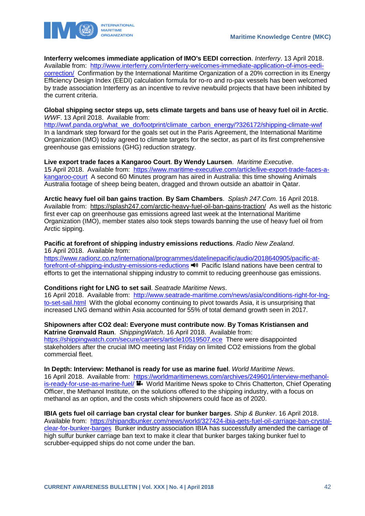



**Interferry welcomes immediate application of IMO's EEDI correction**. *Interferry*. 13 April 2018. Available from: [http://www.interferry.com/interferry-welcomes-immediate-application-of-imos-eedi](http://www.interferry.com/interferry-welcomes-immediate-application-of-imos-eedi-correction/)[correction/](http://www.interferry.com/interferry-welcomes-immediate-application-of-imos-eedi-correction/) Confirmation by the International Maritime Organization of a 20% correction in its Energy Efficiency Design Index (EEDI) calculation formula for ro-ro and ro-pax vessels has been welcomed by trade association Interferry as an incentive to revive newbuild projects that have been inhibited by the current criteria.

### **Global shipping sector steps up, sets climate targets and bans use of heavy fuel oil in Arctic**. *WWF*. 13 April 2018. Available from:

[http://wwf.panda.org/what\\_we\\_do/footprint/climate\\_carbon\\_energy/?326172/shipping-climate-wwf](http://wwf.panda.org/what_we_do/footprint/climate_carbon_energy/?326172/shipping-climate-wwf) In a landmark step forward for the goals set out in the Paris Agreement, the International Maritime Organization (IMO) today agreed to climate targets for the sector, as part of its first comprehensive greenhouse gas emissions (GHG) reduction strategy.

## **Live export trade faces a Kangaroo Court**. **By Wendy Laursen**. *Maritime Executive*.

15 April 2018. Available from: [https://www.maritime-executive.com/article/live-export-trade-faces-a](https://www.maritime-executive.com/article/live-export-trade-faces-a-kangaroo-court)[kangaroo-court](https://www.maritime-executive.com/article/live-export-trade-faces-a-kangaroo-court) A second 60 Minutes program has aired in Australia: this time showing Animals Australia footage of sheep being beaten, dragged and thrown outside an abattoir in Qatar.

**Arctic heavy fuel oil ban gains traction**. **By Sam Chambers**. *Splash 247.Com*. 16 April 2018. Available from: https://splash247.com/arctic-heavy-fuel-oil-ban-gains-traction/ As well as the historic first ever cap on greenhouse gas emissions agreed last week at the International Maritime Organization (IMO), member states also took steps towards banning the use of heavy fuel oil from Arctic sipping.

## **Pacific at forefront of shipping industry emissions reductions**. *Radio New Zealand*. 16 April 2018. Available from:

[https://www.radionz.co.nz/international/programmes/datelinepacific/audio/2018640905/pacific-at](https://www.radionz.co.nz/international/programmes/datelinepacific/audio/2018640905/pacific-at-forefront-of-shipping-industry-emissions-reductions)[forefront-of-shipping-industry-emissions-reductions](https://www.radionz.co.nz/international/programmes/datelinepacific/audio/2018640905/pacific-at-forefront-of-shipping-industry-emissions-reductions)  $\blacktriangleleft$  Pacific Island nations have been central to efforts to get the international shipping industry to commit to reducing greenhouse gas emissions.

## **Conditions right for LNG to set sail**. *Seatrade Maritime News*.

16 April 2018. Available from: [http://www.seatrade-maritime.com/news/asia/conditions-right-for-lng](http://www.seatrade-maritime.com/news/asia/conditions-right-for-lng-to-set-sail.html)[to-set-sail.html](http://www.seatrade-maritime.com/news/asia/conditions-right-for-lng-to-set-sail.html) With the global economy continuing to pivot towards Asia, it is unsurprising that increased LNG demand within Asia accounted for 55% of total demand growth seen in 2017.

#### **Shipowners after CO2 deal: Everyone must contribute now**. **By Tomas Kristiansen and Katrine Grønvald Raun**. *ShippingWatch*. 16 April 2018. Available from:

<https://shippingwatch.com/secure/carriers/article10519507.ece>There were disappointed stakeholders after the crucial IMO meeting last Friday on limited CO2 emissions from the global commercial fleet.

## **In Depth: Interview: Methanol is ready for use as marine fuel**. *World Maritime News*.

16 April 2018. Available from: [https://worldmaritimenews.com/archives/249601/interview-methanol](https://worldmaritimenews.com/archives/249601/interview-methanol-is-ready-for-use-as-marine-fuel/)[is-ready-for-use-as-marine-fuel/](https://worldmaritimenews.com/archives/249601/interview-methanol-is-ready-for-use-as-marine-fuel/) World Maritime News spoke to Chris Chatterton, Chief Operating Officer, the Methanol Institute, on the solutions offered to the shipping industry, with a focus on methanol as an option, and the costs which shipowners could face as of 2020.

## **IBIA gets fuel oil carriage ban crystal clear for bunker barges**. *Ship & Bunker*. 16 April 2018.

Available from: [https://shipandbunker.com/news/world/327424-ibia-gets-fuel-oil-carriage-ban-crystal](https://shipandbunker.com/news/world/327424-ibia-gets-fuel-oil-carriage-ban-crystal-clear-for-bunker-barges)[clear-for-bunker-barges](https://shipandbunker.com/news/world/327424-ibia-gets-fuel-oil-carriage-ban-crystal-clear-for-bunker-barges) Bunker industry association IBIA has successfully amended the carriage of high sulfur bunker carriage ban text to make it clear that bunker barges taking bunker fuel to scrubber-equipped ships do not come under the ban.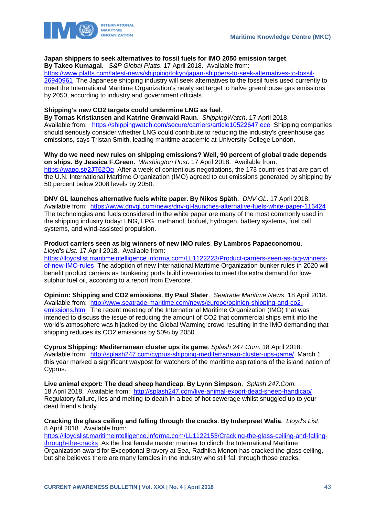

### **Japan shippers to seek alternatives to fossil fuels for IMO 2050 emission target**.

**By Takeo Kumagai**. *S&P Global Platts*. 17 April 2018. Available from:

[https://www.platts.com/latest-news/shipping/tokyo/japan-shippers-to-seek-alternatives-to-fossil-](https://www.platts.com/latest-news/shipping/tokyo/japan-shippers-to-seek-alternatives-to-fossil-26940961)[26940961](https://www.platts.com/latest-news/shipping/tokyo/japan-shippers-to-seek-alternatives-to-fossil-26940961) The Japanese shipping industry will seek alternatives to the fossil fuels used currently to meet the International Maritime Organization's newly set target to halve greenhouse gas emissions by 2050, according to industry and government officials.

## **Shipping's new CO2 targets could undermine LNG as fuel**.

**By Tomas Kristiansen and Katrine Grønvald Raun**. *ShippingWatch*. 17 April 2018. Available from: <https://shippingwatch.com/secure/carriers/article10522647.ece>Shipping companies should seriously consider whether LNG could contribute to reducing the industry's greenhouse gas emissions, says Tristan Smith, leading maritime academic at University College London.

**Why do we need new rules on shipping emissions? Well, 90 percent of global trade depends on ships. By Jessica F.Green**. *Washington Post*. 17 April 2018. Available from: <https://wapo.st/2JT62Oq>After a week of contentious negotiations, the 173 countries that are part of the U.N. International Maritime Organization (IMO) agreed to cut emissions generated by shipping by 50 percent below 2008 levels by 2050.

**DNV GL launches alternative fuels white paper**. **By Nikos Späth**. *DNV GL*. 17 April 2018. Available from: <https://www.dnvgl.com/news/dnv-gl-launches-alternative-fuels-white-paper-116424> The technologies and fuels considered in the white paper are many of the most commonly used in the shipping industry today: LNG, LPG, methanol, biofuel, hydrogen, battery systems, fuel cell systems, and wind-assisted propulsion.

#### **Product carriers seen as big winners of new IMO rules**. **By Lambros Papaeconomou**. *Lloyd's List*. 17 April 2018. Available from:

[https://lloydslist.maritimeintelligence.informa.com/LL1122223/Product-carriers-seen-as-big-winners-](https://lloydslist.maritimeintelligence.informa.com/LL1122223/Product-carriers-seen-as-big-winners-of-new-IMO-rules)

[of-new-IMO-rules](https://lloydslist.maritimeintelligence.informa.com/LL1122223/Product-carriers-seen-as-big-winners-of-new-IMO-rules) The adoption of new International Maritime Organization bunker rules in 2020 will benefit product carriers as bunkering ports build inventories to meet the extra demand for lowsulphur fuel oil, according to a report from Evercore.

**Opinion: Shipping and CO2 emissions**. **By Paul Slater**. *Seatrade Maritime News*. 18 April 2018. Available from: [http://www.seatrade-maritime.com/news/europe/opinion-shipping-and-co2](http://www.seatrade-maritime.com/news/europe/opinion-shipping-and-co2-emissions.html) [emissions.html](http://www.seatrade-maritime.com/news/europe/opinion-shipping-and-co2-emissions.html) The recent meeting of the International Maritime Organization (IMO) that was intended to discuss the issue of reducing the amount of CO2 that commercial ships emit into the world's atmosphere was hijacked by the Global Warming crowd resulting in the IMO demanding that shipping reduces its CO2 emissions by 50% by 2050.

**Cyprus Shipping: Mediterranean cluster ups its game**. *Splash 247.Com*. 18 April 2018. Available from: <http://splash247.com/cyprus-shipping-mediterranean-cluster-ups-game/>March 1 this year marked a significant waypost for watchers of the maritime aspirations of the island nation of Cyprus.

**Live animal export: The dead sheep handicap**. **By Lynn Simpson**. *Splash 247.Com*. 18 April 2018. Available from: <http://splash247.com/live-animal-export-dead-sheep-handicap/> Regulatory failure, lies and melting to death in a bed of hot sewerage whilst snuggled up to your dead friend's body.

**Cracking the glass ceiling and falling through the cracks**. **By Inderpreet Walia**. *Lloyd's List*. 8 April 2018. Available from:

[https://lloydslist.maritimeintelligence.informa.com/LL1122153/Cracking-the-glass-ceiling-and-falling](https://lloydslist.maritimeintelligence.informa.com/LL1122153/Cracking-the-glass-ceiling-and-falling-through-the-cracks)[through-the-cracks](https://lloydslist.maritimeintelligence.informa.com/LL1122153/Cracking-the-glass-ceiling-and-falling-through-the-cracks) As the first female master mariner to clinch the International Maritime Organization award for Exceptional Bravery at Sea, Radhika Menon has cracked the glass ceiling, but she believes there are many females in the industry who still fall through those cracks.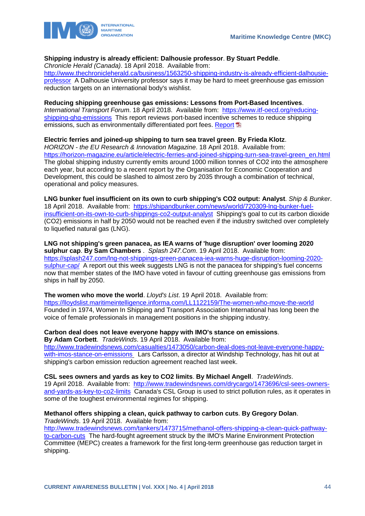

## **Shipping industry is already efficient: Dalhousie professor**. **By Stuart Peddle**.

*Chronicle Herald (Canada)*. 18 April 2018. Available from:

[http://www.thechronicleherald.ca/business/1563250-shipping-industry-is-already-efficient-dalhousie](http://www.thechronicleherald.ca/business/1563250-shipping-industry-is-already-efficient-dalhousie-professor)[professor](http://www.thechronicleherald.ca/business/1563250-shipping-industry-is-already-efficient-dalhousie-professor) A Dalhousie University professor says it may be hard to meet greenhouse gas emission reduction targets on an international body's wishlist.

### **Reducing shipping greenhouse gas emissions: Lessons from Port-Based Incentives**.

*International Transport Forum*. 18 April 2018. Available from: [https://www.itf-oecd.org/reducing](https://www.itf-oecd.org/reducing-shipping-ghg-emissions)[shipping-ghg-emissions](https://www.itf-oecd.org/reducing-shipping-ghg-emissions) This report reviews port-based incentive schemes to reduce shipping emissions, such as environmentally differentiated port fees. [Report](https://www.itf-oecd.org/sites/default/files/docs/reducing-shipping-greenhouse-gas-emissions.pdf)

## **Electric ferries and joined-up shipping to turn sea travel green**. **By Frieda Klotz**.

*HORIZON - the EU Research & Innovation Magazine*. 18 April 2018. Available from: [https://horizon-magazine.eu/article/electric-ferries-and-joined-shipping-turn-sea-travel-green\\_en.html](https://horizon-magazine.eu/article/electric-ferries-and-joined-shipping-turn-sea-travel-green_en.html)  The global shipping industry currently emits around 1000 million tonnes of CO2 into the atmosphere each year, but according to a recent report by the Organisation for Economic Cooperation and Development, this could be slashed to almost zero by 2035 through a combination of technical, operational and policy measures.

**LNG bunker fuel insufficient on its own to curb shipping's CO2 output: Analyst**. *Ship & Bunker*. 18 April 2018. Available from: [https://shipandbunker.com/news/world/720309-lng-bunker-fuel](https://shipandbunker.com/news/world/720309-lng-bunker-fuel-insufficient-on-its-own-to-curb-shippings-co2-output-analyst)[insufficient-on-its-own-to-curb-shippings-co2-output-analyst](https://shipandbunker.com/news/world/720309-lng-bunker-fuel-insufficient-on-its-own-to-curb-shippings-co2-output-analyst) Shipping's goal to cut its carbon dioxide (CO2) emissions in half by 2050 would not be reached even if the industry switched over completely to liquefied natural gas (LNG).

**LNG not shipping's green panacea, as IEA warns of 'huge disruption' over looming 2020 sulphur cap**. **By Sam Chambers** . *Splash 247.Com*. 19 April 2018. Available from: [https://splash247.com/lng-not-shippings-green-panacea-iea-warns-huge-disruption-looming-2020](https://splash247.com/lng-not-shippings-green-panacea-iea-warns-huge-disruption-looming-2020-sulphur-cap/) [sulphur-cap/](https://splash247.com/lng-not-shippings-green-panacea-iea-warns-huge-disruption-looming-2020-sulphur-cap/) A report out this week suggests LNG is not the panacea for shipping's fuel concerns now that member states of the IMO have voted in favour of cutting greenhouse gas emissions from ships in half by 2050.

**The women who move the world**. *Lloyd's List*. 19 April 2018. Available from: <https://lloydslist.maritimeintelligence.informa.com/LL1122159/The-women-who-move-the-world> Founded in 1974, Women In Shipping and Transport Association International has long been the voice of female professionals in management positions in the shipping industry.

**Carbon deal does not leave everyone happy with IMO's stance on emissions**. **By Adam Corbett**. *TradeWinds*. 19 April 2018. Available from: [http://www.tradewindsnews.com/casualties/1473050/carbon-deal-does-not-leave-everyone-happy](http://www.tradewindsnews.com/casualties/1473050/carbon-deal-does-not-leave-everyone-happy-with-imos-stance-on-emissions)[with-imos-stance-on-emissions](http://www.tradewindsnews.com/casualties/1473050/carbon-deal-does-not-leave-everyone-happy-with-imos-stance-on-emissions) Lars Carlsson, a director at Windship Technology, has hit out at shipping's carbon emission reduction agreement reached last week.

**CSL sees owners and yards as key to CO2 limits**. **By Michael Angell**. *TradeWinds*. 19 April 2018. Available from: [http://www.tradewindsnews.com/drycargo/1473696/csl-sees-owners](http://www.tradewindsnews.com/drycargo/1473696/csl-sees-owners-and-yards-as-key-to-co2-limits)[and-yards-as-key-to-co2-limits](http://www.tradewindsnews.com/drycargo/1473696/csl-sees-owners-and-yards-as-key-to-co2-limits) Canada's CSL Group is used to strict pollution rules, as it operates in some of the toughest environmental regimes for shipping.

## **Methanol offers shipping a clean, quick pathway to carbon cuts**. **By Gregory Dolan**.

*TradeWinds*. 19 April 2018. Available from:

[http://www.tradewindsnews.com/tankers/1473715/methanol-offers-shipping-a-clean-quick-pathway](http://www.tradewindsnews.com/tankers/1473715/methanol-offers-shipping-a-clean-quick-pathway-to-carbon-cuts)[to-carbon-cuts](http://www.tradewindsnews.com/tankers/1473715/methanol-offers-shipping-a-clean-quick-pathway-to-carbon-cuts) The hard-fought agreement struck by the IMO's Marine Environment Protection Committee (MEPC) creates a framework for the first long-term greenhouse gas reduction target in shipping.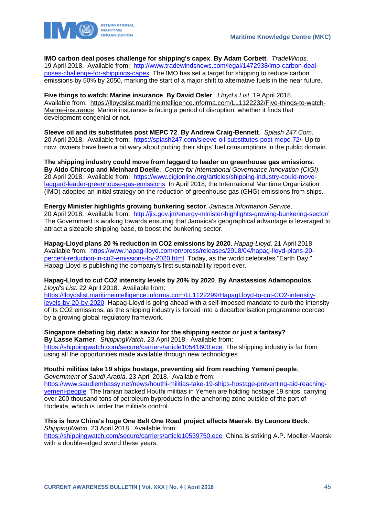

**IMO carbon deal poses challenge for shipping's capex**. **By Adam Corbett**. *TradeWinds*. 19 April 2018. Available from: [http://www.tradewindsnews.com/legal/1472938/imo-carbon-deal](http://www.tradewindsnews.com/legal/1472938/imo-carbon-deal-poses-challenge-for-shippings-capex)[poses-challenge-for-shippings-capex](http://www.tradewindsnews.com/legal/1472938/imo-carbon-deal-poses-challenge-for-shippings-capex) The IMO has set a target for shipping to reduce carbon emissions by 50% by 2050, marking the start of a major shift to alternative fuels in the near future.

**Five things to watch: Marine insurance**. **By David Osler**. *Lloyd's List*. 19 April 2018. Available from: https://lloydslist.maritimeintelligence.informa.com/LL1122232/Five-things-to-watch-Marine-insurance Marine insurance is facing a period of disruption, whether it finds that development congenial or not.

**Sleeve oil and its substitutes post MEPC 72**. **By Andrew Craig-Bennett**. *Splash 247.Com*. 20 April 2018. Available from: <https://splash247.com/sleeve-oil-substitutes-post-mepc-72/>Up to now, owners have been a bit wary about putting their ships' fuel consumptions in the public domain.

**The shipping industry could move from laggard to leader on greenhouse gas emissions**. **By Aldo Chircop and Meinhard Doelle**. *Centre for International Governance Innovation (CIGI)*. 20 April 2018. Available from: [https://www.cigionline.org/articles/shipping-industry-could-move](https://www.cigionline.org/articles/shipping-industry-could-move-laggard-leader-greenhouse-gas-emissions)[laggard-leader-greenhouse-gas-emissions](https://www.cigionline.org/articles/shipping-industry-could-move-laggard-leader-greenhouse-gas-emissions) In April 2018, the International Maritime Organization (IMO) adopted an initial strategy on the reduction of greenhouse gas (GHG) emissions from ships.

**Energy Minister highlights growing bunkering sector**. *Jamaica Information Service*. 20 April 2018. Available from: <http://jis.gov.jm/energy-minister-highlights-growing-bunkering-sector/> The Government is working towards ensuring that Jamaica's geographical advantage is leveraged to attract a sizeable shipping base, to boost the bunkering sector.

**Hapag-Lloyd plans 20 % reduction in CO2 emissions by 2020**. *Hapag-Lloyd*. 21 April 2018. Available from: [https://www.hapag-lloyd.com/en/press/releases/2018/04/hapag-lloyd-plans-20](https://www.hapag-lloyd.com/en/press/releases/2018/04/hapag-lloyd-plans-20-percent-reduction-in-co2-emissions-by-2020.html) [percent-reduction-in-co2-emissions-by-2020.html](https://www.hapag-lloyd.com/en/press/releases/2018/04/hapag-lloyd-plans-20-percent-reduction-in-co2-emissions-by-2020.html) Today, as the world celebrates "Earth Day," Hapag-Lloyd is publishing the company's first sustainability report ever.

### **Hapag-Lloyd to cut CO2 intensity levels by 20% by 2020**. **By Anastassios Adamopoulos**. *Lloyd's List*. 22 April 2018. Available from:

[https://lloydslist.maritimeintelligence.informa.com/LL1122299/HapagLloyd-to-cut-CO2-intensity](https://lloydslist.maritimeintelligence.informa.com/LL1122299/HapagLloyd-to-cut-CO2-intensity-levels-by-20-by-2020)[levels-by-20-by-2020](https://lloydslist.maritimeintelligence.informa.com/LL1122299/HapagLloyd-to-cut-CO2-intensity-levels-by-20-by-2020) Hapag-Lloyd is going ahead with a self-imposed mandate to curb the intensity of its CO2 emissions, as the shipping industry is forced into a decarbonisation programme coerced by a growing global regulatory framework.

#### **Singapore debating big data: a savior for the shipping sector or just a fantasy? By Lasse Karner**. *ShippingWatch*. 23 April 2018. Available from: <https://shippingwatch.com/secure/carriers/article10541600.ece>The shipping industry is far from

using all the opportunities made available through new technologies.

#### **Houthi militias take 19 ships hostage, preventing aid from reaching Yemeni people**. *Government of Saudi Arabia*. 23 April 2018. Available from:

[https://www.saudiembassy.net/news/houthi-militias-take-19-ships-hostage-preventing-aid-reaching](https://www.saudiembassy.net/news/houthi-militias-take-19-ships-hostage-preventing-aid-reaching-yemeni-people)[yemeni-people](https://www.saudiembassy.net/news/houthi-militias-take-19-ships-hostage-preventing-aid-reaching-yemeni-people) The Iranian backed Houthi militias in Yemen are holding hostage 19 ships, carrying over 200 thousand tons of petroleum byproducts in the anchoring zone outside of the port of Hodeida, which is under the militia's control.

## **This is how China's huge One Belt One Road project affects Maersk**. **By Leonora Beck**. *ShippingWatch*. 23 April 2018. Available from:

<https://shippingwatch.com/secure/carriers/article10539750.ece>China is striking A.P. Moeller-Maersk with a double-edged sword these years.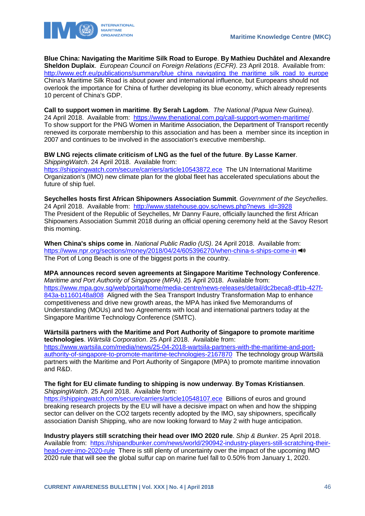

**Blue China: Navigating the Maritime Silk Road to Europe**. **By Mathieu Duchâtel and Alexandre Sheldon Duplaix**. *European Council on Foreign Relations (ECFR)*. 23 April 2018. Available from: [http://www.ecfr.eu/publications/summary/blue\\_china\\_navigating\\_the\\_maritime\\_silk\\_road\\_to\\_europe](http://www.ecfr.eu/publications/summary/blue_china_navigating_the_maritime_silk_road_to_europe) China's Maritime Silk Road is about power and international influence, but Europeans should not overlook the importance for China of further developing its blue economy, which already represents 10 percent of China's GDP.

**Call to support women in maritime**. **By Serah Lagdom**. *The National (Papua New Guinea)*. 24 April 2018. Available from: <https://www.thenational.com.pg/call-support-women-maritime/> To show support for the PNG Women in Maritime Association, the Department of Transport recently renewed its corporate membership to this association and has been a member since its inception in 2007 and continues to be involved in the association's executive membership.

### **BW LNG rejects climate criticism of LNG as the fuel of the future**. **By Lasse Karner**. *ShippingWatch*. 24 April 2018. Available from:

<https://shippingwatch.com/secure/carriers/article10543872.ece>The UN International Maritime Organization's (IMO) new climate plan for the global fleet has accelerated speculations about the future of ship fuel.

**Seychelles hosts first African Shipowners Association Summit**. *Government of the Seychelles*. 24 April 2018. Available from: [http://www.statehouse.gov.sc/news.php?news\\_id=3928](http://www.statehouse.gov.sc/news.php?news_id=3928)  The President of the Republic of Seychelles, Mr Danny Faure, officially launched the first African Shipowners Association Summit 2018 during an official opening ceremony held at the Savoy Resort this morning.

**When China's ships come in**. *National Public Radio (US)*. 24 April 2018. Available from: <https://www.npr.org/sections/money/2018/04/24/605396270/when-china-s-ships-come-in> The Port of Long Beach is one of the biggest ports in the country.

**MPA announces record seven agreements at Singapore Maritime Technology Conference**. *Maritime and Port Authority of Singapore (MPA)*. 25 April 2018. Available from: [https://www.mpa.gov.sg/web/portal/home/media-centre/news-releases/detail/dc2beca8-df1b-427f-](https://www.mpa.gov.sg/web/portal/home/media-centre/news-releases/detail/dc2beca8-df1b-427f-843a-b1160148a808)[843a-b1160148a808](https://www.mpa.gov.sg/web/portal/home/media-centre/news-releases/detail/dc2beca8-df1b-427f-843a-b1160148a808) Aligned with the Sea Transport Industry Transformation Map to enhance competitiveness and drive new growth areas, the MPA has inked five Memorandums of Understanding (MOUs) and two Agreements with local and international partners today at the Singapore Maritime Technology Conference (SMTC).

**Wärtsilä partners with the Maritime and Port Authority of Singapore to promote maritime technologies**. *Wärtsilä Corporation*. 25 April 2018. Available from: [https://www.wartsila.com/media/news/25-04-2018-wartsila-partners-with-the-maritime-and-port](https://www.wartsila.com/media/news/25-04-2018-wartsila-partners-with-the-maritime-and-port-authority-of-singapore-to-promote-maritime-technologies-2167870)[authority-of-singapore-to-promote-maritime-technologies-2167870](https://www.wartsila.com/media/news/25-04-2018-wartsila-partners-with-the-maritime-and-port-authority-of-singapore-to-promote-maritime-technologies-2167870) The technology group Wärtsilä partners with the Maritime and Port Authority of Singapore (MPA) to promote maritime innovation and R&D.

## **The fight for EU climate funding to shipping is now underway**. **By Tomas Kristiansen**. *ShippingWatch*. 25 April 2018. Available from:

<https://shippingwatch.com/secure/carriers/article10548107.ece>Billions of euros and ground breaking research projects by the EU will have a decisive impact on when and how the shipping sector can deliver on the CO2 targets recently adopted by the IMO, say shipowners, specifically association Danish Shipping, who are now looking forward to May 2 with huge anticipation.

**Industry players still scratching their head over IMO 2020 rule**. *Ship & Bunker*. 25 April 2018. Available from: [https://shipandbunker.com/news/world/290942-industry-players-still-scratching-their](https://shipandbunker.com/news/world/290942-industry-players-still-scratching-their-head-over-imo-2020-rule)[head-over-imo-2020-rule](https://shipandbunker.com/news/world/290942-industry-players-still-scratching-their-head-over-imo-2020-rule) There is still plenty of uncertainty over the impact of the upcoming IMO 2020 rule that will see the global sulfur cap on marine fuel fall to 0.50% from January 1, 2020.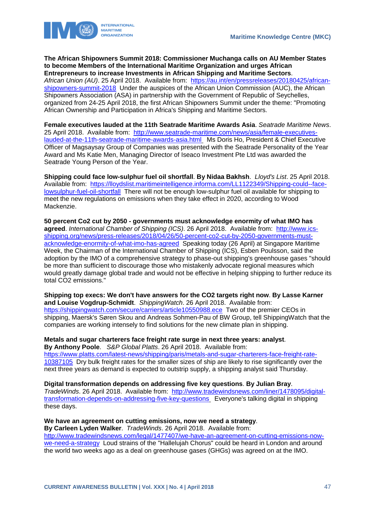

**The African Shipowners Summit 2018: Commissioner Muchanga calls on AU Member States to become Members of the International Maritime Organization and urges African Entrepreneurs to increase Investments in African Shipping and Maritime Sectors**.

*African Union (AU)*. 25 April 2018. Available from: [https://au.int/en/pressreleases/20180425/african](https://au.int/en/pressreleases/20180425/african-shipowners-summit-2018)[shipowners-summit-2018](https://au.int/en/pressreleases/20180425/african-shipowners-summit-2018) Under the auspices of the African Union Commission (AUC), the African Shipowners Association (ASA) in partnership with the Government of Republic of Seychelles, organized from 24-25 April 2018, the first African Shipowners Summit under the theme: "Promoting African Ownership and Participation in Africa's Shipping and Maritime Sectors.

**Female executives lauded at the 11th Seatrade Maritime Awards Asia**. *Seatrade Maritime News*. 25 April 2018. Available from: [http://www.seatrade-maritime.com/news/asia/female-executives](http://www.seatrade-maritime.com/news/asia/female-executives-lauded-at-the-11th-seatrade-maritime-awards-asia.html)[lauded-at-the-11th-seatrade-maritime-awards-asia.html](http://www.seatrade-maritime.com/news/asia/female-executives-lauded-at-the-11th-seatrade-maritime-awards-asia.html) Ms Doris Ho, President & Chief Executive Officer of Magsaysay Group of Companies was presented with the Seatrade Personality of the Year Award and Ms Katie Men, Managing Director of Iseaco Investment Pte Ltd was awarded the Seatrade Young Person of the Year.

**Shipping could face low-sulphur fuel oil shortfall**. **By Nidaa Bakhsh**. *Lloyd's List*. 25 April 2018. Available from: [https://lloydslist.maritimeintelligence.informa.com/LL1122349/Shipping-could--face](https://lloydslist.maritimeintelligence.informa.com/LL1122349/Shipping-could--face-lowsulphur-fuel-oil-shortfall)[lowsulphur-fuel-oil-shortfall](https://lloydslist.maritimeintelligence.informa.com/LL1122349/Shipping-could--face-lowsulphur-fuel-oil-shortfall) There will not be enough low-sulphur fuel oil available for shipping to meet the new regulations on emissions when they take effect in 2020, according to Wood Mackenzie.

**50 percent Co2 cut by 2050 - governments must acknowledge enormity of what IMO has agreed**. *International Chamber of Shipping (ICS)*. 26 April 2018. Available from: [http://www.ics](http://www.ics-shipping.org/news/press-releases/2018/04/26/50-percent-co2-cut-by-2050-governments-must-acknowledge-enormity-of-what-imo-has-agreed)[shipping.org/news/press-releases/2018/04/26/50-percent-co2-cut-by-2050-governments-must](http://www.ics-shipping.org/news/press-releases/2018/04/26/50-percent-co2-cut-by-2050-governments-must-acknowledge-enormity-of-what-imo-has-agreed)[acknowledge-enormity-of-what-imo-has-agreed](http://www.ics-shipping.org/news/press-releases/2018/04/26/50-percent-co2-cut-by-2050-governments-must-acknowledge-enormity-of-what-imo-has-agreed) Speaking today (26 April) at Singapore Maritime Week, the Chairman of the International Chamber of Shipping (ICS), Esben Poulsson, said the adoption by the IMO of a comprehensive strategy to phase-out shipping's greenhouse gases "should be more than sufficient to discourage those who mistakenly advocate regional measures which would greatly damage global trade and would not be effective in helping shipping to further reduce its total CO2 emissions."

**Shipping top execs: We don't have answers for the CO2 targets right now**. **By Lasse Karner and Louise Vogdrup-Schmidt**. *ShippingWatch*. 26 April 2018. Available from: <https://shippingwatch.com/secure/carriers/article10550988.ece>Two of the premier CEOs in shipping, Maersk's Søren Skou and Andreas Sohmen-Pau of BW Group, tell ShippingWatch that the companies are working intensely to find solutions for the new climate plan in shipping.

**Metals and sugar charterers face freight rate surge in next three years: analyst**. **By Anthony Poole**. *S&P Global Platts*. 26 April 2018. Available from: [https://www.platts.com/latest-news/shipping/paris/metals-and-sugar-charterers-face-freight-rate-](https://www.platts.com/latest-news/shipping/paris/metals-and-sugar-charterers-face-freight-rate-10387105)[10387105](https://www.platts.com/latest-news/shipping/paris/metals-and-sugar-charterers-face-freight-rate-10387105) Dry bulk freight rates for the smaller sizes of ship are likely to rise significantly over the next three years as demand is expected to outstrip supply, a shipping analyst said Thursday.

**Digital transformation depends on addressing five key questions**. **By Julian Bray**. *TradeWinds*. 26 April 2018. Available from: [http://www.tradewindsnews.com/liner/1478095/digital](http://www.tradewindsnews.com/liner/1478095/digital-transformation-depends-on-addressing-five-key-questions)[transformation-depends-on-addressing-five-key-questions](http://www.tradewindsnews.com/liner/1478095/digital-transformation-depends-on-addressing-five-key-questions) Everyone's talking digital in shipping these days.

**We have an agreement on cutting emissions, now we need a strategy**. **By Carleen Lyden Walker**. *TradeWinds*. 26 April 2018. Available from: [http://www.tradewindsnews.com/legal/1477407/we-have-an-agreement-on-cutting-emissions-now](http://www.tradewindsnews.com/legal/1477407/we-have-an-agreement-on-cutting-emissions-now-we-need-a-strategy)[we-need-a-strategy](http://www.tradewindsnews.com/legal/1477407/we-have-an-agreement-on-cutting-emissions-now-we-need-a-strategy) Loud strains of the "Hallelujah Chorus" could be heard in London and around the world two weeks ago as a deal on greenhouse gases (GHGs) was agreed on at the IMO.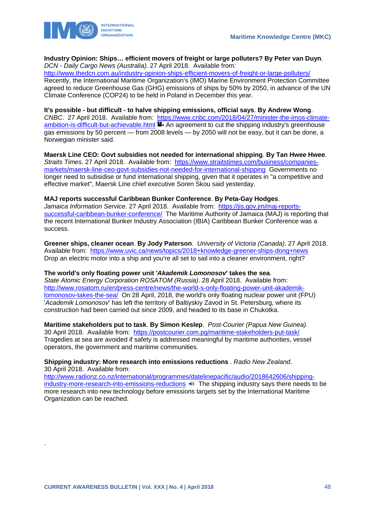

## **Industry Opinion: Ships… efficient movers of freight or large polluters? By Peter van Duyn**.

*DCN - Daily Cargo News (Australia)*. 27 April 2018. Available from:

<http://www.thedcn.com.au/industry-opinion-ships-efficient-movers-of-freight-or-large-polluters/> Recently, the International Maritime Organization's (IMO) Marine Environment Protection Committee agreed to reduce Greenhouse Gas (GHG) emissions of ships by 50% by 2050, in advance of the UN Climate Conference (COP24) to be held in Poland in December this year.

**It's possible - but difficult - to halve shipping emissions, official says**. **By Andrew Wong**. *CNBC*. 27 April 2018. Available from: [https://www.cnbc.com/2018/04/27/minister-the-imos-climate](https://www.cnbc.com/2018/04/27/minister-the-imos-climate-ambition-is-difficult-but-achievable.html)[ambition-is-difficult-but-achievable.html](https://www.cnbc.com/2018/04/27/minister-the-imos-climate-ambition-is-difficult-but-achievable.html) **An agreement to cut the shipping industry's greenhouse** gas emissions by 50 percent — from 2008 levels — by 2050 will not be easy, but it can be done, a Norwegian minister said.

**Maersk Line CEO: Govt subsidies not needed for international shipping**. **By Tan Hwee Hwee**. *Straits Times*. 27 April 2018. Available from: [https://www.straitstimes.com/business/companies](https://www.straitstimes.com/business/companies-markets/maersk-line-ceo-govt-subsidies-not-needed-for-international-shipping)[markets/maersk-line-ceo-govt-subsidies-not-needed-for-international-shipping](https://www.straitstimes.com/business/companies-markets/maersk-line-ceo-govt-subsidies-not-needed-for-international-shipping) Governments no longer need to subsidise or fund international shipping, given that it operates in "a competitive and effective market", Maersk Line chief executive Soren Skou said yesterday.

## **MAJ reports successful Caribbean Bunker Conference**. **By Peta-Gay Hodges**.

*Jamaica Information Service*. 27 April 2018. Available from: [https://jis.gov.jm/maj-reports](https://jis.gov.jm/maj-reports-successful-caribbean-bunker-conference/)[successful-caribbean-bunker-conference/](https://jis.gov.jm/maj-reports-successful-caribbean-bunker-conference/) The Maritime Authority of Jamaica (MAJ) is reporting that the recent International Bunker Industry Association (IBIA) Caribbean Bunker Conference was a success.

**Greener ships, cleaner ocean**. **By Jody Paterson**. *University of Victoria (Canada)*. 27 April 2018. Available from: <https://www.uvic.ca/news/topics/2018+knowledge-greener-ships-dong+news> Drop an electric motor into a ship and you're all set to sail into a cleaner environment, right?

**The world's only floating power unit '***Akademik Lomonosov***' takes the sea**. *State Atomic Energy Corporation ROSATOM (Russia)*. 28 April 2018. Available from: [http://www.rosatom.ru/en/press-centre/news/the-world-s-only-floating-power-unit-akademik](http://www.rosatom.ru/en/press-centre/news/the-world-s-only-floating-power-unit-akademik-lomonosov-takes-the-sea/)[lomonosov-takes-the-sea/](http://www.rosatom.ru/en/press-centre/news/the-world-s-only-floating-power-unit-akademik-lomonosov-takes-the-sea/) On 28 April, 2018, the world's only floating nuclear power unit (FPU)

'*Academik Lomonosov*' has left the territory of Baltiyskiy Zavod in St. Petersburg, where its construction had been carried out since 2009, and headed to its base in Chukotka.

**Maritime stakeholders put to task**. **By Simon Keslep**. *Post-Courier (Papua New Guinea)*. 30 April 2018. Available from: <https://postcourier.com.pg/maritime-stakeholders-put-task/> Tragedies at sea are avoided if safety is addressed meaningful by maritime authorities, vessel operators, the government and maritime communities.

**Shipping industry: More research into emissions reductions** . *Radio New Zealand*. 30 April 2018. Available from:

[http://www.radionz.co.nz/international/programmes/datelinepacific/audio/2018642606/shipping](http://www.radionz.co.nz/international/programmes/datelinepacific/audio/2018642606/shipping-industry-more-research-into-emissions-reductions)[industry-more-research-into-emissions-reductions](http://www.radionz.co.nz/international/programmes/datelinepacific/audio/2018642606/shipping-industry-more-research-into-emissions-reductions)  $\blacktriangleleft$  The shipping industry says there needs to be more research into new technology before emissions targets set by the International Maritime Organization can be reached.

.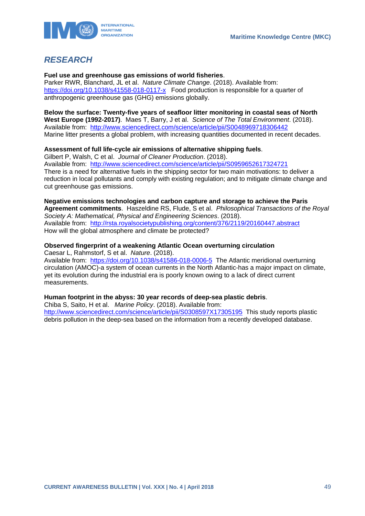



## <span id="page-49-0"></span>*RESEARCH*

**Fuel use and greenhouse gas emissions of world fisheries**.

Parker RWR, Blanchard, JL et al. *Nature Climate Change*. (2018). Available from: <https://doi.org/10.1038/s41558-018-0117-x> Food production is responsible for a quarter of anthropogenic greenhouse gas (GHG) emissions globally.

**Below the surface: Twenty-five years of seafloor litter monitoring in coastal seas of North West Europe (1992-2017)**. Maes T, Barry, J et al. *Science of The Total Environment*. (2018). Available from: <http://www.sciencedirect.com/science/article/pii/S0048969718306442> Marine litter presents a global problem, with increasing quantities documented in recent decades.

## **Assessment of full life-cycle air emissions of alternative shipping fuels**.

Gilbert P, Walsh, C et al. *Journal of Cleaner Production*. (2018). Available from: <http://www.sciencedirect.com/science/article/pii/S0959652617324721> There is a need for alternative fuels in the shipping sector for two main motivations: to deliver a reduction in local pollutants and comply with existing regulation; and to mitigate climate change and cut greenhouse gas emissions.

**Negative emissions technologies and carbon capture and storage to achieve the Paris Agreement commitments**. Haszeldine RS, Flude, S et al. *Philosophical Transactions of the Royal Society A: Mathematical, Physical and Engineering Sciences*. (2018). Available from: <http://rsta.royalsocietypublishing.org/content/376/2119/20160447.abstract> How will the global atmosphere and climate be protected?

## **Observed fingerprint of a weakening Atlantic Ocean overturning circulation**

Caesar L, Rahmstorf, S et al. *Nature*. (2018). Available from: <https://doi.org/10.1038/s41586-018-0006-5>The Atlantic meridional overturning circulation (AMOC)-a system of ocean currents in the North Atlantic-has a major impact on climate, yet its evolution during the industrial era is poorly known owing to a lack of direct current measurements.

## **Human footprint in the abyss: 30 year records of deep-sea plastic debris**.

Chiba S, Saito, H et al. *Marine Policy*. (2018). Available from: <http://www.sciencedirect.com/science/article/pii/S0308597X17305195> This study reports plastic debris pollution in the deep-sea based on the information from a recently developed database.